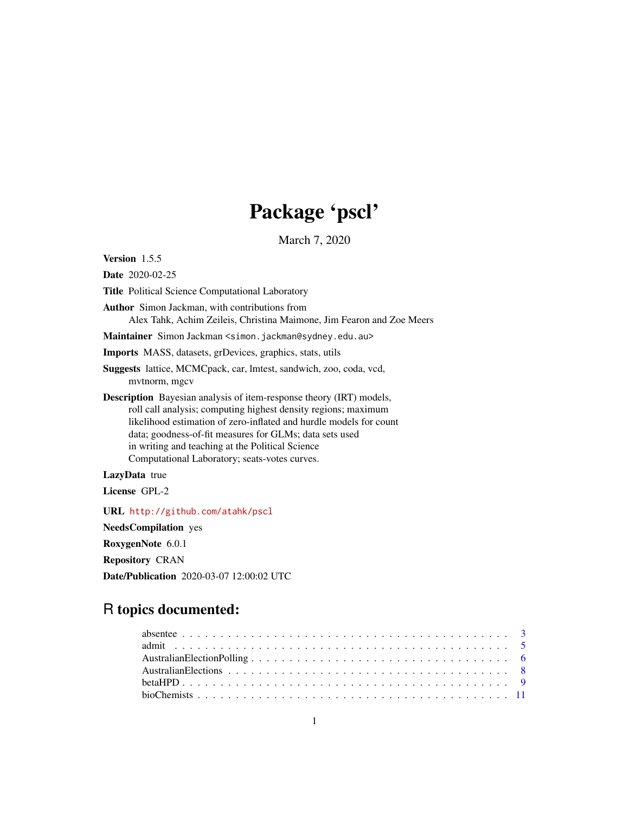# Package 'pscl'

March 7, 2020

<span id="page-0-0"></span>Version 1.5.5

Date 2020-02-25

Title Political Science Computational Laboratory

Author Simon Jackman, with contributions from Alex Tahk, Achim Zeileis, Christina Maimone, Jim Fearon and Zoe Meers

Maintainer Simon Jackman <simon.jackman@sydney.edu.au>

Imports MASS, datasets, grDevices, graphics, stats, utils

Suggests lattice, MCMCpack, car, lmtest, sandwich, zoo, coda, vcd, mvtnorm, mgcv

Description Bayesian analysis of item-response theory (IRT) models, roll call analysis; computing highest density regions; maximum likelihood estimation of zero-inflated and hurdle models for count data; goodness-of-fit measures for GLMs; data sets used in writing and teaching at the Political Science Computational Laboratory; seats-votes curves.

LazyData true

License GPL-2

URL <http://github.com/atahk/pscl>

NeedsCompilation yes

RoxygenNote 6.0.1

Repository CRAN

Date/Publication 2020-03-07 12:00:02 UTC

# R topics documented: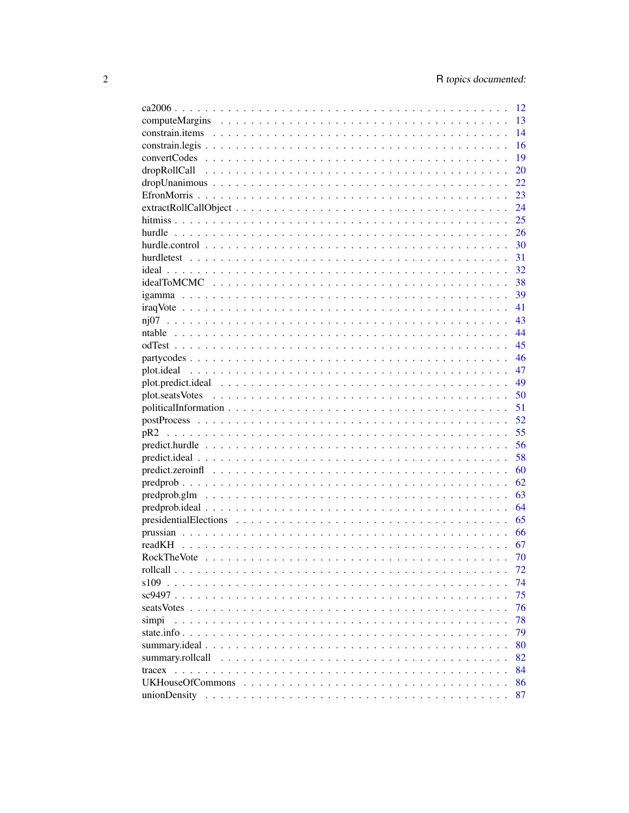|                                             | 12   |
|---------------------------------------------|------|
|                                             | 13   |
|                                             | 14   |
|                                             | 16   |
|                                             | 19   |
|                                             | 20   |
|                                             | 22   |
|                                             | 23   |
|                                             | 24   |
|                                             | 25   |
|                                             | 26   |
|                                             | 30   |
|                                             | 31   |
|                                             | 32   |
|                                             | 38   |
|                                             | 39   |
|                                             | 41   |
|                                             | 43   |
|                                             | 44   |
|                                             | 45   |
|                                             | - 46 |
|                                             | 47   |
|                                             | 49   |
|                                             | 50   |
|                                             | 51   |
|                                             | 52   |
|                                             | 55   |
|                                             | 56   |
|                                             | 58   |
|                                             | 60   |
|                                             | 62   |
|                                             | 63   |
|                                             | 64   |
|                                             |      |
|                                             | 65   |
|                                             | 66   |
| readKH                                      | 67   |
|                                             | 70   |
|                                             | 72   |
| $s109$<br>and the state of the state of the | 74   |
| sc9497                                      | 75   |
|                                             | 76   |
| simpi                                       | 78   |
|                                             | 79   |
|                                             | 80   |
|                                             | 82   |
|                                             | 84   |
|                                             | 86   |
|                                             | 87   |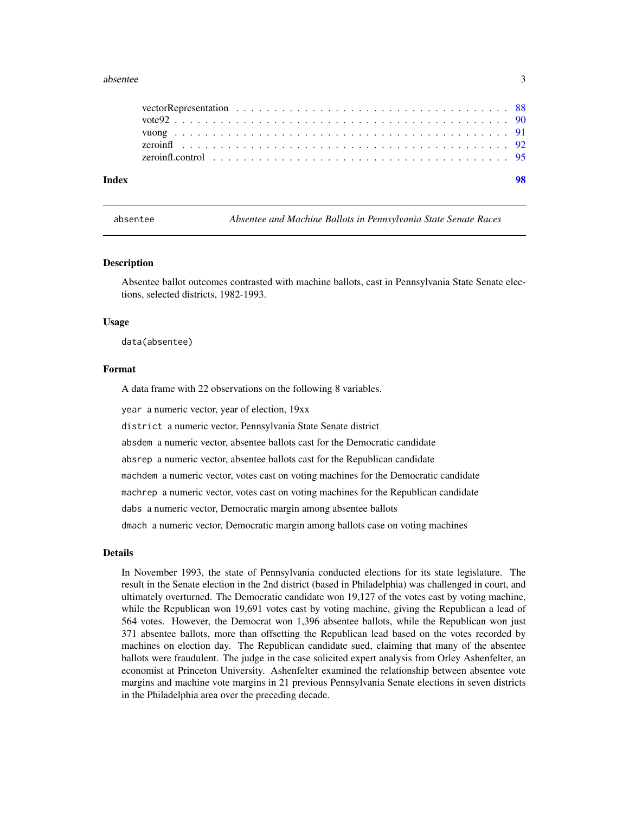#### <span id="page-2-0"></span>absentee 3

| Index |  |
|-------|--|
|       |  |
|       |  |
|       |  |
|       |  |
|       |  |

absentee *Absentee and Machine Ballots in Pennsylvania State Senate Races*

#### Description

Absentee ballot outcomes contrasted with machine ballots, cast in Pennsylvania State Senate elections, selected districts, 1982-1993.

#### Usage

data(absentee)

#### Format

A data frame with 22 observations on the following 8 variables.

year a numeric vector, year of election, 19xx

district a numeric vector, Pennsylvania State Senate district

absdem a numeric vector, absentee ballots cast for the Democratic candidate

absrep a numeric vector, absentee ballots cast for the Republican candidate

machdem a numeric vector, votes cast on voting machines for the Democratic candidate

machrep a numeric vector, votes cast on voting machines for the Republican candidate

dabs a numeric vector, Democratic margin among absentee ballots

dmach a numeric vector, Democratic margin among ballots case on voting machines

# Details

In November 1993, the state of Pennsylvania conducted elections for its state legislature. The result in the Senate election in the 2nd district (based in Philadelphia) was challenged in court, and ultimately overturned. The Democratic candidate won 19,127 of the votes cast by voting machine, while the Republican won 19,691 votes cast by voting machine, giving the Republican a lead of 564 votes. However, the Democrat won 1,396 absentee ballots, while the Republican won just 371 absentee ballots, more than offsetting the Republican lead based on the votes recorded by machines on election day. The Republican candidate sued, claiming that many of the absentee ballots were fraudulent. The judge in the case solicited expert analysis from Orley Ashenfelter, an economist at Princeton University. Ashenfelter examined the relationship between absentee vote margins and machine vote margins in 21 previous Pennsylvania Senate elections in seven districts in the Philadelphia area over the preceding decade.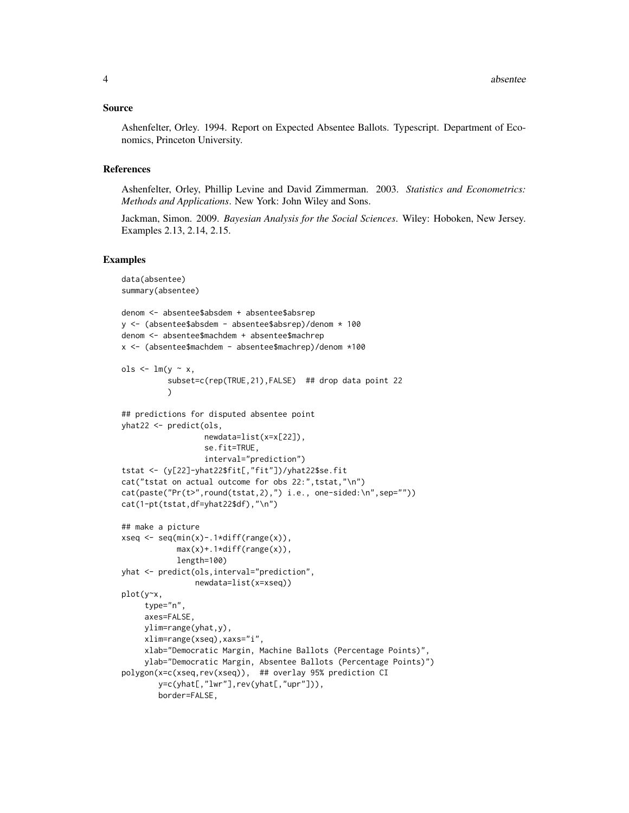#### Source

Ashenfelter, Orley. 1994. Report on Expected Absentee Ballots. Typescript. Department of Economics, Princeton University.

# References

Ashenfelter, Orley, Phillip Levine and David Zimmerman. 2003. *Statistics and Econometrics: Methods and Applications*. New York: John Wiley and Sons.

Jackman, Simon. 2009. *Bayesian Analysis for the Social Sciences*. Wiley: Hoboken, New Jersey. Examples 2.13, 2.14, 2.15.

#### Examples

```
data(absentee)
summary(absentee)
denom <- absentee$absdem + absentee$absrep
y <- (absentee$absdem - absentee$absrep)/denom * 100
denom <- absentee$machdem + absentee$machrep
x <- (absentee$machdem - absentee$machrep)/denom *100
ols \leftarrow lm(y \sim x,
          subset=c(rep(TRUE,21),FALSE) ## drop data point 22
          )
## predictions for disputed absentee point
yhat22 <- predict(ols,
                  newdata=list(x=x[22]),
                  se.fit=TRUE,
                  interval="prediction")
tstat <- (y[22]-yhat22$fit[,"fit"])/yhat22$se.fit
cat("tstat on actual outcome for obs 22:",tstat,"\n")
cat(paste("Pr(t>",round(tstat,2),") i.e., one-sided:\n",sep=""))
cat(1-pt(tstat,df=yhat22$df),"\n")
## make a picture
xseq \leftarrow seq(min(x) - .1*diff(range(x)),max(x) + .1*diff(range(x)),length=100)
yhat <- predict(ols,interval="prediction",
                newdata=list(x=xseq))
plot(y~x,
     type="n",
     axes=FALSE,
     ylim=range(yhat,y),
     xlim=range(xseq),xaxs="i",
     xlab="Democratic Margin, Machine Ballots (Percentage Points)",
     ylab="Democratic Margin, Absentee Ballots (Percentage Points)")
polygon(x=c(xseq,rev(xseq)), ## overlay 95% prediction CI
        y=c(yhat[,"lwr"],rev(yhat[,"upr"])),
        border=FALSE,
```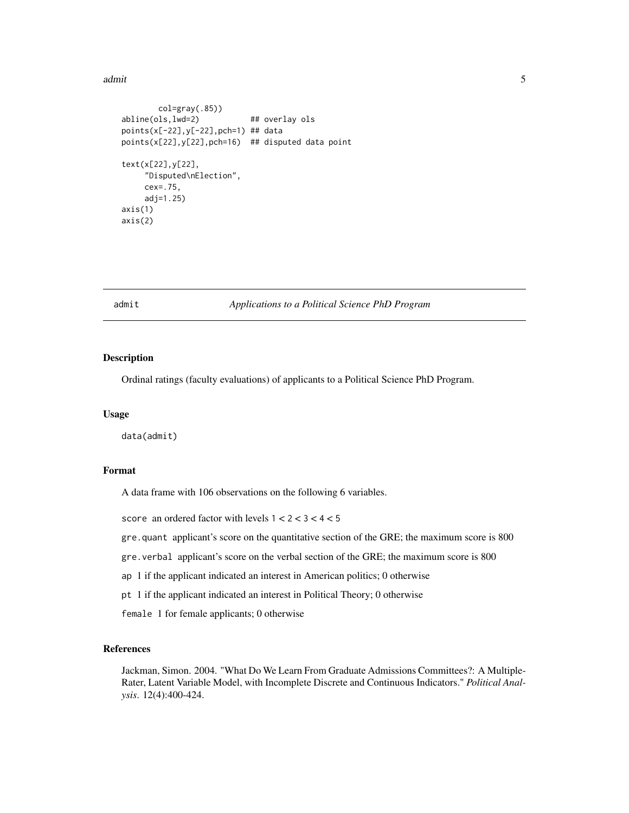<span id="page-4-0"></span>admit 5 and 5 and 5 and 5 and 5 and 5 and 5 and 5 and 5 and 5 and 5 and 5 and 5 and 5 and 5 and 5 and 5 and 5 and 5 and 5 and 5 and 5 and 5 and 5 and 5 and 5 and 5 and 5 and 5 and 5 and 5 and 5 and 5 and 5 and 5 and 5 and

```
col=gray(.85))
abline(ols,lwd=2) ## overlay ols
points(x[-22],y[-22],pch=1) ## data
points(x[22],y[22],pch=16) ## disputed data point
text(x[22],y[22],
    "Disputed\nElection",
    cex=.75,
    adj=1.25)
axis(1)
axis(2)
```
# admit *Applications to a Political Science PhD Program*

#### Description

Ordinal ratings (faculty evaluations) of applicants to a Political Science PhD Program.

#### Usage

data(admit)

#### Format

A data frame with 106 observations on the following 6 variables.

score an ordered factor with levels  $1 < 2 < 3 < 4 < 5$ 

gre.quant applicant's score on the quantitative section of the GRE; the maximum score is 800

- gre.verbal applicant's score on the verbal section of the GRE; the maximum score is 800
- ap 1 if the applicant indicated an interest in American politics; 0 otherwise

pt 1 if the applicant indicated an interest in Political Theory; 0 otherwise

female 1 for female applicants; 0 otherwise

# References

Jackman, Simon. 2004. "What Do We Learn From Graduate Admissions Committees?: A Multiple-Rater, Latent Variable Model, with Incomplete Discrete and Continuous Indicators." *Political Analysis*. 12(4):400-424.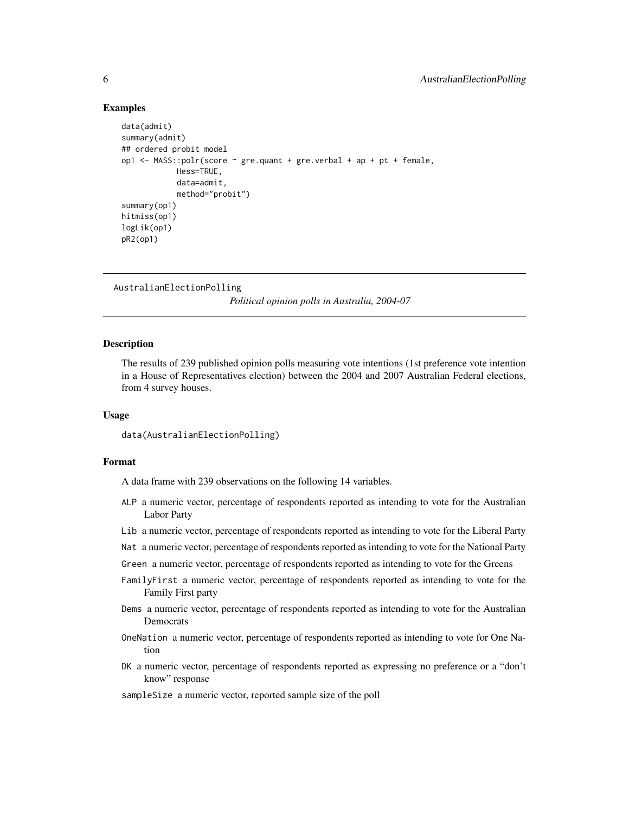# Examples

```
data(admit)
summary(admit)
## ordered probit model
op1 <- MASS::polr(score \sim gre.quant + gre.verbal + ap + pt + female,
            Hess=TRUE,
            data=admit,
            method="probit")
summary(op1)
hitmiss(op1)
logLik(op1)
pR2(op1)
```

```
AustralianElectionPolling
```
*Political opinion polls in Australia, 2004-07*

#### **Description**

The results of 239 published opinion polls measuring vote intentions (1st preference vote intention in a House of Representatives election) between the 2004 and 2007 Australian Federal elections, from 4 survey houses.

#### Usage

```
data(AustralianElectionPolling)
```
# Format

A data frame with 239 observations on the following 14 variables.

- ALP a numeric vector, percentage of respondents reported as intending to vote for the Australian Labor Party
- Lib a numeric vector, percentage of respondents reported as intending to vote for the Liberal Party
- Nat a numeric vector, percentage of respondents reported as intending to vote for the National Party
- Green a numeric vector, percentage of respondents reported as intending to vote for the Greens
- FamilyFirst a numeric vector, percentage of respondents reported as intending to vote for the Family First party
- Dems a numeric vector, percentage of respondents reported as intending to vote for the Australian Democrats
- OneNation a numeric vector, percentage of respondents reported as intending to vote for One Nation
- DK a numeric vector, percentage of respondents reported as expressing no preference or a "don't know" response
- sampleSize a numeric vector, reported sample size of the poll

<span id="page-5-0"></span>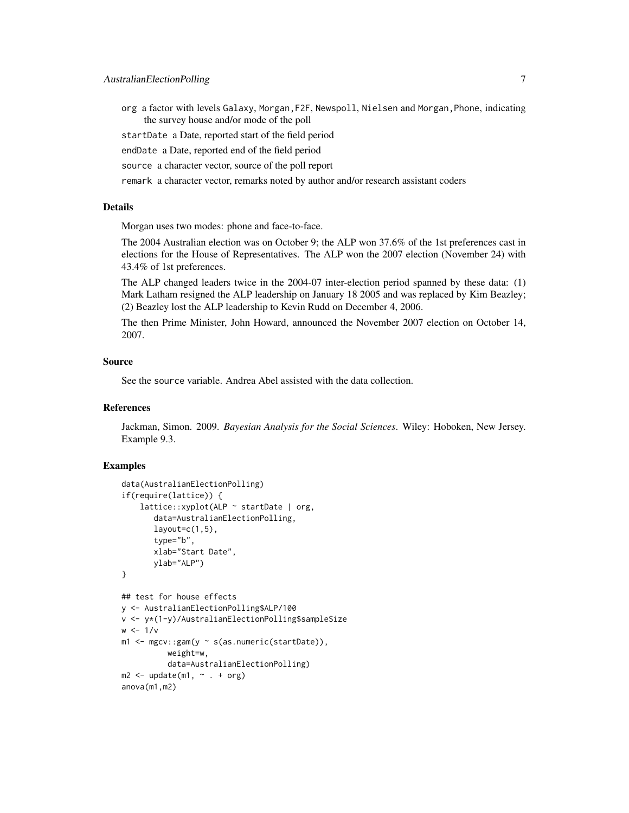- org a factor with levels Galaxy, Morgan,F2F, Newspoll, Nielsen and Morgan,Phone, indicating the survey house and/or mode of the poll
- startDate a Date, reported start of the field period
- endDate a Date, reported end of the field period
- source a character vector, source of the poll report
- remark a character vector, remarks noted by author and/or research assistant coders

#### Details

Morgan uses two modes: phone and face-to-face.

The 2004 Australian election was on October 9; the ALP won 37.6% of the 1st preferences cast in elections for the House of Representatives. The ALP won the 2007 election (November 24) with 43.4% of 1st preferences.

The ALP changed leaders twice in the 2004-07 inter-election period spanned by these data: (1) Mark Latham resigned the ALP leadership on January 18 2005 and was replaced by Kim Beazley; (2) Beazley lost the ALP leadership to Kevin Rudd on December 4, 2006.

The then Prime Minister, John Howard, announced the November 2007 election on October 14, 2007.

# Source

See the source variable. Andrea Abel assisted with the data collection.

# References

Jackman, Simon. 2009. *Bayesian Analysis for the Social Sciences*. Wiley: Hoboken, New Jersey. Example 9.3.

#### Examples

```
data(AustralianElectionPolling)
if(require(lattice)) {
    lattice::xyplot(ALP ~ startDate | org,
       data=AustralianElectionPolling,
       layout=c(1,5),
       type="b",
       xlab="Start Date",
       ylab="ALP")
}
## test for house effects
y <- AustralianElectionPolling$ALP/100
v <- y*(1-y)/AustralianElectionPolling$sampleSize
w \le -1/vm1 <- mgcv::gam(y ~ s(as.numeric(startDate)),
          weight=w,
          data=AustralianElectionPolling)
m2 \leq update(m1, \sim . + org)
anova(m1,m2)
```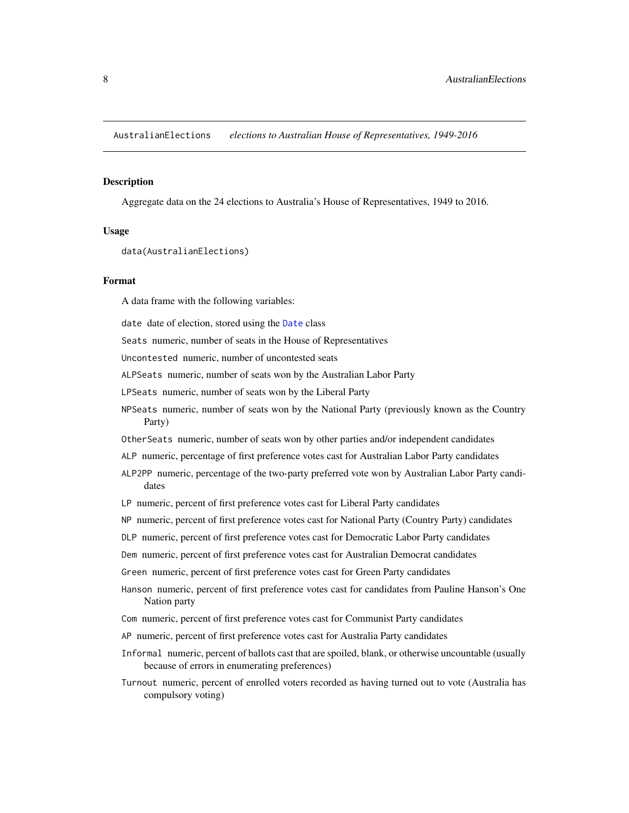<span id="page-7-0"></span>AustralianElections *elections to Australian House of Representatives, 1949-2016*

#### **Description**

Aggregate data on the 24 elections to Australia's House of Representatives, 1949 to 2016.

# Usage

```
data(AustralianElections)
```
#### Format

A data frame with the following variables:

date date of election, stored using the [Date](#page-0-0) class

Seats numeric, number of seats in the House of Representatives

Uncontested numeric, number of uncontested seats

ALPSeats numeric, number of seats won by the Australian Labor Party

LPSeats numeric, number of seats won by the Liberal Party

- NPSeats numeric, number of seats won by the National Party (previously known as the Country Party)
- OtherSeats numeric, number of seats won by other parties and/or independent candidates
- ALP numeric, percentage of first preference votes cast for Australian Labor Party candidates
- ALP2PP numeric, percentage of the two-party preferred vote won by Australian Labor Party candidates
- LP numeric, percent of first preference votes cast for Liberal Party candidates
- NP numeric, percent of first preference votes cast for National Party (Country Party) candidates

DLP numeric, percent of first preference votes cast for Democratic Labor Party candidates

Dem numeric, percent of first preference votes cast for Australian Democrat candidates

Green numeric, percent of first preference votes cast for Green Party candidates

- Hanson numeric, percent of first preference votes cast for candidates from Pauline Hanson's One Nation party
- Com numeric, percent of first preference votes cast for Communist Party candidates
- AP numeric, percent of first preference votes cast for Australia Party candidates
- Informal numeric, percent of ballots cast that are spoiled, blank, or otherwise uncountable (usually because of errors in enumerating preferences)
- Turnout numeric, percent of enrolled voters recorded as having turned out to vote (Australia has compulsory voting)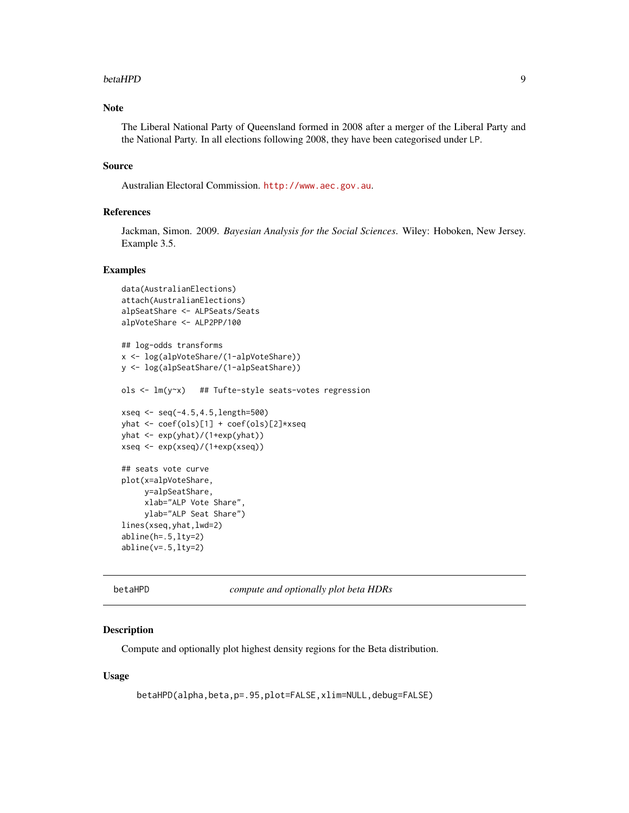#### <span id="page-8-0"></span>betaHPD 9

# Note

The Liberal National Party of Queensland formed in 2008 after a merger of the Liberal Party and the National Party. In all elections following 2008, they have been categorised under LP.

#### Source

Australian Electoral Commission. <http://www.aec.gov.au>.

# References

Jackman, Simon. 2009. *Bayesian Analysis for the Social Sciences*. Wiley: Hoboken, New Jersey. Example 3.5.

#### Examples

```
data(AustralianElections)
attach(AustralianElections)
alpSeatShare <- ALPSeats/Seats
alpVoteShare <- ALP2PP/100
## log-odds transforms
x <- log(alpVoteShare/(1-alpVoteShare))
y <- log(alpSeatShare/(1-alpSeatShare))
ols <- lm(y~x) ## Tufte-style seats-votes regression
xseq <- seq(-4.5,4.5,length=500)
yhat <- coef(ols)[1] + coef(ols)[2]*xseq
yhat <- exp(yhat)/(1+exp(yhat))
xseq <- exp(xseq)/(1+exp(xseq))
## seats vote curve
plot(x=alpVoteShare,
    y=alpSeatShare,
     xlab="ALP Vote Share",
    ylab="ALP Seat Share")
lines(xseq,yhat,lwd=2)
abline(h=.5,lty=2)
abline(v=.5,lty=2)
```
betaHPD *compute and optionally plot beta HDRs*

#### Description

Compute and optionally plot highest density regions for the Beta distribution.

#### Usage

```
betaHPD(alpha,beta,p=.95,plot=FALSE,xlim=NULL,debug=FALSE)
```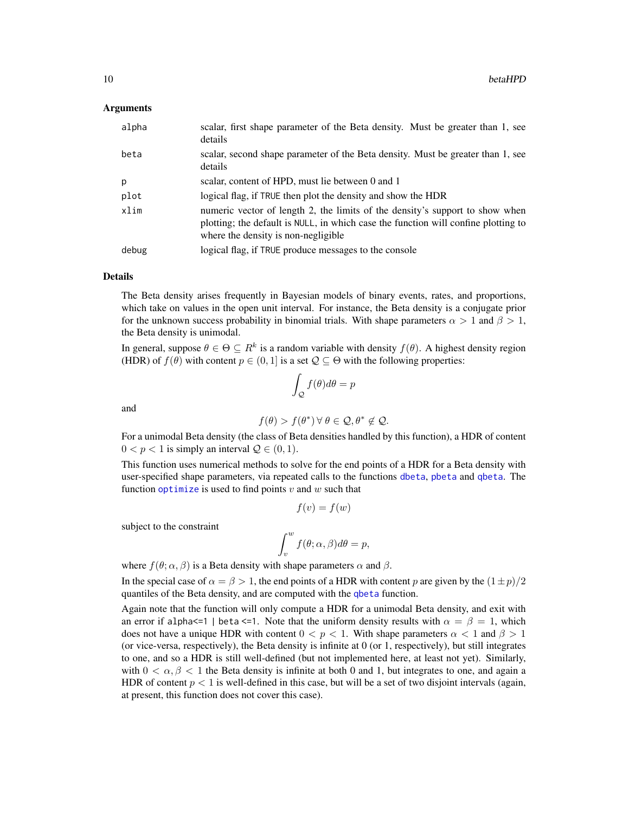#### Arguments

| alpha | scalar, first shape parameter of the Beta density. Must be greater than 1, see<br>details                                                                                                                  |
|-------|------------------------------------------------------------------------------------------------------------------------------------------------------------------------------------------------------------|
| beta  | scalar, second shape parameter of the Beta density. Must be greater than 1, see<br>details                                                                                                                 |
| p     | scalar, content of HPD, must lie between 0 and 1                                                                                                                                                           |
| plot  | logical flag, if TRUE then plot the density and show the HDR                                                                                                                                               |
| xlim  | numeric vector of length 2, the limits of the density's support to show when<br>plotting; the default is NULL, in which case the function will confine plotting to<br>where the density is non-negligible. |
| debug | logical flag, if TRUE produce messages to the console                                                                                                                                                      |

# Details

The Beta density arises frequently in Bayesian models of binary events, rates, and proportions, which take on values in the open unit interval. For instance, the Beta density is a conjugate prior for the unknown success probability in binomial trials. With shape parameters  $\alpha > 1$  and  $\beta > 1$ , the Beta density is unimodal.

In general, suppose  $\theta \in \Theta \subseteq R^k$  is a random variable with density  $f(\theta)$ . A highest density region (HDR) of  $f(\theta)$  with content  $p \in (0, 1]$  is a set  $\mathcal{Q} \subseteq \Theta$  with the following properties:

$$
\int_{\mathcal{Q}} f(\theta) d\theta = p
$$

and

$$
f(\theta) > f(\theta^*) \,\forall \,\theta \in \mathcal{Q}, \theta^* \notin \mathcal{Q}.
$$

For a unimodal Beta density (the class of Beta densities handled by this function), a HDR of content  $0 < p < 1$  is simply an interval  $\mathcal{Q} \in (0, 1)$ .

This function uses numerical methods to solve for the end points of a HDR for a Beta density with user-specified shape parameters, via repeated calls to the functions [dbeta](#page-0-0), [pbeta](#page-0-0) and [qbeta](#page-0-0). The function [optimize](#page-0-0) is used to find points  $v$  and  $w$  such that

$$
f(v) = f(w)
$$

subject to the constraint

$$
\int_v^w f(\theta; \alpha, \beta) d\theta = p,
$$

where  $f(\theta; \alpha, \beta)$  is a Beta density with shape parameters  $\alpha$  and  $\beta$ .

In the special case of  $\alpha = \beta > 1$ , the end points of a HDR with content p are given by the  $(1 \pm p)/2$ quantiles of the Beta density, and are computed with the [qbeta](#page-0-0) function.

Again note that the function will only compute a HDR for a unimodal Beta density, and exit with an error if alpha $\leq 1$  | beta  $\leq 1$ . Note that the uniform density results with  $\alpha = \beta = 1$ , which does not have a unique HDR with content  $0 < p < 1$ . With shape parameters  $\alpha < 1$  and  $\beta > 1$ (or vice-versa, respectively), the Beta density is infinite at 0 (or 1, respectively), but still integrates to one, and so a HDR is still well-defined (but not implemented here, at least not yet). Similarly, with  $0 < \alpha, \beta < 1$  the Beta density is infinite at both 0 and 1, but integrates to one, and again a HDR of content  $p < 1$  is well-defined in this case, but will be a set of two disjoint intervals (again, at present, this function does not cover this case).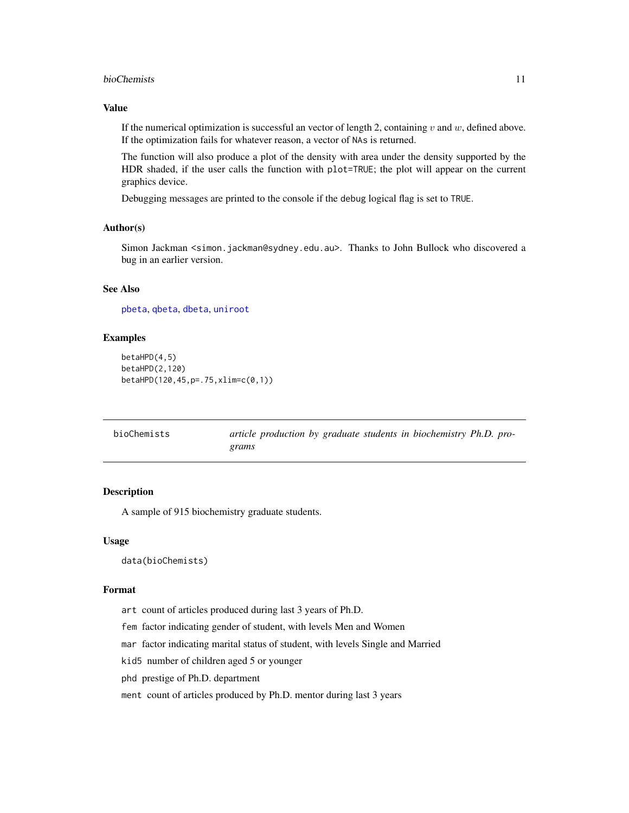#### <span id="page-10-0"></span>bioChemists 11

# Value

If the numerical optimization is successful an vector of length 2, containing  $v$  and  $w$ , defined above. If the optimization fails for whatever reason, a vector of NAs is returned.

The function will also produce a plot of the density with area under the density supported by the HDR shaded, if the user calls the function with plot=TRUE; the plot will appear on the current graphics device.

Debugging messages are printed to the console if the debug logical flag is set to TRUE.

# Author(s)

Simon Jackman <simon.jackman@sydney.edu.au>. Thanks to John Bullock who discovered a bug in an earlier version.

# See Also

[pbeta](#page-0-0), [qbeta](#page-0-0), [dbeta](#page-0-0), [uniroot](#page-0-0)

# Examples

```
betaHPD(4,5)
betaHPD(2,120)
betaHPD(120,45,p=.75,xlim=c(0,1))
```

| bioChemists | article production by graduate students in biochemistry Ph.D. pro- |
|-------------|--------------------------------------------------------------------|
|             | grams                                                              |

# Description

A sample of 915 biochemistry graduate students.

#### Usage

data(bioChemists)

#### Format

art count of articles produced during last 3 years of Ph.D.

fem factor indicating gender of student, with levels Men and Women

mar factor indicating marital status of student, with levels Single and Married

kid5 number of children aged 5 or younger

phd prestige of Ph.D. department

ment count of articles produced by Ph.D. mentor during last 3 years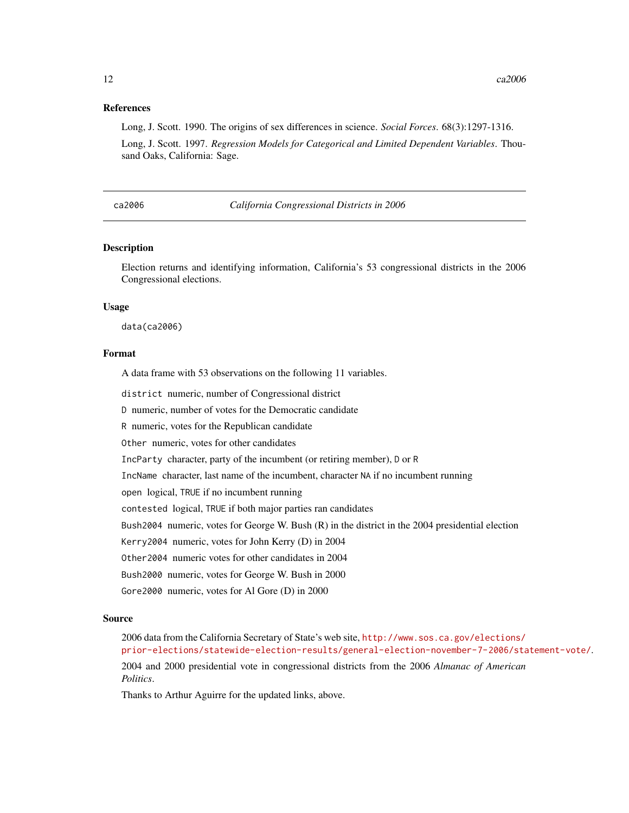#### <span id="page-11-0"></span>References

Long, J. Scott. 1990. The origins of sex differences in science. *Social Forces*. 68(3):1297-1316.

Long, J. Scott. 1997. *Regression Models for Categorical and Limited Dependent Variables*. Thousand Oaks, California: Sage.

ca2006 *California Congressional Districts in 2006*

# Description

Election returns and identifying information, California's 53 congressional districts in the 2006 Congressional elections.

#### Usage

data(ca2006)

#### Format

A data frame with 53 observations on the following 11 variables.

district numeric, number of Congressional district

D numeric, number of votes for the Democratic candidate

R numeric, votes for the Republican candidate

Other numeric, votes for other candidates

IncParty character, party of the incumbent (or retiring member), D or R

IncName character, last name of the incumbent, character NA if no incumbent running

open logical, TRUE if no incumbent running

contested logical, TRUE if both major parties ran candidates

Bush2004 numeric, votes for George W. Bush (R) in the district in the 2004 presidential election

Kerry2004 numeric, votes for John Kerry (D) in 2004

Other2004 numeric votes for other candidates in 2004

Bush2000 numeric, votes for George W. Bush in 2000

Gore2000 numeric, votes for Al Gore (D) in 2000

#### Source

2006 data from the California Secretary of State's web site, [http://www.sos.ca.gov/elections/](http://www.sos.ca.gov/elections/prior-elections/statewide-election-results/general-election-november-7-2006/statement-vote/) [prior-elections/statewide-election-results/general-election-november-7-2006/statement-vote/](http://www.sos.ca.gov/elections/prior-elections/statewide-election-results/general-election-november-7-2006/statement-vote/).

2004 and 2000 presidential vote in congressional districts from the 2006 *Almanac of American Politics*.

Thanks to Arthur Aguirre for the updated links, above.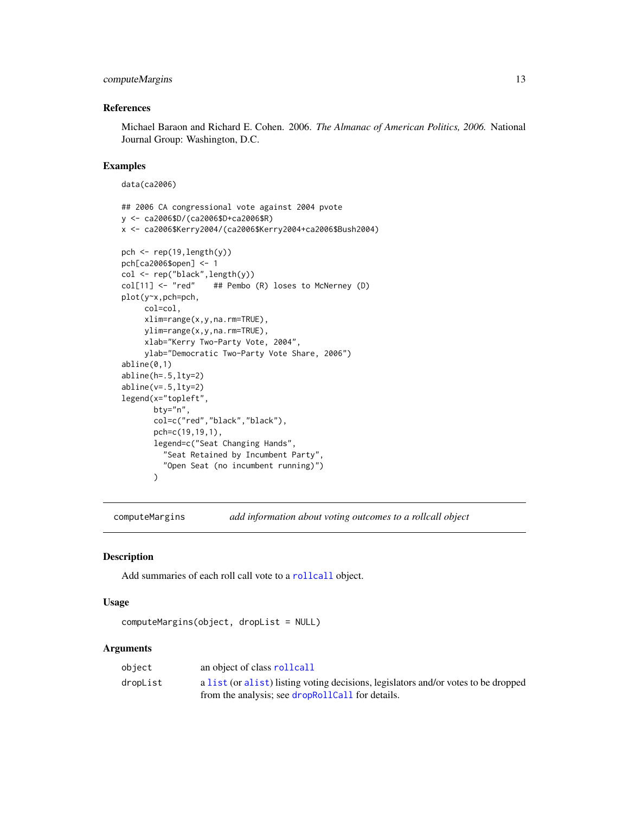# <span id="page-12-0"></span>computeMargins 13

# References

Michael Baraon and Richard E. Cohen. 2006. *The Almanac of American Politics, 2006.* National Journal Group: Washington, D.C.

#### Examples

data(ca2006)

```
## 2006 CA congressional vote against 2004 pvote
y <- ca2006$D/(ca2006$D+ca2006$R)
x <- ca2006$Kerry2004/(ca2006$Kerry2004+ca2006$Bush2004)
pch \leq rep(19, length(y))
pch[ca2006$open] <- 1
col <- rep("black",length(y))
col[11] <- "red" ## Pembo (R) loses to McNerney (D)
plot(y~x,pch=pch,
     col=col,
     xlim=range(x,y,na.rm=TRUE),
     ylim=range(x,y,na.rm=TRUE),
     xlab="Kerry Two-Party Vote, 2004",
     ylab="Democratic Two-Party Vote Share, 2006")
abline(0,1)
abline(h=.5,lty=2)
abline(v=.5,lty=2)
legend(x="topleft",
       bty="n",
       col=c("red","black","black"),
       pch=c(19,19,1),
       legend=c("Seat Changing Hands",
         "Seat Retained by Incumbent Party",
         "Open Seat (no incumbent running)")
       \lambda
```
computeMargins *add information about voting outcomes to a rollcall object*

# Description

Add summaries of each roll call vote to a [rollcall](#page-71-1) object.

#### Usage

```
computeMargins(object, dropList = NULL)
```
# Arguments

| object   | an object of class rollcall                                                        |
|----------|------------------------------------------------------------------------------------|
| dropList | a list (or alist) listing voting decisions, legislators and/or votes to be dropped |
|          | from the analysis; see dropRollCall for details.                                   |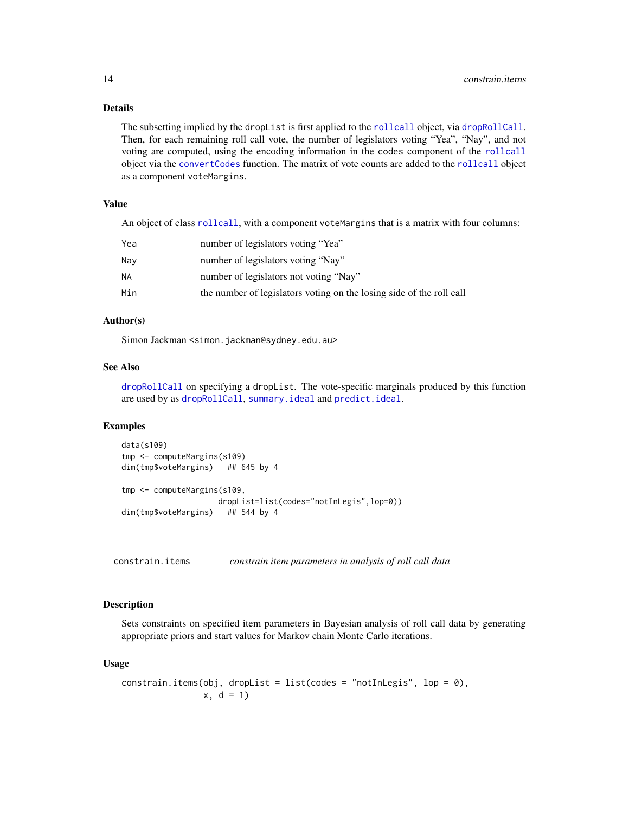# <span id="page-13-0"></span>Details

The subsetting implied by the dropList is first applied to the [rollcall](#page-71-1) object, via [dropRollCall](#page-19-1). Then, for each remaining roll call vote, the number of legislators voting "Yea", "Nay", and not voting are computed, using the encoding information in the codes component of the [rollcall](#page-71-1) object via the [convertCodes](#page-18-1) function. The matrix of vote counts are added to the [rollcall](#page-71-1) object as a component voteMargins.

# Value

An object of class [rollcall](#page-71-1), with a component voteMargins that is a matrix with four columns:

| Yea | number of legislators voting "Yea"                                   |
|-----|----------------------------------------------------------------------|
| Nav | number of legislators voting "Nay"                                   |
| NΑ  | number of legislators not voting "Nay"                               |
| Min | the number of legislators voting on the losing side of the roll call |

# Author(s)

Simon Jackman <simon.jackman@sydney.edu.au>

# See Also

[dropRollCall](#page-19-1) on specifying a dropList. The vote-specific marginals produced by this function are used by as [dropRollCall](#page-19-1), [summary.ideal](#page-79-1) and [predict.ideal](#page-57-1).

#### Examples

```
data(s109)
tmp <- computeMargins(s109)
dim(tmp$voteMargins) ## 645 by 4
tmp <- computeMargins(s109,
                    dropList=list(codes="notInLegis",lop=0))
dim(tmp$voteMargins) ## 544 by 4
```
<span id="page-13-1"></span>constrain.items *constrain item parameters in analysis of roll call data*

#### **Description**

Sets constraints on specified item parameters in Bayesian analysis of roll call data by generating appropriate priors and start values for Markov chain Monte Carlo iterations.

#### Usage

```
constrain.items(obj, dropList = list(codes = "notInLegis", lop = 0),
               x, d = 1
```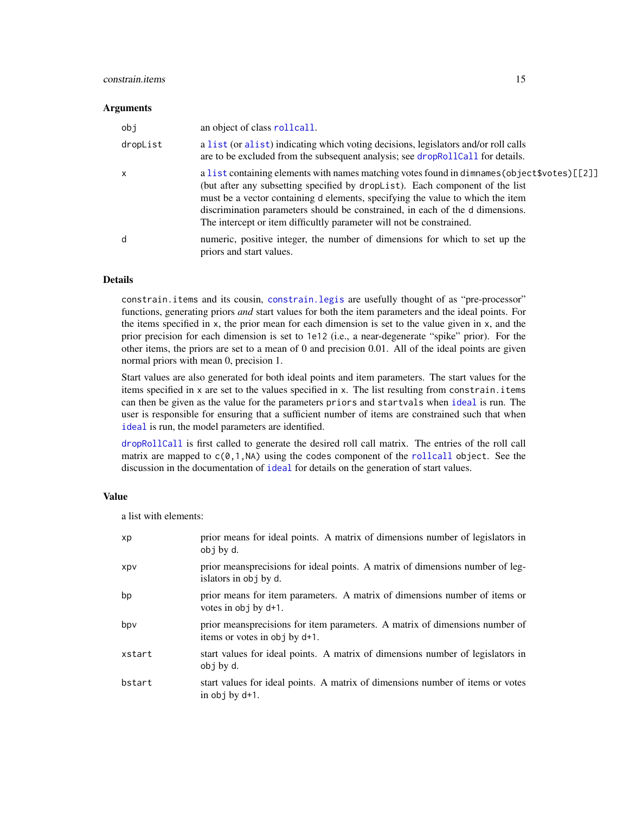# constrain.items 15

#### **Arguments**

| obj      | an object of class rollcall.                                                                                                                                                                                                                                                                                                                                                                                             |
|----------|--------------------------------------------------------------------------------------------------------------------------------------------------------------------------------------------------------------------------------------------------------------------------------------------------------------------------------------------------------------------------------------------------------------------------|
| dropList | a list (or alist) indicating which voting decisions, legislators and/or roll calls<br>are to be excluded from the subsequent analysis; see dropRollCall for details.                                                                                                                                                                                                                                                     |
| X        | a list containing elements with names matching votes found in dimnames (object \$votes) [[2]]<br>(but after any subsetting specified by dropList). Each component of the list<br>must be a vector containing d elements, specifying the value to which the item<br>discrimination parameters should be constrained, in each of the d dimensions.<br>The intercept or item difficultly parameter will not be constrained. |
| d        | numeric, positive integer, the number of dimensions for which to set up the<br>priors and start values.                                                                                                                                                                                                                                                                                                                  |

# Details

constrain.items and its cousin, [constrain.legis](#page-15-1) are usefully thought of as "pre-processor" functions, generating priors *and* start values for both the item parameters and the ideal points. For the items specified in x, the prior mean for each dimension is set to the value given in x, and the prior precision for each dimension is set to 1e12 (i.e., a near-degenerate "spike" prior). For the other items, the priors are set to a mean of 0 and precision 0.01. All of the ideal points are given normal priors with mean 0, precision 1.

Start values are also generated for both ideal points and item parameters. The start values for the items specified in x are set to the values specified in x. The list resulting from constrain.items can then be given as the value for the parameters priors and startvals when [ideal](#page-31-1) is run. The user is responsible for ensuring that a sufficient number of items are constrained such that when [ideal](#page-31-1) is run, the model parameters are identified.

[dropRollCall](#page-19-1) is first called to generate the desired roll call matrix. The entries of the roll call matrix are mapped to  $c(0,1,NA)$  using the codes component of the [rollcall](#page-71-1) object. See the discussion in the documentation of [ideal](#page-31-1) for details on the generation of start values.

# Value

a list with elements:

| xp     | prior means for ideal points. A matrix of dimensions number of legislators in<br>obj by d.                   |
|--------|--------------------------------------------------------------------------------------------------------------|
| xpv    | prior meansprecisions for ideal points. A matrix of dimensions number of leg-<br>islators in obj by d.       |
| bp     | prior means for item parameters. A matrix of dimensions number of items or<br>votes in obj by d+1.           |
| bpv    | prior meansprecisions for item parameters. A matrix of dimensions number of<br>items or votes in obj by d+1. |
| xstart | start values for ideal points. A matrix of dimensions number of legislators in<br>obj by d.                  |
| bstart | start values for ideal points. A matrix of dimensions number of items or votes<br>in $obj$ by $d+1$ .        |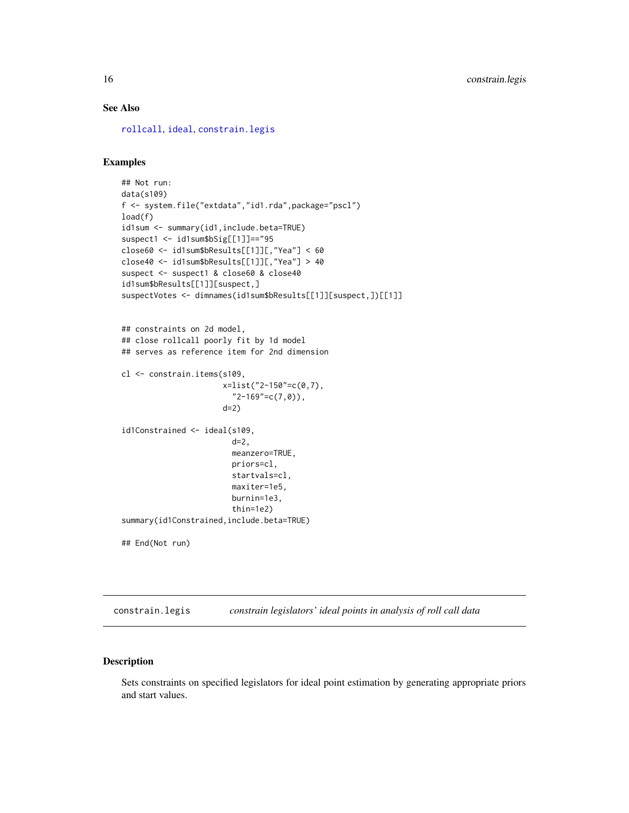# <span id="page-15-0"></span>See Also

[rollcall](#page-71-1), [ideal](#page-31-1), [constrain.legis](#page-15-1)

#### Examples

```
## Not run:
data(s109)
f <- system.file("extdata","id1.rda",package="pscl")
load(f)
id1sum <- summary(id1,include.beta=TRUE)
suspect1 <- id1sum$bSig[[1]]=="95
close60 <- id1sum$bResults[[1]][,"Yea"] < 60
close40 <- id1sum$bResults[[1]][,"Yea"] > 40
suspect <- suspect1 & close60 & close40
id1sum$bResults[[1]][suspect,]
suspectVotes <- dimnames(id1sum$bResults[[1]][suspect,])[[1]]
## constraints on 2d model,
## close rollcall poorly fit by 1d model
## serves as reference item for 2nd dimension
cl <- constrain.items(s109,
                      x=list("2-150"=c(0,7),
                        "2-169" = c(7,0),
                      d=2)
id1Constrained <- ideal(s109,
                        d=2,
                        meanzero=TRUE,
                        priors=cl,
                        startvals=cl,
                        maxiter=1e5,
                        burnin=1e3,
                        thin=1e2)
summary(id1Constrained,include.beta=TRUE)
## End(Not run)
```
<span id="page-15-1"></span>constrain.legis *constrain legislators' ideal points in analysis of roll call data*

# Description

Sets constraints on specified legislators for ideal point estimation by generating appropriate priors and start values.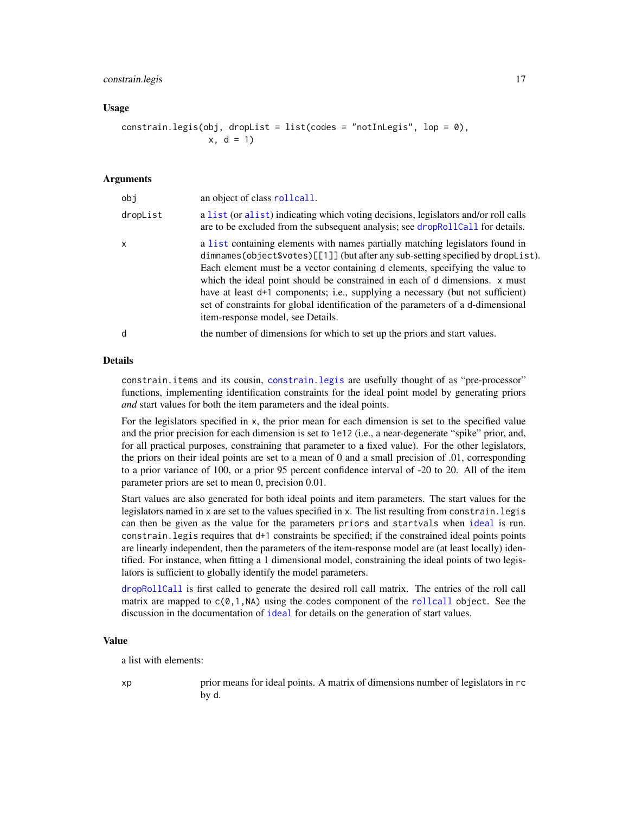# constrain.legis 17

#### Usage

$$
constraint.legis(obj, droplist = list(codes = "notInLegis", lop = 0),x, d = 1)
$$

# Arguments

| obj          | an object of class rollcall.                                                                                                                                                                                                                                                                                                                                                                                                                                                                                                               |
|--------------|--------------------------------------------------------------------------------------------------------------------------------------------------------------------------------------------------------------------------------------------------------------------------------------------------------------------------------------------------------------------------------------------------------------------------------------------------------------------------------------------------------------------------------------------|
| dropList     | a list (or alist) indicating which voting decisions, legislators and/or roll calls<br>are to be excluded from the subsequent analysis; see dropRollCall for details.                                                                                                                                                                                                                                                                                                                                                                       |
| $\mathsf{x}$ | a list containing elements with names partially matching legislators found in<br>dimnames(object\$votes)[[1]](but after any sub-setting specified by dropList).<br>Each element must be a vector containing d elements, specifying the value to<br>which the ideal point should be constrained in each of d dimensions. x must<br>have at least d+1 components; i.e., supplying a necessary (but not sufficient)<br>set of constraints for global identification of the parameters of a d-dimensional<br>item-response model, see Details. |
| d            | the number of dimensions for which to set up the priors and start values.                                                                                                                                                                                                                                                                                                                                                                                                                                                                  |

# Details

constrain.items and its cousin, [constrain.legis](#page-15-1) are usefully thought of as "pre-processor" functions, implementing identification constraints for the ideal point model by generating priors *and* start values for both the item parameters and the ideal points.

For the legislators specified in x, the prior mean for each dimension is set to the specified value and the prior precision for each dimension is set to 1e12 (i.e., a near-degenerate "spike" prior, and, for all practical purposes, constraining that parameter to a fixed value). For the other legislators, the priors on their ideal points are set to a mean of 0 and a small precision of .01, corresponding to a prior variance of 100, or a prior 95 percent confidence interval of -20 to 20. All of the item parameter priors are set to mean 0, precision 0.01.

Start values are also generated for both ideal points and item parameters. The start values for the legislators named in x are set to the values specified in x. The list resulting from constrain.legis can then be given as the value for the parameters priors and startvals when [ideal](#page-31-1) is run. constrain.legis requires that d+1 constraints be specified; if the constrained ideal points points are linearly independent, then the parameters of the item-response model are (at least locally) identified. For instance, when fitting a 1 dimensional model, constraining the ideal points of two legislators is sufficient to globally identify the model parameters.

[dropRollCall](#page-19-1) is first called to generate the desired roll call matrix. The entries of the roll call matrix are mapped to  $c(0,1,N)$  using the codes component of the [rollcall](#page-71-1) object. See the discussion in the documentation of [ideal](#page-31-1) for details on the generation of start values.

#### Value

a list with elements:

xp prior means for ideal points. A matrix of dimensions number of legislators in rc by d.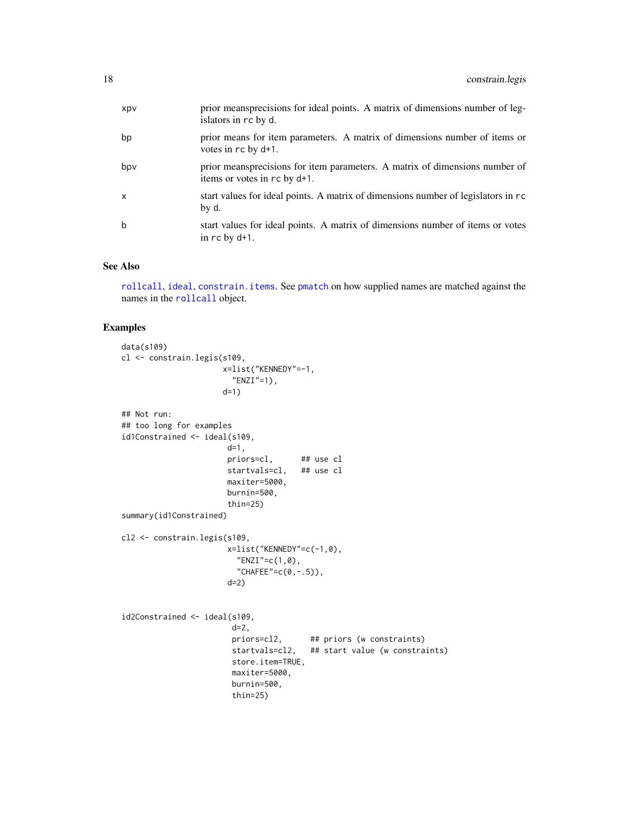| bp<br>votes in rc by d+1.<br>bpv<br>items or votes in rc by d+1.<br>start values for ideal points. A matrix of dimensions number of legislators in rc<br>X<br>by d.<br>b<br>in $rc$ by $d+1$ . | Xpv | prior meansprecisions for ideal points. A matrix of dimensions number of leg-<br>islators in rc by d. |
|------------------------------------------------------------------------------------------------------------------------------------------------------------------------------------------------|-----|-------------------------------------------------------------------------------------------------------|
|                                                                                                                                                                                                |     | prior means for item parameters. A matrix of dimensions number of items or                            |
|                                                                                                                                                                                                |     | prior meansprecisions for item parameters. A matrix of dimensions number of                           |
|                                                                                                                                                                                                |     |                                                                                                       |
|                                                                                                                                                                                                |     | start values for ideal points. A matrix of dimensions number of items or votes                        |

# See Also

[rollcall](#page-71-1), [ideal](#page-31-1), [constrain.items](#page-13-1). See [pmatch](#page-0-0) on how supplied names are matched against the names in the [rollcall](#page-71-1) object.

# Examples

```
data(s109)
cl <- constrain.legis(s109,
                     x=list("KENNEDY"=-1,
                       "ENZI"=1),
                     d=1)
## Not run:
## too long for examples
id1Constrained <- ideal(s109,
                      d=1,
                      priors=cl, ## use cl
                      startvals=cl, ## use cl
                      maxiter=5000,
                      burnin=500,
                      thin=25)
summary(id1Constrained)
cl2 <- constrain.legis(s109,
                      x=list("KENNEDY"=c(-1,0),
                        "ENZI" = c(1,0),"CHAFEE"=c(0, -.5)),
                      d=2)
id2Constrained <- ideal(s109,
                       d=2,
                       priors=cl2, ## priors (w constraints)
                       startvals=cl2, ## start value (w constraints)
                       store.item=TRUE,
                       maxiter=5000,
                       burnin=500,
                       thin=25)
```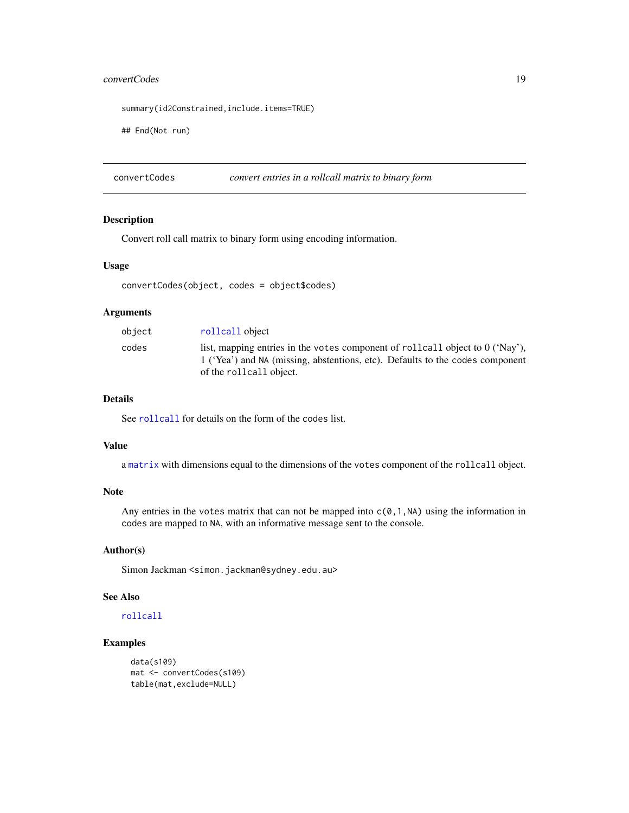# <span id="page-18-0"></span>convertCodes 19

summary(id2Constrained,include.items=TRUE)

## End(Not run)

<span id="page-18-1"></span>convertCodes *convert entries in a rollcall matrix to binary form*

# Description

Convert roll call matrix to binary form using encoding information.

# Usage

```
convertCodes(object, codes = object$codes)
```
# Arguments

| object | rollcall object                                                                                                                                                                             |
|--------|---------------------------------------------------------------------------------------------------------------------------------------------------------------------------------------------|
| codes  | list, mapping entries in the votes component of rollcall object to $0$ ('Nay'),<br>1 ('Yea') and NA (missing, abstentions, etc). Defaults to the codes component<br>of the rollcall object. |

# Details

See [rollcall](#page-71-1) for details on the form of the codes list.

#### Value

a [matrix](#page-0-0) with dimensions equal to the dimensions of the votes component of the rollcall object.

# Note

Any entries in the votes matrix that can not be mapped into  $c(0,1,N)$  using the information in codes are mapped to NA, with an informative message sent to the console.

#### Author(s)

Simon Jackman <simon.jackman@sydney.edu.au>

#### See Also

[rollcall](#page-71-1)

# Examples

```
data(s109)
mat <- convertCodes(s109)
table(mat,exclude=NULL)
```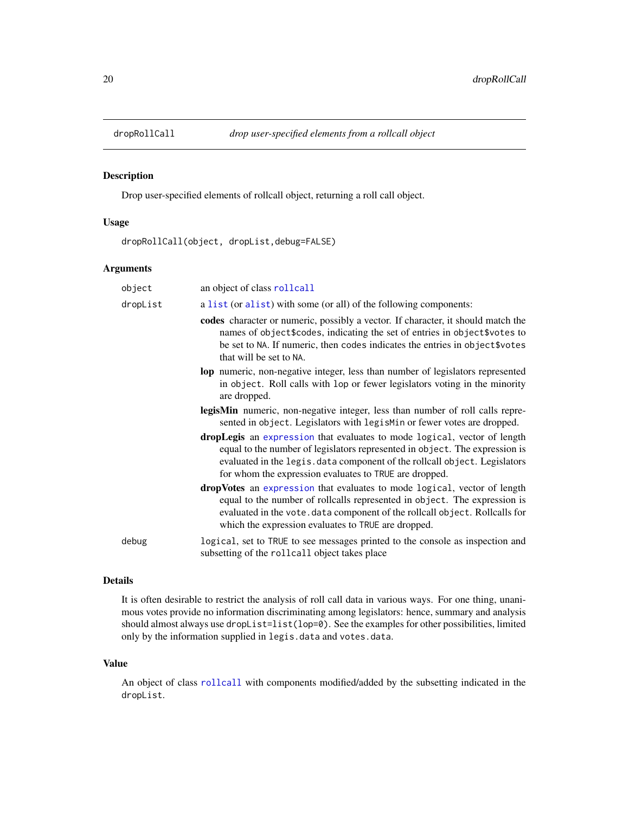<span id="page-19-1"></span><span id="page-19-0"></span>

### Description

Drop user-specified elements of rollcall object, returning a roll call object.

#### Usage

dropRollCall(object, dropList,debug=FALSE)

## Arguments

object an object of class [rollcall](#page-71-1) dropList a [list](#page-0-0) (or [alist](#page-0-0)) with some (or all) of the following components: codes character or numeric, possibly a vector. If character, it should match the names of object\$codes, indicating the set of entries in object\$votes to be set to NA. If numeric, then codes indicates the entries in object\$votes that will be set to NA. lop numeric, non-negative integer, less than number of legislators represented in object. Roll calls with lop or fewer legislators voting in the minority are dropped. legisMin numeric, non-negative integer, less than number of roll calls represented in object. Legislators with legisMin or fewer votes are dropped. dropLegis an [expression](#page-0-0) that evaluates to mode logical, vector of length equal to the number of legislators represented in object. The expression is evaluated in the legis.data component of the rollcall object. Legislators for whom the expression evaluates to TRUE are dropped. dropVotes an [expression](#page-0-0) that evaluates to mode logical, vector of length equal to the number of rollcalls represented in object. The expression is evaluated in the vote.data component of the rollcall object. Rollcalls for which the expression evaluates to TRUE are dropped. debug logical, set to TRUE to see messages printed to the console as inspection and subsetting of the rollcall object takes place

#### Details

It is often desirable to restrict the analysis of roll call data in various ways. For one thing, unanimous votes provide no information discriminating among legislators: hence, summary and analysis should almost always use dropList=list(lop=0). See the examples for other possibilities, limited only by the information supplied in legis.data and votes.data.

#### Value

An object of class [rollcall](#page-71-1) with components modified/added by the subsetting indicated in the dropList.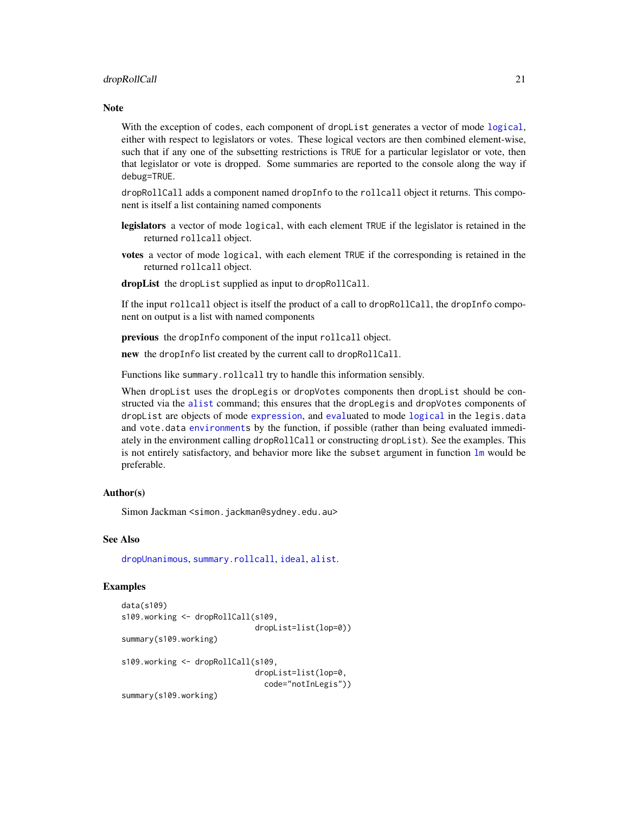#### dropRollCall 21

# Note

With the exception of codes, each component of dropList generates a vector of mode [logical](#page-0-0), either with respect to legislators or votes. These logical vectors are then combined element-wise, such that if any one of the subsetting restrictions is TRUE for a particular legislator or vote, then that legislator or vote is dropped. Some summaries are reported to the console along the way if debug=TRUE.

dropRollCall adds a component named dropInfo to the rollcall object it returns. This component is itself a list containing named components

- legislators a vector of mode logical, with each element TRUE if the legislator is retained in the returned rollcall object.
- votes a vector of mode logical, with each element TRUE if the corresponding is retained in the returned rollcall object.

dropList the dropList supplied as input to dropRollCall.

If the input rollcall object is itself the product of a call to dropRollCall, the dropInfo component on output is a list with named components

previous the dropInfo component of the input rollcall object.

new the dropInfo list created by the current call to dropRollCall.

Functions like summary.rollcall try to handle this information sensibly.

When dropList uses the dropLegis or dropVotes components then dropList should be constructed via the [alist](#page-0-0) command; this ensures that the dropLegis and dropVotes components of dropList are objects of mode [expression](#page-0-0), and [eval](#page-0-0)uated to mode [logical](#page-0-0) in the legis.data and vote.data [environments](#page-0-0) by the function, if possible (rather than being evaluated immediately in the environment calling dropRollCall or constructing dropList). See the examples. This is not entirely satisfactory, and behavior more like the subset argument in function  $\text{lm}$  $\text{lm}$  $\text{lm}$  would be preferable.

#### Author(s)

Simon Jackman < simon.jackman@sydney.edu.au>

#### See Also

[dropUnanimous](#page-21-1), [summary.rollcall](#page-81-1), [ideal](#page-31-1), [alist](#page-0-0).

#### Examples

```
data(s109)
s109.working <- dropRollCall(s109,
                             dropList=list(lop=0))
summary(s109.working)
s109.working <- dropRollCall(s109,
                             dropList=list(lop=0,
                               code="notInLegis"))
summary(s109.working)
```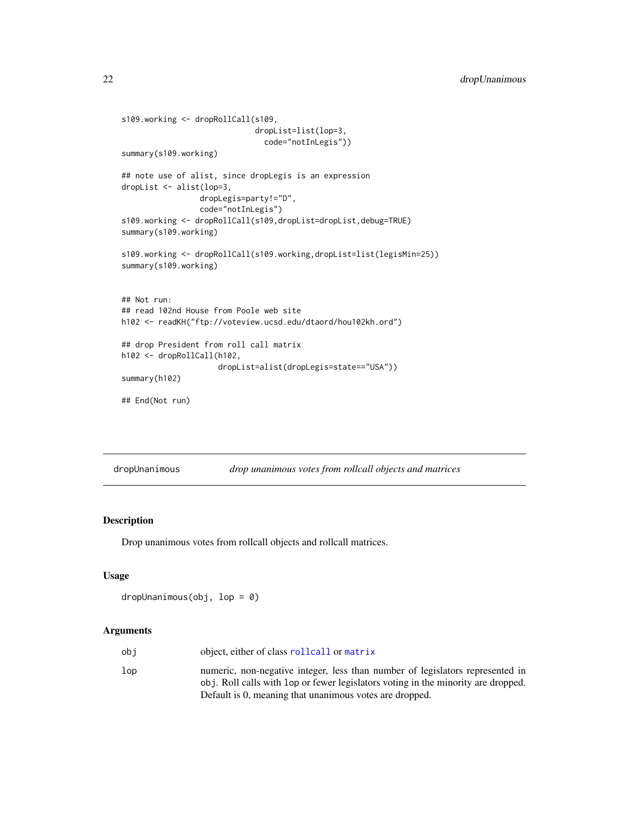```
s109.working <- dropRollCall(s109,
                             dropList=list(lop=3,
                               code="notInLegis"))
summary(s109.working)
## note use of alist, since dropLegis is an expression
dropList <- alist(lop=3,
                 dropLegis=party!="D",
                 code="notInLegis")
s109.working <- dropRollCall(s109,dropList=dropList,debug=TRUE)
summary(s109.working)
s109.working <- dropRollCall(s109.working,dropList=list(legisMin=25))
summary(s109.working)
## Not run:
## read 102nd House from Poole web site
h102 <- readKH("ftp://voteview.ucsd.edu/dtaord/hou102kh.ord")
## drop President from roll call matrix
h102 <- dropRollCall(h102,
                     dropList=alist(dropLegis=state=="USA"))
summary(h102)
## End(Not run)
```
<span id="page-21-1"></span>dropUnanimous *drop unanimous votes from rollcall objects and matrices*

# Description

Drop unanimous votes from rollcall objects and rollcall matrices.

# Usage

```
dropUnanimous(obj, lop = 0)
```
#### Arguments

| obi | object, either of class rollcall or matrix                                                                                                                         |
|-----|--------------------------------------------------------------------------------------------------------------------------------------------------------------------|
| lop | numeric, non-negative integer, less than number of legislators represented in<br>obj. Roll calls with lop or fewer legislators voting in the minority are dropped. |
|     | Default is 0, meaning that unanimous votes are dropped.                                                                                                            |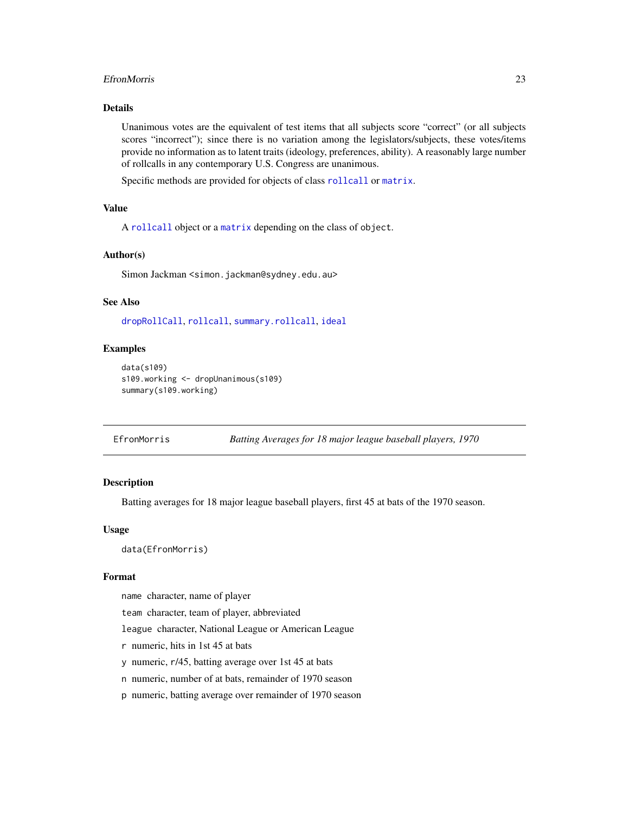#### <span id="page-22-0"></span>EfronMorris 23

# Details

Unanimous votes are the equivalent of test items that all subjects score "correct" (or all subjects scores "incorrect"); since there is no variation among the legislators/subjects, these votes/items provide no information as to latent traits (ideology, preferences, ability). A reasonably large number of rollcalls in any contemporary U.S. Congress are unanimous.

Specific methods are provided for objects of class [rollcall](#page-71-1) or [matrix](#page-0-0).

# Value

A [rollcall](#page-71-1) object or a [matrix](#page-0-0) depending on the class of object.

#### Author(s)

Simon Jackman <simon.jackman@sydney.edu.au>

# See Also

[dropRollCall](#page-19-1), [rollcall](#page-71-1), [summary.rollcall](#page-81-1), [ideal](#page-31-1)

#### Examples

```
data(s109)
s109.working <- dropUnanimous(s109)
summary(s109.working)
```
EfronMorris *Batting Averages for 18 major league baseball players, 1970*

# Description

Batting averages for 18 major league baseball players, first 45 at bats of the 1970 season.

#### Usage

data(EfronMorris)

#### Format

name character, name of player

team character, team of player, abbreviated

league character, National League or American League

r numeric, hits in 1st 45 at bats

y numeric, r/45, batting average over 1st 45 at bats

n numeric, number of at bats, remainder of 1970 season

p numeric, batting average over remainder of 1970 season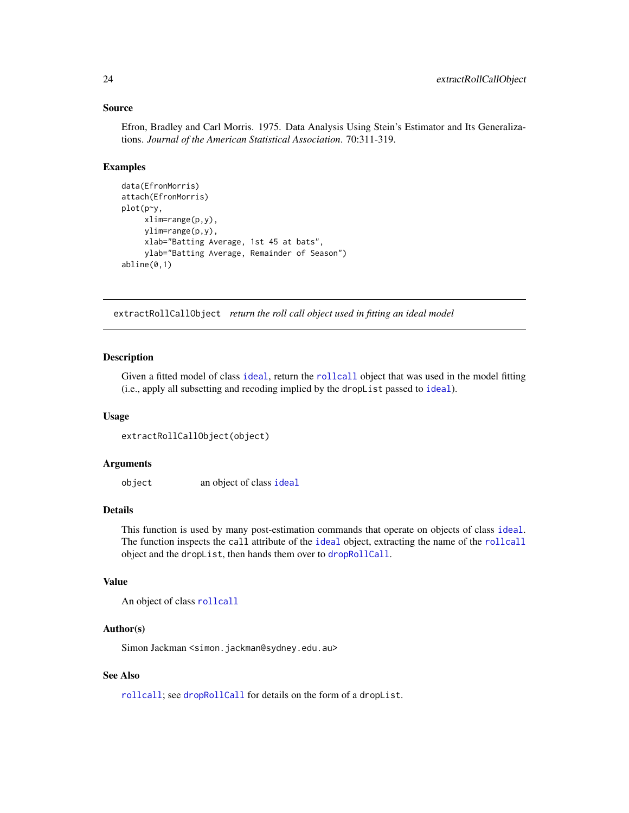#### <span id="page-23-0"></span>Source

Efron, Bradley and Carl Morris. 1975. Data Analysis Using Stein's Estimator and Its Generalizations. *Journal of the American Statistical Association*. 70:311-319.

# Examples

```
data(EfronMorris)
attach(EfronMorris)
plot(p~y,
    xlim=range(p,y),
    ylim=range(p,y),
    xlab="Batting Average, 1st 45 at bats",
    ylab="Batting Average, Remainder of Season")
abline(0,1)
```
extractRollCallObject *return the roll call object used in fitting an ideal model*

#### **Description**

Given a fitted model of class [ideal](#page-31-1), return the [rollcall](#page-71-1) object that was used in the model fitting (i.e., apply all subsetting and recoding implied by the dropList passed to [ideal](#page-31-1)).

#### Usage

```
extractRollCallObject(object)
```
#### Arguments

object an object of class [ideal](#page-31-1)

# Details

This function is used by many post-estimation commands that operate on objects of class [ideal](#page-31-1). The function inspects the call attribute of the [ideal](#page-31-1) object, extracting the name of the [rollcall](#page-71-1) object and the dropList, then hands them over to [dropRollCall](#page-19-1).

#### Value

```
An object of class rollcall
```
#### Author(s)

Simon Jackman <simon.jackman@sydney.edu.au>

# See Also

[rollcall](#page-71-1); see [dropRollCall](#page-19-1) for details on the form of a dropList.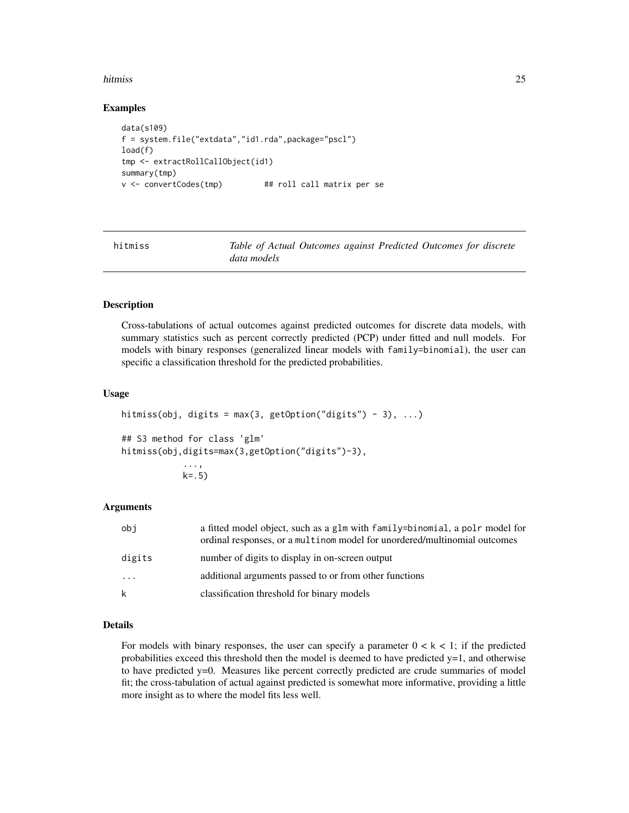#### <span id="page-24-0"></span>hitmiss 25

#### Examples

```
data(s109)
f = system.file("extdata","id1.rda",package="pscl")
load(f)
tmp <- extractRollCallObject(id1)
summary(tmp)
v <- convertCodes(tmp) ## roll call matrix per se
```
hitmiss *Table of Actual Outcomes against Predicted Outcomes for discrete data models*

# **Description**

Cross-tabulations of actual outcomes against predicted outcomes for discrete data models, with summary statistics such as percent correctly predicted (PCP) under fitted and null models. For models with binary responses (generalized linear models with family=binomial), the user can specific a classification threshold for the predicted probabilities.

#### Usage

```
hitmiss(obj, digits = max(3, getOption("digits") - 3), ...)
## S3 method for class 'glm'
hitmiss(obj,digits=max(3,getOption("digits")-3),
            ...,
            k = .5)
```
# Arguments

| obi      | a fitted model object, such as a glm with family=binomial, a polr model for<br>ordinal responses, or a multinom model for unordered/multinomial outcomes |
|----------|----------------------------------------------------------------------------------------------------------------------------------------------------------|
| digits   | number of digits to display in on-screen output                                                                                                          |
| $\cdots$ | additional arguments passed to or from other functions                                                                                                   |
| k        | classification threshold for binary models                                                                                                               |

# Details

For models with binary responses, the user can specify a parameter  $0 < k < 1$ ; if the predicted probabilities exceed this threshold then the model is deemed to have predicted  $y=1$ , and otherwise to have predicted y=0. Measures like percent correctly predicted are crude summaries of model fit; the cross-tabulation of actual against predicted is somewhat more informative, providing a little more insight as to where the model fits less well.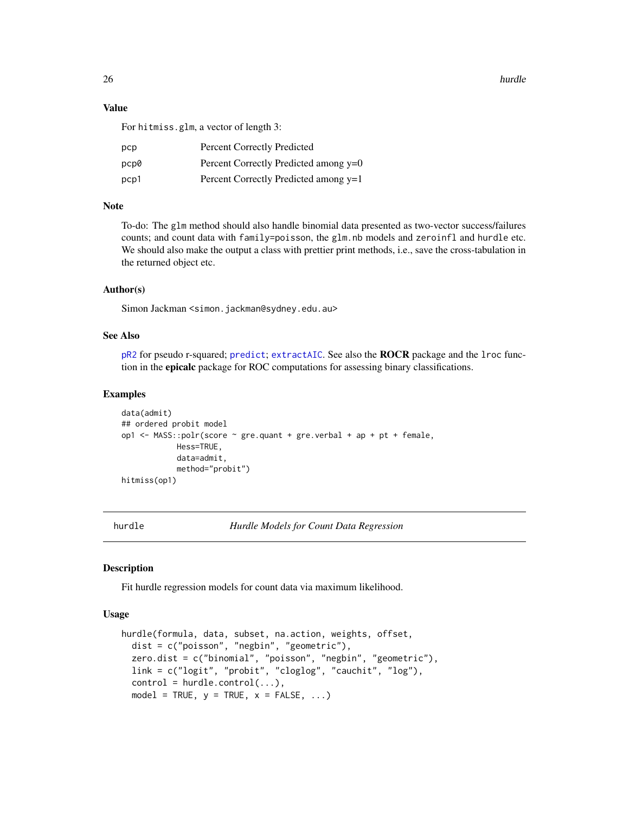26 hurdle buyers are contacted as a set of the set of the set of the set of the set of the set of the set of the set of the set of the set of the set of the set of the set of the set of the set of the set of the set of the

# Value

For hitmiss.glm, a vector of length 3:

| рср  | <b>Percent Correctly Predicted</b>    |
|------|---------------------------------------|
| pcp0 | Percent Correctly Predicted among y=0 |
| pcp1 | Percent Correctly Predicted among y=1 |

# Note

To-do: The glm method should also handle binomial data presented as two-vector success/failures counts; and count data with family=poisson, the glm.nb models and zeroinfl and hurdle etc. We should also make the output a class with prettier print methods, i.e., save the cross-tabulation in the returned object etc.

#### Author(s)

Simon Jackman < simon.jackman@sydney.edu.au>

# See Also

[pR2](#page-54-1) for pseudo r-squared; [predict](#page-0-0); [extractAIC](#page-0-0). See also the ROCR package and the lroc function in the epicalc package for ROC computations for assessing binary classifications.

#### Examples

```
data(admit)
## ordered probit model
op1 <- MASS::polr(score ~ gre.quant + gre.verbal + ap + pt + female,
            Hess=TRUE,
            data=admit,
            method="probit")
hitmiss(op1)
```
<span id="page-25-1"></span>

hurdle *Hurdle Models for Count Data Regression*

# Description

Fit hurdle regression models for count data via maximum likelihood.

# Usage

```
hurdle(formula, data, subset, na.action, weights, offset,
  dist = c("poisson", "negbin", "geometric"),
  zero.dist = c("binomial", "poisson", "negbin", "geometric"),
  link = c("logit", "probit", "cloglog", "cauchit", "log"),
  control = \text{hurdle}.\text{control}(\ldots),model = TRUE, y = TRUE, x = FALSE, ...)
```
<span id="page-25-0"></span>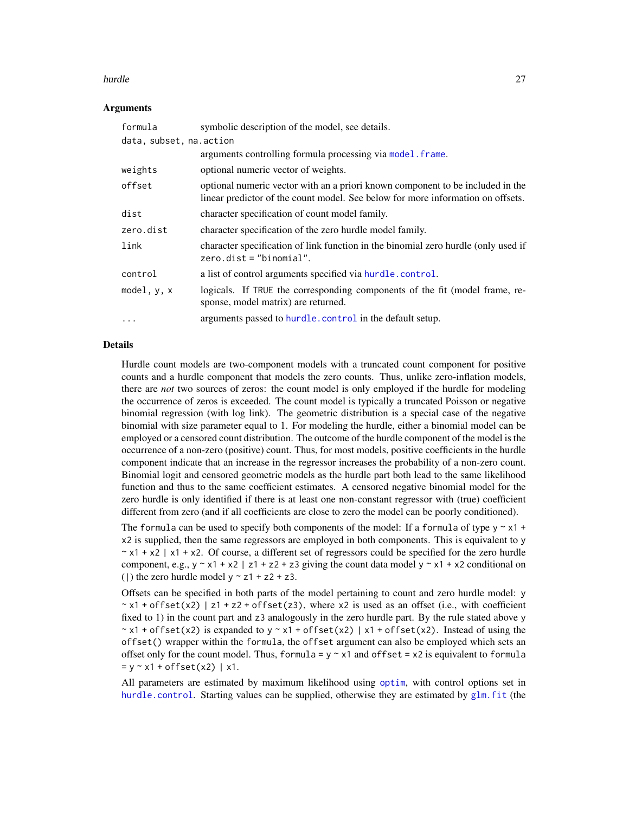#### hurdle 27 and 27 and 27 and 27 and 27 and 27 and 27 and 27 and 27 and 27 and 27 and 27 and 27 and 27 and 27 and 27

#### Arguments

| formula                  | symbolic description of the model, see details.                                                                                                                   |
|--------------------------|-------------------------------------------------------------------------------------------------------------------------------------------------------------------|
| data, subset, na. action |                                                                                                                                                                   |
|                          | arguments controlling formula processing via model. frame.                                                                                                        |
| weights                  | optional numeric vector of weights.                                                                                                                               |
| offset                   | optional numeric vector with an a priori known component to be included in the<br>linear predictor of the count model. See below for more information on offsets. |
| dist                     | character specification of count model family.                                                                                                                    |
| zero.dist                | character specification of the zero hurdle model family.                                                                                                          |
| link                     | character specification of link function in the binomial zero hurdle (only used if<br>$zero.dist = "binomial".$                                                   |
| control                  | a list of control arguments specified via hurdle.control.                                                                                                         |
| model, $y$ , $x$         | logicals. If TRUE the corresponding components of the fit (model frame, re-<br>sponse, model matrix) are returned.                                                |
|                          | arguments passed to hurdle. control in the default setup.                                                                                                         |

# Details

Hurdle count models are two-component models with a truncated count component for positive counts and a hurdle component that models the zero counts. Thus, unlike zero-inflation models, there are *not* two sources of zeros: the count model is only employed if the hurdle for modeling the occurrence of zeros is exceeded. The count model is typically a truncated Poisson or negative binomial regression (with log link). The geometric distribution is a special case of the negative binomial with size parameter equal to 1. For modeling the hurdle, either a binomial model can be employed or a censored count distribution. The outcome of the hurdle component of the model is the occurrence of a non-zero (positive) count. Thus, for most models, positive coefficients in the hurdle component indicate that an increase in the regressor increases the probability of a non-zero count. Binomial logit and censored geometric models as the hurdle part both lead to the same likelihood function and thus to the same coefficient estimates. A censored negative binomial model for the zero hurdle is only identified if there is at least one non-constant regressor with (true) coefficient different from zero (and if all coefficients are close to zero the model can be poorly conditioned).

The formula can be used to specify both components of the model: If a formula of type  $y \sim x1 +$ x2 is supplied, then the same regressors are employed in both components. This is equivalent to y  $\sim x1 + x2$  | x1 + x2. Of course, a different set of regressors could be specified for the zero hurdle component, e.g.,  $y \sim x1 + x2$  | z1 + z2 + z3 giving the count data model  $y \sim x1 + x2$  conditional on (1) the zero hurdle model  $y \sim z1 + z2 + z3$ .

Offsets can be specified in both parts of the model pertaining to count and zero hurdle model: y  $\sim$  x1 + offset(x2) | z1 + z2 + offset(z3), where x2 is used as an offset (i.e., with coefficient fixed to 1) in the count part and z3 analogously in the zero hurdle part. By the rule stated above y  $\sim$  x1 + offset(x2) is expanded to y  $\sim$  x1 + offset(x2) | x1 + offset(x2). Instead of using the offset() wrapper within the formula, the offset argument can also be employed which sets an offset only for the count model. Thus, formula =  $y \sim x1$  and offset =  $x2$  is equivalent to formula  $= y - x1 + \text{offset}(x2) | x1.$ 

All parameters are estimated by maximum likelihood using [optim](#page-0-0), with control options set in [hurdle.control](#page-29-1). Starting values can be supplied, otherwise they are estimated by [glm.fit](#page-0-0) (the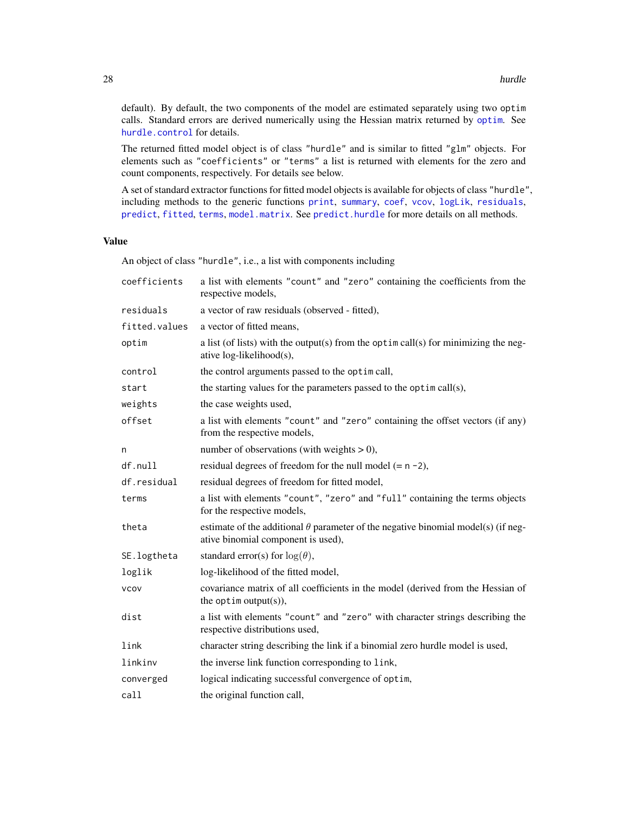default). By default, the two components of the model are estimated separately using two optim calls. Standard errors are derived numerically using the Hessian matrix returned by [optim](#page-0-0). See [hurdle.control](#page-29-1) for details.

The returned fitted model object is of class "hurdle" and is similar to fitted "glm" objects. For elements such as "coefficients" or "terms" a list is returned with elements for the zero and count components, respectively. For details see below.

A set of standard extractor functions for fitted model objects is available for objects of class "hurdle", including methods to the generic functions [print](#page-0-0), [summary](#page-0-0), [coef](#page-0-0), [vcov](#page-0-0), [logLik](#page-0-0), [residuals](#page-0-0), [predict](#page-0-0), [fitted](#page-0-0), [terms](#page-0-0), [model.matrix](#page-0-0). See [predict.hurdle](#page-55-1) for more details on all methods.

# Value

An object of class "hurdle", i.e., a list with components including

| coefficients  | a list with elements "count" and "zero" containing the coefficients from the<br>respective models,                             |
|---------------|--------------------------------------------------------------------------------------------------------------------------------|
| residuals     | a vector of raw residuals (observed - fitted),                                                                                 |
| fitted.values | a vector of fitted means,                                                                                                      |
| optim         | a list (of lists) with the output(s) from the optim call(s) for minimizing the neg-<br>ative log-likelihood(s),                |
| control       | the control arguments passed to the optim call,                                                                                |
| start         | the starting values for the parameters passed to the optim call(s),                                                            |
| weights       | the case weights used,                                                                                                         |
| offset        | a list with elements "count" and "zero" containing the offset vectors (if any)<br>from the respective models,                  |
| n             | number of observations (with weights $> 0$ ),                                                                                  |
| df.null       | residual degrees of freedom for the null model $(= n - 2)$ ,                                                                   |
| df.residual   | residual degrees of freedom for fitted model,                                                                                  |
| terms         | a list with elements "count", "zero" and "full" containing the terms objects<br>for the respective models,                     |
| theta         | estimate of the additional $\theta$ parameter of the negative binomial model(s) (if neg-<br>ative binomial component is used), |
| SE.logtheta   | standard error(s) for $log(\theta)$ ,                                                                                          |
| loglik        | log-likelihood of the fitted model,                                                                                            |
| <b>VCOV</b>   | covariance matrix of all coefficients in the model (derived from the Hessian of<br>the optim output $(s)$ ),                   |
| dist          | a list with elements "count" and "zero" with character strings describing the<br>respective distributions used,                |
| link          | character string describing the link if a binomial zero hurdle model is used,                                                  |
| linkinv       | the inverse link function corresponding to link,                                                                               |
| converged     | logical indicating successful convergence of optim,                                                                            |
| call          | the original function call,                                                                                                    |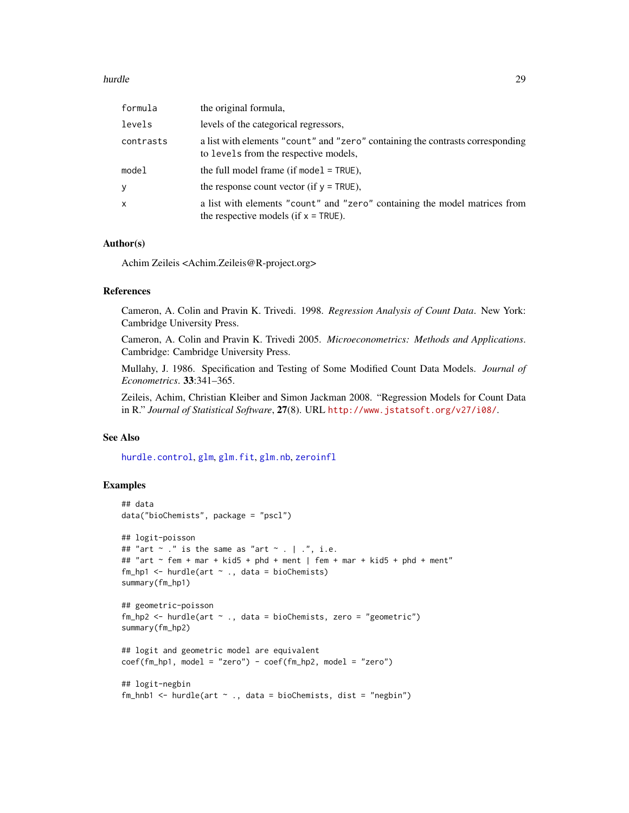#### hurdle 29

| formula      | the original formula,                                                                                                   |
|--------------|-------------------------------------------------------------------------------------------------------------------------|
| levels       | levels of the categorical regressors,                                                                                   |
| contrasts    | a list with elements "count" and "zero" containing the contrasts corresponding<br>to levels from the respective models, |
| model        | the full model frame (if model $=$ TRUE),                                                                               |
| y            | the response count vector (if $y = TRUE$ ),                                                                             |
| $\mathsf{x}$ | a list with elements "count" and "zero" containing the model matrices from<br>the respective models (if $x = TRUE$ ).   |

# Author(s)

Achim Zeileis <Achim.Zeileis@R-project.org>

# References

Cameron, A. Colin and Pravin K. Trivedi. 1998. *Regression Analysis of Count Data*. New York: Cambridge University Press.

Cameron, A. Colin and Pravin K. Trivedi 2005. *Microeconometrics: Methods and Applications*. Cambridge: Cambridge University Press.

Mullahy, J. 1986. Specification and Testing of Some Modified Count Data Models. *Journal of Econometrics*. 33:341–365.

Zeileis, Achim, Christian Kleiber and Simon Jackman 2008. "Regression Models for Count Data in R." *Journal of Statistical Software*, 27(8). URL <http://www.jstatsoft.org/v27/i08/>.

#### See Also

[hurdle.control](#page-29-1), [glm](#page-0-0), [glm.fit](#page-0-0), [glm.nb](#page-0-0), [zeroinfl](#page-91-1)

# Examples

```
## data
data("bioChemists", package = "pscl")
## logit-poisson
## "art \sim ." is the same as "art \sim . | .", i.e.
## "art \sim fem + mar + kid5 + phd + ment | fem + mar + kid5 + phd + ment"
fm_hp1 \leftarrow \text{hurdle}(\text{art} \sim ., \text{ data = bioChemists})summary(fm_hp1)
## geometric-poisson
fm_hp2 \leq -hurdle(art \sim ., data = bioChemists, zero = "geometric")summary(fm_hp2)
## logit and geometric model are equivalent
coef(fm_hp1, model = "zero") - coef(fm_hp2, model = "zero")## logit-negbin
fm_{h}hnb1 <- hurdle(art ~ ., data = bioChemists, dist = "negbin")
```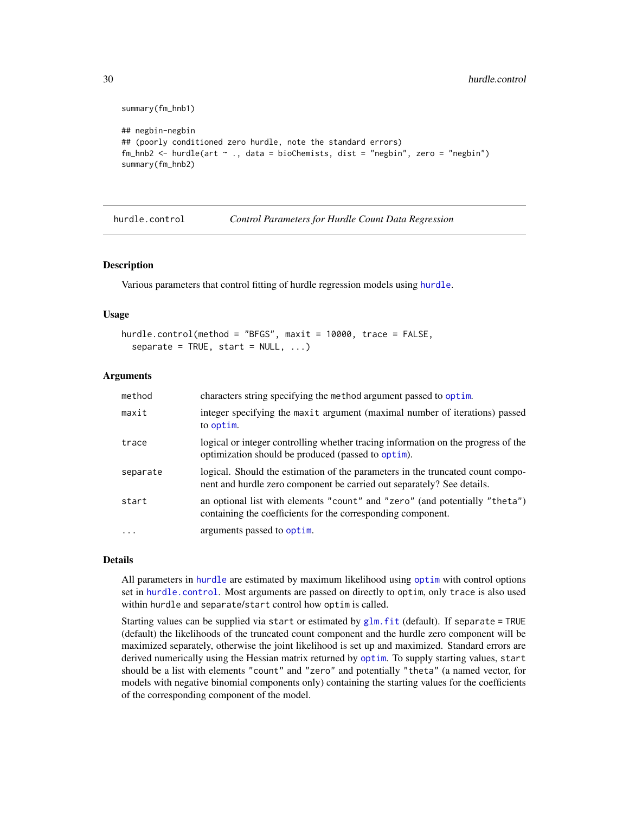```
summary(fm_hnb1)
## negbin-negbin
## (poorly conditioned zero hurdle, note the standard errors)
fm_hnb2 <- hurdle(art ~ ., data = bioChemists, dist = "negbin", zero = "negbin")
summary(fm_hnb2)
```
<span id="page-29-1"></span>hurdle.control *Control Parameters for Hurdle Count Data Regression*

#### Description

Various parameters that control fitting of hurdle regression models using [hurdle](#page-25-1).

#### Usage

```
hurdle.control(method = "BFGS", maxit = 10000, trace = FALSE,
  separate = TRUE, start = NULL, ...
```
#### Arguments

| method   | characters string specifying the method argument passed to optim.                                                                                        |
|----------|----------------------------------------------------------------------------------------------------------------------------------------------------------|
| maxit    | integer specifying the maxit argument (maximal number of iterations) passed<br>to optim.                                                                 |
| trace    | logical or integer controlling whether tracing information on the progress of the<br>optimization should be produced (passed to optim).                  |
| separate | logical. Should the estimation of the parameters in the truncated count compo-<br>nent and hurdle zero component be carried out separately? See details. |
| start    | an optional list with elements "count" and "zero" (and potentially "theta")<br>containing the coefficients for the corresponding component.              |
| $\cdot$  | arguments passed to optim.                                                                                                                               |

#### Details

All parameters in [hurdle](#page-25-1) are estimated by maximum likelihood using [optim](#page-0-0) with control options set in [hurdle.control](#page-29-1). Most arguments are passed on directly to optim, only trace is also used within hurdle and separate/start control how optim is called.

Starting values can be supplied via start or estimated by  $glm$ . fit (default). If separate = TRUE (default) the likelihoods of the truncated count component and the hurdle zero component will be maximized separately, otherwise the joint likelihood is set up and maximized. Standard errors are derived numerically using the Hessian matrix returned by [optim](#page-0-0). To supply starting values, start should be a list with elements "count" and "zero" and potentially "theta" (a named vector, for models with negative binomial components only) containing the starting values for the coefficients of the corresponding component of the model.

<span id="page-29-0"></span>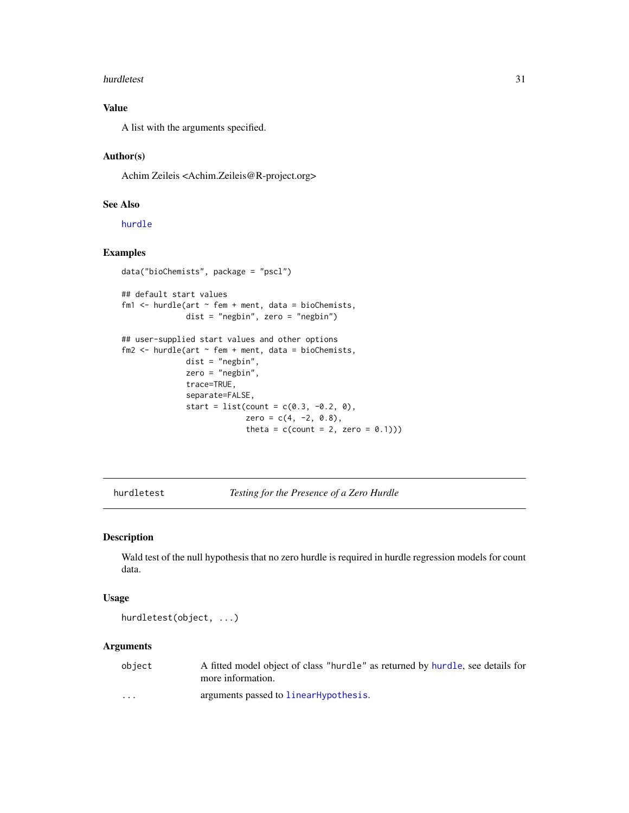#### <span id="page-30-0"></span>hurdletest 31

# Value

A list with the arguments specified.

# Author(s)

Achim Zeileis <Achim.Zeileis@R-project.org>

# See Also

[hurdle](#page-25-1)

# Examples

```
data("bioChemists", package = "pscl")
## default start values
fm1 <- hurdle(art \sim fem + ment, data = bioChemists,
              dist = "negbin", zero = "negbin")
## user-supplied start values and other options
fm2 \leq hurdle(art \sim fem + ment, data = bioChemists,
              dist = "negbin",
              zero = "negbin",
              trace=TRUE,
              separate=FALSE,
              start = list(count = c(0.3, -0.2, 0),
                           zero = c(4, -2, 0.8),
                           theta = c(count = 2, zero = 0.1)))
```
hurdletest *Testing for the Presence of a Zero Hurdle*

# Description

Wald test of the null hypothesis that no zero hurdle is required in hurdle regression models for count data.

#### Usage

hurdletest(object, ...)

# Arguments

| object                  | A fitted model object of class "hurdle" as returned by hurdle, see details for<br>more information. |
|-------------------------|-----------------------------------------------------------------------------------------------------|
| $\cdot$ $\cdot$ $\cdot$ | arguments passed to linearHypothesis.                                                               |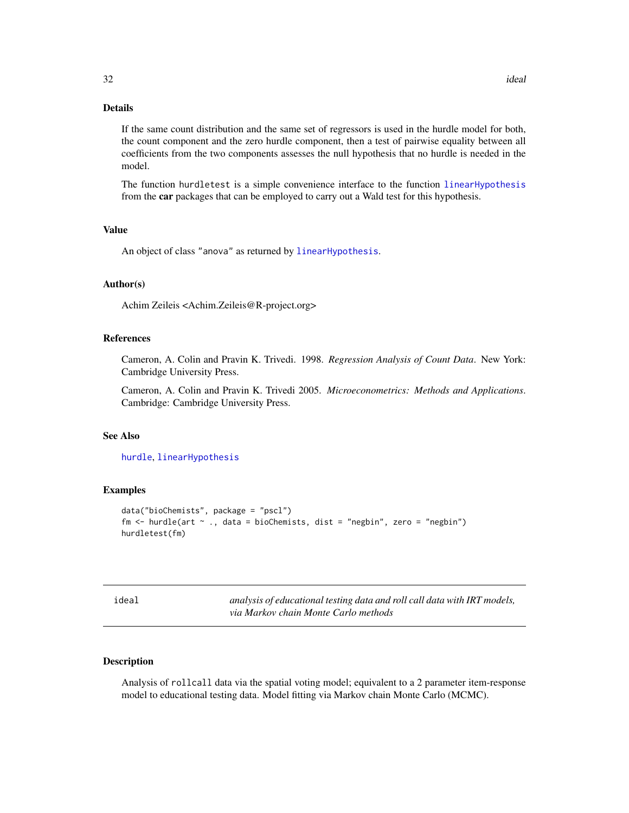# <span id="page-31-0"></span>Details

If the same count distribution and the same set of regressors is used in the hurdle model for both, the count component and the zero hurdle component, then a test of pairwise equality between all coefficients from the two components assesses the null hypothesis that no hurdle is needed in the model.

The function hurdletest is a simple convenience interface to the function [linearHypothesis](#page-0-0) from the car packages that can be employed to carry out a Wald test for this hypothesis.

#### Value

An object of class "anova" as returned by [linearHypothesis](#page-0-0).

#### Author(s)

Achim Zeileis <Achim.Zeileis@R-project.org>

# References

Cameron, A. Colin and Pravin K. Trivedi. 1998. *Regression Analysis of Count Data*. New York: Cambridge University Press.

Cameron, A. Colin and Pravin K. Trivedi 2005. *Microeconometrics: Methods and Applications*. Cambridge: Cambridge University Press.

# See Also

[hurdle](#page-25-1), [linearHypothesis](#page-0-0)

#### Examples

```
data("bioChemists", package = "pscl")
fm <- hurdle(art ~ ., data = bioChemists, dist = "negbin", zero = "negbin")
hurdletest(fm)
```
<span id="page-31-1"></span>

|--|

analysis of educational testing data and roll call data with IRT models, *via Markov chain Monte Carlo methods*

# Description

Analysis of rollcall data via the spatial voting model; equivalent to a 2 parameter item-response model to educational testing data. Model fitting via Markov chain Monte Carlo (MCMC).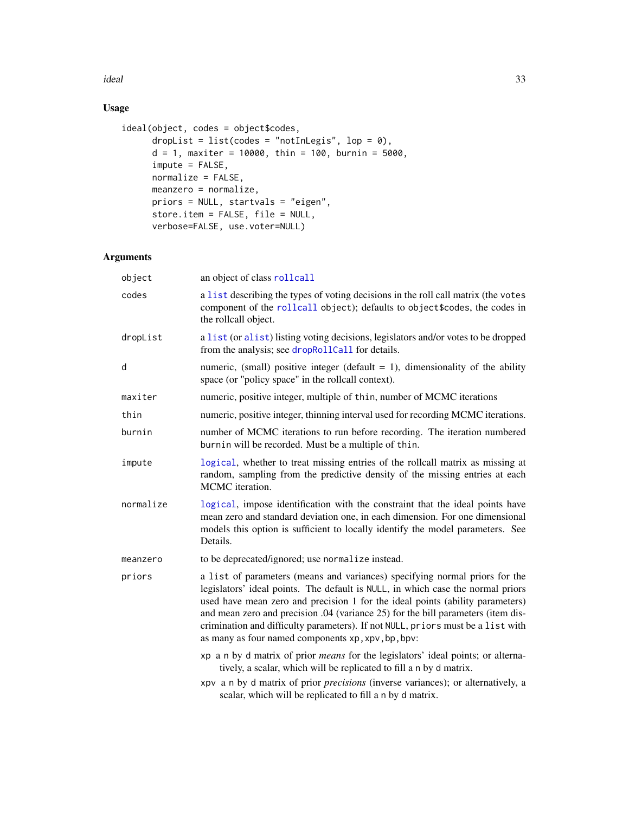ideal 33

# Usage

```
ideal(object, codes = object$codes,
      dropList = list(codes = "notInLegis", lop = 0),
      d = 1, maxiter = 10000, thin = 100, burnin = 5000,
      \mathsf{impute} = \mathsf{FALSE},normalize = FALSE,
      meanzero = normalize,
      priors = NULL, startvals = "eigen",
      store.item = FALSE, file = NULL,
      verbose=FALSE, use.voter=NULL)
```
# Arguments

| object    | an object of class rollcall                                                                                                                                                                                                                                                                                                                                                                                                                                                  |
|-----------|------------------------------------------------------------------------------------------------------------------------------------------------------------------------------------------------------------------------------------------------------------------------------------------------------------------------------------------------------------------------------------------------------------------------------------------------------------------------------|
| codes     | a list describing the types of voting decisions in the roll call matrix (the votes<br>component of the rollcall object); defaults to object \$codes, the codes in<br>the rollcall object.                                                                                                                                                                                                                                                                                    |
| dropList  | a list (or alist) listing voting decisions, legislators and/or votes to be dropped<br>from the analysis; see dropRollCall for details.                                                                                                                                                                                                                                                                                                                                       |
| d         | numeric, (small) positive integer (default $= 1$ ), dimensionality of the ability<br>space (or "policy space" in the rollcall context).                                                                                                                                                                                                                                                                                                                                      |
| maxiter   | numeric, positive integer, multiple of thin, number of MCMC iterations                                                                                                                                                                                                                                                                                                                                                                                                       |
| thin      | numeric, positive integer, thinning interval used for recording MCMC iterations.                                                                                                                                                                                                                                                                                                                                                                                             |
| burnin    | number of MCMC iterations to run before recording. The iteration numbered<br>burnin will be recorded. Must be a multiple of thin.                                                                                                                                                                                                                                                                                                                                            |
| impute    | logical, whether to treat missing entries of the rollcall matrix as missing at<br>random, sampling from the predictive density of the missing entries at each<br>MCMC iteration.                                                                                                                                                                                                                                                                                             |
| normalize | logical, impose identification with the constraint that the ideal points have<br>mean zero and standard deviation one, in each dimension. For one dimensional<br>models this option is sufficient to locally identify the model parameters. See<br>Details.                                                                                                                                                                                                                  |
| meanzero  | to be deprecated/ignored; use normalize instead.                                                                                                                                                                                                                                                                                                                                                                                                                             |
| priors    | a list of parameters (means and variances) specifying normal priors for the<br>legislators' ideal points. The default is NULL, in which case the normal priors<br>used have mean zero and precision 1 for the ideal points (ability parameters)<br>and mean zero and precision .04 (variance 25) for the bill parameters (item dis-<br>crimination and difficulty parameters). If not NULL, priors must be a list with<br>as many as four named components xp, xpv, bp, bpv: |
|           | xp a n by d matrix of prior <i>means</i> for the legislators' ideal points; or alterna-<br>tively, a scalar, which will be replicated to fill a n by d matrix.                                                                                                                                                                                                                                                                                                               |
|           | xpv a n by d matrix of prior <i>precisions</i> (inverse variances); or alternatively, a<br>scalar, which will be replicated to fill a n by d matrix.                                                                                                                                                                                                                                                                                                                         |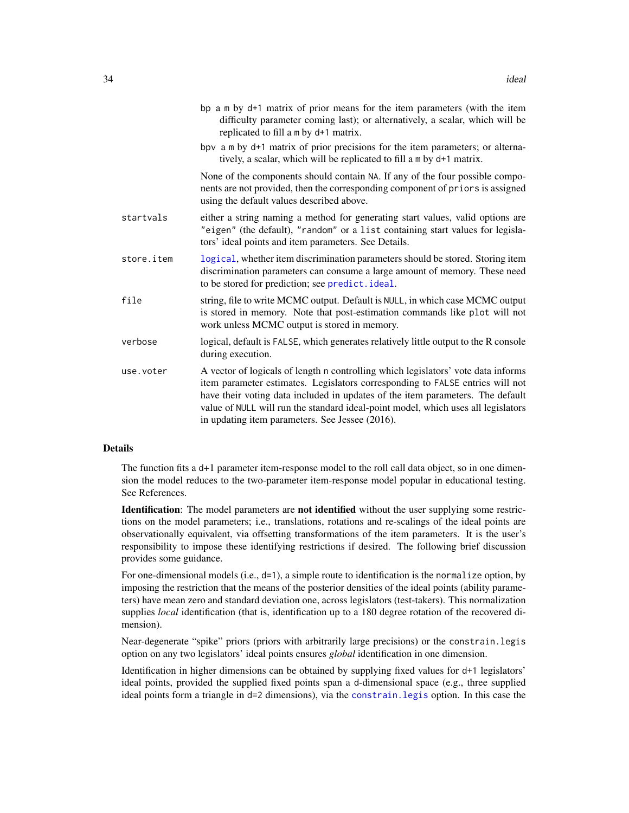| bp a m by d+1 matrix of prior means for the item parameters (with the item<br>difficulty parameter coming last); or alternatively, a scalar, which will be<br>replicated to fill a m by d+1 matrix.                                                                                                                                                                                          |
|----------------------------------------------------------------------------------------------------------------------------------------------------------------------------------------------------------------------------------------------------------------------------------------------------------------------------------------------------------------------------------------------|
| bpv a m by d+1 matrix of prior precisions for the item parameters; or alterna-<br>tively, a scalar, which will be replicated to fill a m by d+1 matrix.                                                                                                                                                                                                                                      |
| None of the components should contain NA. If any of the four possible compo-<br>nents are not provided, then the corresponding component of priors is assigned<br>using the default values described above.                                                                                                                                                                                  |
| either a string naming a method for generating start values, valid options are<br>"eigen" (the default), "random" or a list containing start values for legisla-<br>tors' ideal points and item parameters. See Details.                                                                                                                                                                     |
| logical, whether item discrimination parameters should be stored. Storing item<br>discrimination parameters can consume a large amount of memory. These need<br>to be stored for prediction; see predict. ideal.                                                                                                                                                                             |
| string, file to write MCMC output. Default is NULL, in which case MCMC output<br>is stored in memory. Note that post-estimation commands like plot will not<br>work unless MCMC output is stored in memory.                                                                                                                                                                                  |
| logical, default is FALSE, which generates relatively little output to the R console<br>during execution.                                                                                                                                                                                                                                                                                    |
| A vector of logicals of length n controlling which legislators' vote data informs<br>item parameter estimates. Legislators corresponding to FALSE entries will not<br>have their voting data included in updates of the item parameters. The default<br>value of NULL will run the standard ideal-point model, which uses all legislators<br>in updating item parameters. See Jessee (2016). |
|                                                                                                                                                                                                                                                                                                                                                                                              |

#### Details

The function fits a d+1 parameter item-response model to the roll call data object, so in one dimension the model reduces to the two-parameter item-response model popular in educational testing. See References.

Identification: The model parameters are not identified without the user supplying some restrictions on the model parameters; i.e., translations, rotations and re-scalings of the ideal points are observationally equivalent, via offsetting transformations of the item parameters. It is the user's responsibility to impose these identifying restrictions if desired. The following brief discussion provides some guidance.

For one-dimensional models (i.e.,  $d=1$ ), a simple route to identification is the normalize option, by imposing the restriction that the means of the posterior densities of the ideal points (ability parameters) have mean zero and standard deviation one, across legislators (test-takers). This normalization supplies *local* identification (that is, identification up to a 180 degree rotation of the recovered dimension).

Near-degenerate "spike" priors (priors with arbitrarily large precisions) or the constrain.legis option on any two legislators' ideal points ensures *global* identification in one dimension.

Identification in higher dimensions can be obtained by supplying fixed values for d+1 legislators' ideal points, provided the supplied fixed points span a d-dimensional space (e.g., three supplied ideal points form a triangle in d=2 dimensions), via the [constrain.legis](#page-15-1) option. In this case the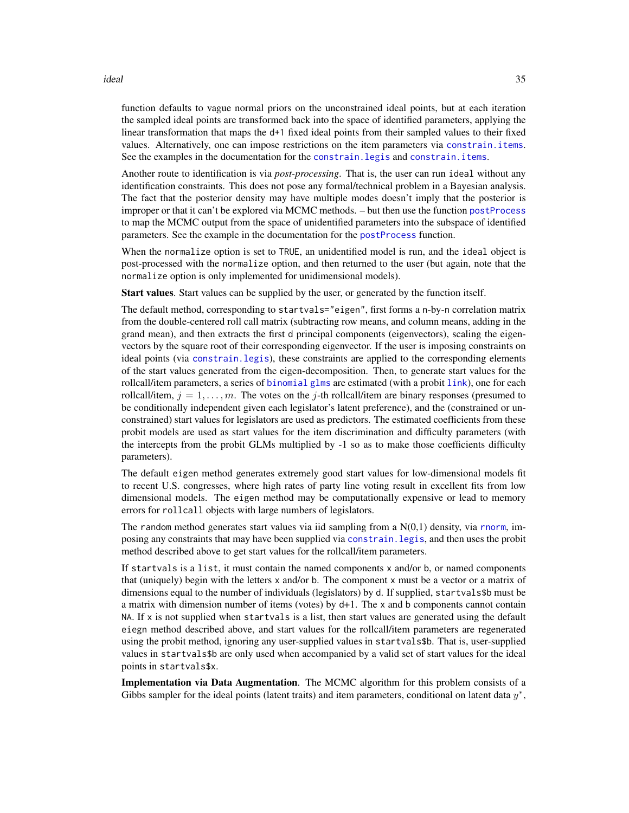#### ideal 35

function defaults to vague normal priors on the unconstrained ideal points, but at each iteration the sampled ideal points are transformed back into the space of identified parameters, applying the linear transformation that maps the d+1 fixed ideal points from their sampled values to their fixed values. Alternatively, one can impose restrictions on the item parameters via [constrain.items](#page-13-1). See the examples in the documentation for the [constrain.legis](#page-15-1) and [constrain.items](#page-13-1).

Another route to identification is via *post-processing*. That is, the user can run ideal without any identification constraints. This does not pose any formal/technical problem in a Bayesian analysis. The fact that the posterior density may have multiple modes doesn't imply that the posterior is improper or that it can't be explored via MCMC methods. – but then use the function [postProcess](#page-51-1) to map the MCMC output from the space of unidentified parameters into the subspace of identified parameters. See the example in the documentation for the [postProcess](#page-51-1) function.

When the normalize option is set to TRUE, an unidentified model is run, and the ideal object is post-processed with the normalize option, and then returned to the user (but again, note that the normalize option is only implemented for unidimensional models).

Start values. Start values can be supplied by the user, or generated by the function itself.

The default method, corresponding to startvals="eigen", first forms a n-by-n correlation matrix from the double-centered roll call matrix (subtracting row means, and column means, adding in the grand mean), and then extracts the first d principal components (eigenvectors), scaling the eigenvectors by the square root of their corresponding eigenvector. If the user is imposing constraints on ideal points (via [constrain.legis](#page-15-1)), these constraints are applied to the corresponding elements of the start values generated from the eigen-decomposition. Then, to generate start values for the rollcall/item parameters, a series of [binomial](#page-0-0) [glms](#page-0-0) are estimated (with a probit [link](#page-0-0)), one for each rollcall/item,  $j = 1, \ldots, m$ . The votes on the j-th rollcall/item are binary responses (presumed to be conditionally independent given each legislator's latent preference), and the (constrained or unconstrained) start values for legislators are used as predictors. The estimated coefficients from these probit models are used as start values for the item discrimination and difficulty parameters (with the intercepts from the probit GLMs multiplied by -1 so as to make those coefficients difficulty parameters).

The default eigen method generates extremely good start values for low-dimensional models fit to recent U.S. congresses, where high rates of party line voting result in excellent fits from low dimensional models. The eigen method may be computationally expensive or lead to memory errors for rollcall objects with large numbers of legislators.

The random method generates start values via iid sampling from a  $N(0,1)$  density, via [rnorm](#page-0-0), imposing any constraints that may have been supplied via [constrain.legis](#page-15-1), and then uses the probit method described above to get start values for the rollcall/item parameters.

If startvals is a list, it must contain the named components x and/or b, or named components that (uniquely) begin with the letters x and/or b. The component x must be a vector or a matrix of dimensions equal to the number of individuals (legislators) by d. If supplied, startvals\$b must be a matrix with dimension number of items (votes) by d+1. The x and b components cannot contain NA. If x is not supplied when startvals is a list, then start values are generated using the default eiegn method described above, and start values for the rollcall/item parameters are regenerated using the probit method, ignoring any user-supplied values in startvals\$b. That is, user-supplied values in startvals\$b are only used when accompanied by a valid set of start values for the ideal points in startvals\$x.

Implementation via Data Augmentation. The MCMC algorithm for this problem consists of a Gibbs sampler for the ideal points (latent traits) and item parameters, conditional on latent data  $y^*$ ,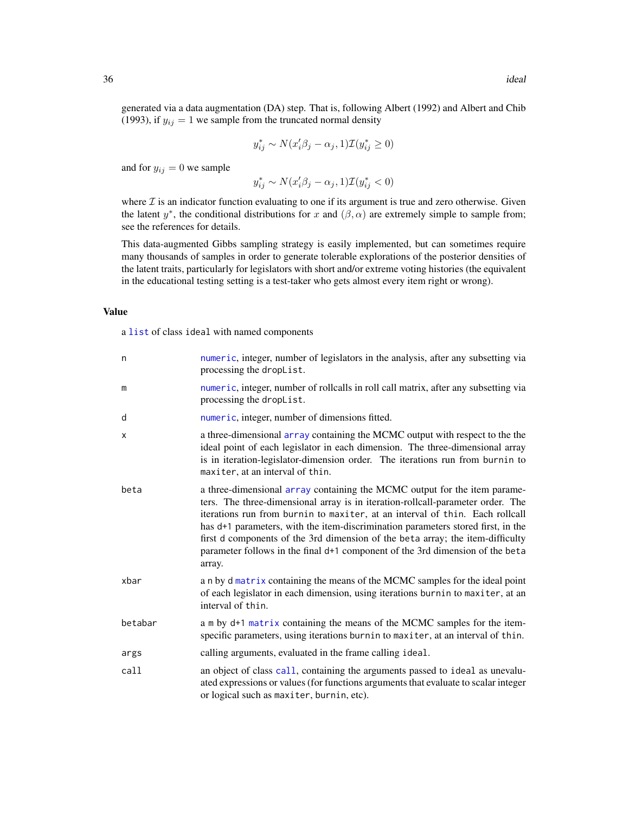generated via a data augmentation (DA) step. That is, following Albert (1992) and Albert and Chib (1993), if  $y_{ij} = 1$  we sample from the truncated normal density

$$
y_{ij}^* \sim N(x_i'\beta_j - \alpha_j, 1)\mathcal{I}(y_{ij}^* \ge 0)
$$

and for  $y_{ij} = 0$  we sample

 $y_{ij}^* \sim N(x_i' \beta_j - \alpha_j, 1) \mathcal{I}(y_{ij}^* < 0)$ 

where  $\mathcal I$  is an indicator function evaluating to one if its argument is true and zero otherwise. Given the latent  $y^*$ , the conditional distributions for x and  $(\beta, \alpha)$  are extremely simple to sample from; see the references for details.

This data-augmented Gibbs sampling strategy is easily implemented, but can sometimes require many thousands of samples in order to generate tolerable explorations of the posterior densities of the latent traits, particularly for legislators with short and/or extreme voting histories (the equivalent in the educational testing setting is a test-taker who gets almost every item right or wrong).

# Value

a [list](#page-0-0) of class ideal with named components

| n       | numeric, integer, number of legislators in the analysis, after any subsetting via<br>processing the dropList.                                                                                                                                                                                                                                                                                                                                                                                                 |
|---------|---------------------------------------------------------------------------------------------------------------------------------------------------------------------------------------------------------------------------------------------------------------------------------------------------------------------------------------------------------------------------------------------------------------------------------------------------------------------------------------------------------------|
| m       | numeric, integer, number of rollcalls in roll call matrix, after any subsetting via<br>processing the dropList.                                                                                                                                                                                                                                                                                                                                                                                               |
| d       | numeric, integer, number of dimensions fitted.                                                                                                                                                                                                                                                                                                                                                                                                                                                                |
| х       | a three-dimensional array containing the MCMC output with respect to the the<br>ideal point of each legislator in each dimension. The three-dimensional array<br>is in iteration-legislator-dimension order. The iterations run from burnin to<br>maxiter, at an interval of thin.                                                                                                                                                                                                                            |
| beta    | a three-dimensional array containing the MCMC output for the item parame-<br>ters. The three-dimensional array is in iteration-rollcall-parameter order. The<br>iterations run from burnin to maxiter, at an interval of thin. Each rollcall<br>has d+1 parameters, with the item-discrimination parameters stored first, in the<br>first d components of the 3rd dimension of the beta array; the item-difficulty<br>parameter follows in the final d+1 component of the 3rd dimension of the beta<br>array. |
| xbar    | a n by d matrix containing the means of the MCMC samples for the ideal point<br>of each legislator in each dimension, using iterations burnin to maxiter, at an<br>interval of thin.                                                                                                                                                                                                                                                                                                                          |
| betabar | a m by d+1 matrix containing the means of the MCMC samples for the item-<br>specific parameters, using iterations burnin to maxiter, at an interval of thin.                                                                                                                                                                                                                                                                                                                                                  |
| args    | calling arguments, evaluated in the frame calling ideal.                                                                                                                                                                                                                                                                                                                                                                                                                                                      |
| call    | an object of class call, containing the arguments passed to ideal as unevalu-<br>ated expressions or values (for functions arguments that evaluate to scalar integer<br>or logical such as maxiter, burnin, etc).                                                                                                                                                                                                                                                                                             |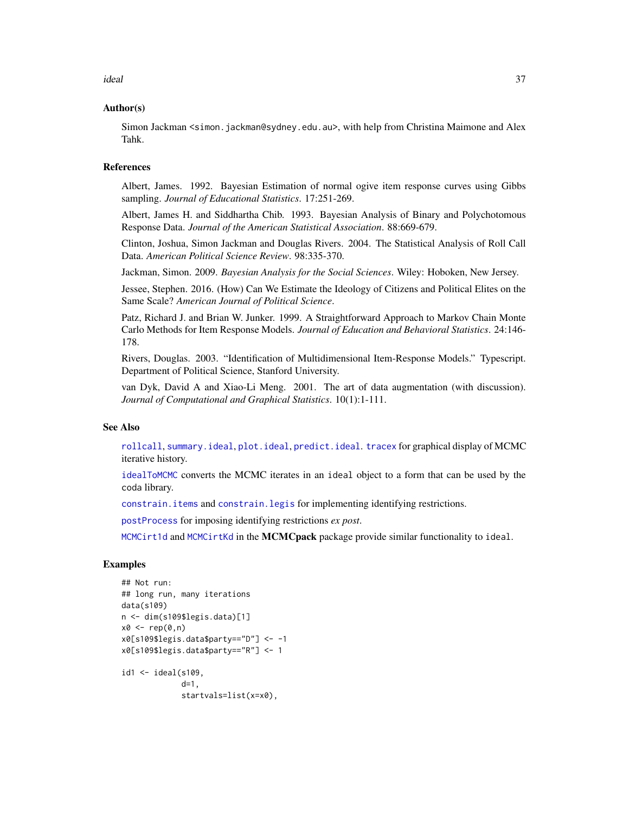ideal 37

#### Author(s)

Simon Jackman < simon. jackman@sydney.edu.au>, with help from Christina Maimone and Alex Tahk.

#### References

Albert, James. 1992. Bayesian Estimation of normal ogive item response curves using Gibbs sampling. *Journal of Educational Statistics*. 17:251-269.

Albert, James H. and Siddhartha Chib. 1993. Bayesian Analysis of Binary and Polychotomous Response Data. *Journal of the American Statistical Association*. 88:669-679.

Clinton, Joshua, Simon Jackman and Douglas Rivers. 2004. The Statistical Analysis of Roll Call Data. *American Political Science Review*. 98:335-370.

Jackman, Simon. 2009. *Bayesian Analysis for the Social Sciences*. Wiley: Hoboken, New Jersey.

Jessee, Stephen. 2016. (How) Can We Estimate the Ideology of Citizens and Political Elites on the Same Scale? *American Journal of Political Science*.

Patz, Richard J. and Brian W. Junker. 1999. A Straightforward Approach to Markov Chain Monte Carlo Methods for Item Response Models. *Journal of Education and Behavioral Statistics*. 24:146- 178.

Rivers, Douglas. 2003. "Identification of Multidimensional Item-Response Models." Typescript. Department of Political Science, Stanford University.

van Dyk, David A and Xiao-Li Meng. 2001. The art of data augmentation (with discussion). *Journal of Computational and Graphical Statistics*. 10(1):1-111.

#### See Also

[rollcall](#page-71-0), [summary.ideal](#page-79-0), [plot.ideal](#page-46-0), [predict.ideal](#page-57-0). [tracex](#page-83-0) for graphical display of MCMC iterative history.

[idealToMCMC](#page-37-0) converts the MCMC iterates in an ideal object to a form that can be used by the coda library.

[constrain.items](#page-13-0) and [constrain.legis](#page-15-0) for implementing identifying restrictions.

[postProcess](#page-51-0) for imposing identifying restrictions *ex post*.

[MCMCirt1d](#page-0-0) and [MCMCirtKd](#page-0-0) in the MCMCpack package provide similar functionality to ideal.

```
## Not run:
## long run, many iterations
data(s109)
n <- dim(s109$legis.data)[1]
x0 \leq -\operatorname{rep}(\emptyset, n)x0[s109$legis.data$party=="D"] <- -1
x0[s109$legis.data$party=="R"] <- 1
id1 <- ideal(s109,
              d=1startvals=list(x=x0),
```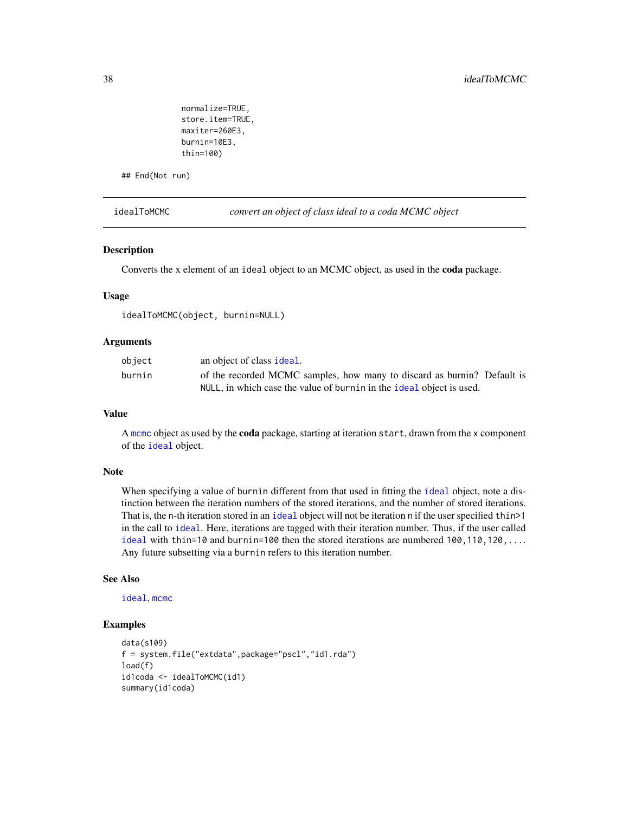```
normalize=TRUE,
store.item=TRUE,
maxiter=260E3,
burnin=10E3,
thin=100)
```
## End(Not run)

<span id="page-37-0"></span>idealToMCMC *convert an object of class ideal to a coda MCMC object*

## Description

Converts the x element of an ideal object to an MCMC object, as used in the coda package.

#### Usage

idealToMCMC(object, burnin=NULL)

## Arguments

| object | an object of class ideal.                                               |
|--------|-------------------------------------------------------------------------|
| burnin | of the recorded MCMC samples, how many to discard as burnin? Default is |
|        | NULL, in which case the value of burnin in the ideal object is used.    |

## Value

A [mcmc](#page-0-0) object as used by the coda package, starting at iteration start, drawn from the x component of the [ideal](#page-31-0) object.

#### Note

When specifying a value of burnin different from that used in fitting the [ideal](#page-31-0) object, note a distinction between the iteration numbers of the stored iterations, and the number of stored iterations. That is, the n-th iteration stored in an [ideal](#page-31-0) object will not be iteration n if the user specified thin>1 in the call to [ideal](#page-31-0). Here, iterations are tagged with their iteration number. Thus, if the user called [ideal](#page-31-0) with thin=10 and burnin=100 then the stored iterations are numbered  $100, 110, 120, \ldots$ . Any future subsetting via a burnin refers to this iteration number.

#### See Also

[ideal](#page-31-0), [mcmc](#page-0-0)

```
data(s109)
f = system.file("extdata",package="pscl","id1.rda")
load(f)
id1coda <- idealToMCMC(id1)
summary(id1coda)
```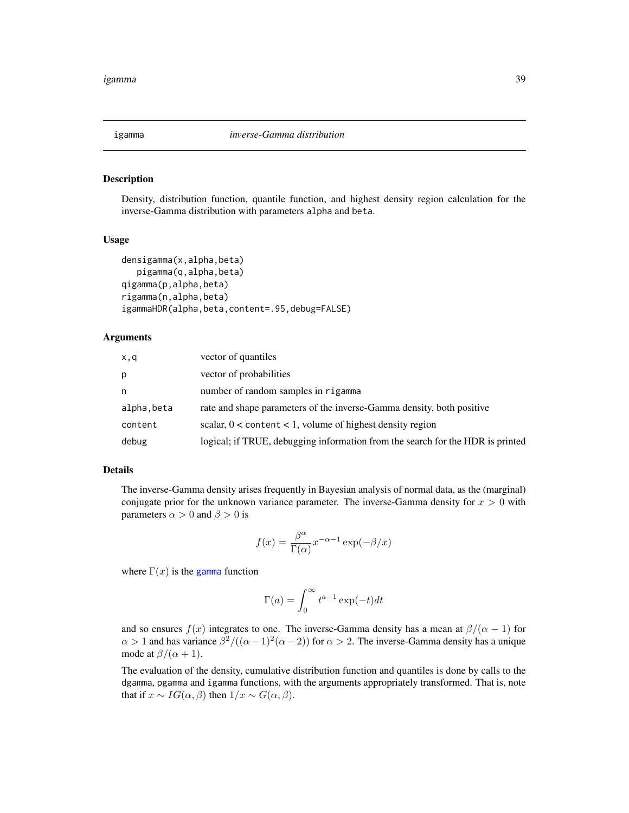Density, distribution function, quantile function, and highest density region calculation for the inverse-Gamma distribution with parameters alpha and beta.

#### Usage

```
densigamma(x,alpha,beta)
  pigamma(q,alpha,beta)
qigamma(p,alpha,beta)
rigamma(n,alpha,beta)
igammaHDR(alpha,beta,content=.95,debug=FALSE)
```
# Arguments

| x,q        | vector of quantiles                                                            |
|------------|--------------------------------------------------------------------------------|
| p          | vector of probabilities                                                        |
| n          | number of random samples in rigamma                                            |
| alpha.beta | rate and shape parameters of the inverse-Gamma density, both positive          |
| content    | scalar, $0 <$ content $< 1$ , volume of highest density region                 |
| debug      | logical; if TRUE, debugging information from the search for the HDR is printed |

# Details

The inverse-Gamma density arises frequently in Bayesian analysis of normal data, as the (marginal) conjugate prior for the unknown variance parameter. The inverse-Gamma density for  $x > 0$  with parameters  $\alpha > 0$  and  $\beta > 0$  is

$$
f(x) = \frac{\beta^{\alpha}}{\Gamma(\alpha)} x^{-\alpha - 1} \exp(-\beta/x)
$$

where  $\Gamma(x)$  is the [gamma](#page-0-0) function

$$
\Gamma(a) = \int_0^\infty t^{a-1} \exp(-t) dt
$$

and so ensures  $f(x)$  integrates to one. The inverse-Gamma density has a mean at  $\beta/(\alpha - 1)$  for  $\alpha > 1$  and has variance  $\beta^2/((\alpha - 1)^2(\alpha - 2))$  for  $\alpha > 2$ . The inverse-Gamma density has a unique mode at  $\beta/(\alpha + 1)$ .

The evaluation of the density, cumulative distribution function and quantiles is done by calls to the dgamma, pgamma and igamma functions, with the arguments appropriately transformed. That is, note that if  $x \sim IG(\alpha, \beta)$  then  $1/x \sim G(\alpha, \beta)$ .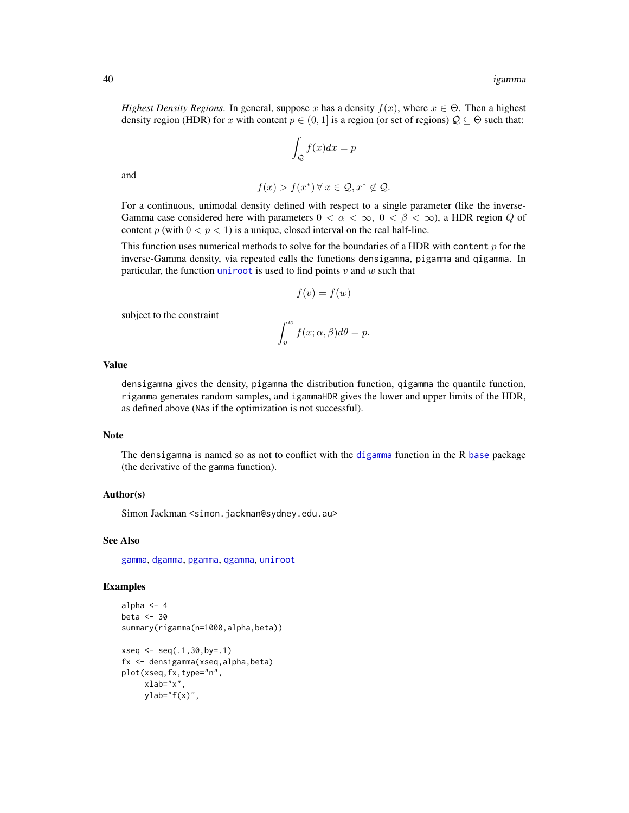*Highest Density Regions*. In general, suppose x has a density  $f(x)$ , where  $x \in \Theta$ . Then a highest density region (HDR) for x with content  $p \in (0, 1]$  is a region (or set of regions)  $\mathcal{Q} \subseteq \Theta$  such that:

$$
\int_{\mathcal{Q}} f(x)dx = p
$$

and

$$
f(x) > f(x^*) \,\forall\, x \in \mathcal{Q}, x^* \notin \mathcal{Q}.
$$

For a continuous, unimodal density defined with respect to a single parameter (like the inverse-Gamma case considered here with parameters  $0 < \alpha < \infty$ ,  $0 < \beta < \infty$ ), a HDR region Q of content p (with  $0 < p < 1$ ) is a unique, closed interval on the real half-line.

This function uses numerical methods to solve for the boundaries of a HDR with content  $p$  for the inverse-Gamma density, via repeated calls the functions densigamma, pigamma and qigamma. In particular, the function [uniroot](#page-0-0) is used to find points  $v$  and  $w$  such that

$$
f(v) = f(w)
$$

subject to the constraint

$$
\int_v^w f(x; \alpha, \beta) d\theta = p.
$$

#### Value

densigamma gives the density, pigamma the distribution function, qigamma the quantile function, rigamma generates random samples, and igammaHDR gives the lower and upper limits of the HDR, as defined above (NAs if the optimization is not successful).

#### Note

The densigamma is named so as not to conflict with the [digamma](#page-0-0) function in the R [base](#page-0-0) package (the derivative of the gamma function).

## Author(s)

Simon Jackman <simon.jackman@sydney.edu.au>

## See Also

[gamma](#page-0-0), [dgamma](#page-0-0), [pgamma](#page-0-0), [qgamma](#page-0-0), [uniroot](#page-0-0)

```
alpha <-4beta <-30summary(rigamma(n=1000,alpha,beta))
xseq \leq -seq(.1, 30, by=.1)fx <- densigamma(xseq,alpha,beta)
plot(xseq,fx,type="n",
     xlab="x",
     ylab="f(x)",
```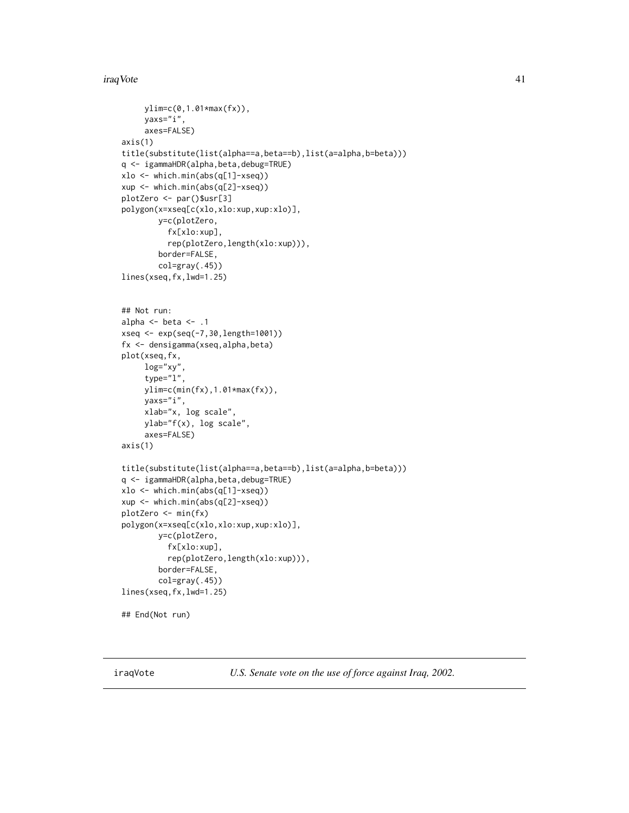#### iraqVote 41

```
ylim=c(0,1.01*max(fx)),
     yaxs="i",
     axes=FALSE)
axis(1)
title(substitute(list(alpha==a,beta==b),list(a=alpha,b=beta)))
q <- igammaHDR(alpha,beta,debug=TRUE)
xlo <- which.min(abs(q[1]-xseq))
xup <- which.min(abs(q[2]-xseq))
plotZero <- par()$usr[3]
polygon(x=xseq[c(xlo,xlo:xup,xup:xlo)],
       y=c(plotZero,
          fx[xlo:xup],
          rep(plotZero,length(xlo:xup))),
        border=FALSE,
        col=gray(.45))
lines(xseq,fx,lwd=1.25)
## Not run:
alpha \leq beta \leq .1
xseq <- exp(seq(-7,30,length=1001))
fx <- densigamma(xseq,alpha,beta)
plot(xseq,fx,
     log="xy",
     type="l",
     ylim=c(min(fx),1.01*max(fx)),
     yaxs="i",
     xlab="x, log scale",
     ylab="f(x), log scale",
     axes=FALSE)
axis(1)
title(substitute(list(alpha==a,beta==b),list(a=alpha,b=beta)))
q <- igammaHDR(alpha,beta,debug=TRUE)
xlo <- which.min(abs(q[1]-xseq))
xup <- which.min(abs(q[2]-xseq))
plotZero <- min(fx)
polygon(x=xseq[c(xlo,xlo:xup,xup:xlo)],
        y=c(plotZero,
          fx[xlo:xup],
          rep(plotZero,length(xlo:xup))),
        border=FALSE,
        col=gray(.45))
lines(xseq,fx,lwd=1.25)
## End(Not run)
```
iraqVote *U.S. Senate vote on the use of force against Iraq, 2002.*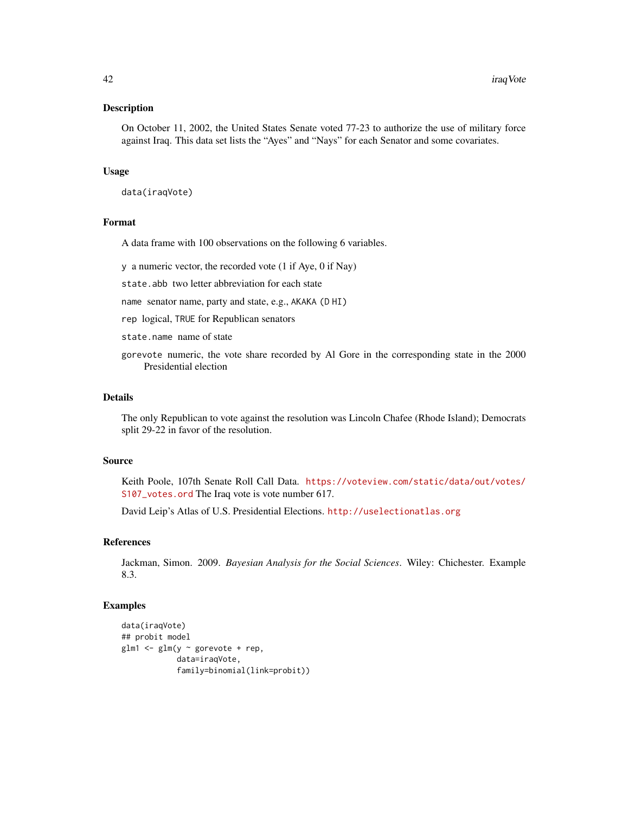On October 11, 2002, the United States Senate voted 77-23 to authorize the use of military force against Iraq. This data set lists the "Ayes" and "Nays" for each Senator and some covariates.

#### Usage

data(iraqVote)

#### Format

A data frame with 100 observations on the following 6 variables.

y a numeric vector, the recorded vote (1 if Aye, 0 if Nay)

state.abb two letter abbreviation for each state

name senator name, party and state, e.g., AKAKA (D HI)

rep logical, TRUE for Republican senators

state.name name of state

gorevote numeric, the vote share recorded by Al Gore in the corresponding state in the 2000 Presidential election

#### Details

The only Republican to vote against the resolution was Lincoln Chafee (Rhode Island); Democrats split 29-22 in favor of the resolution.

#### Source

Keith Poole, 107th Senate Roll Call Data. [https://voteview.com/static/data/out/votes/](https://voteview.com/static/data/out/votes/S107_votes.ord) [S107\\_votes.ord](https://voteview.com/static/data/out/votes/S107_votes.ord) The Iraq vote is vote number 617.

David Leip's Atlas of U.S. Presidential Elections. <http://uselectionatlas.org>

# References

Jackman, Simon. 2009. *Bayesian Analysis for the Social Sciences*. Wiley: Chichester. Example 8.3.

```
data(iraqVote)
## probit model
glm1 <- glm(y ~ gorevote + rep,
            data=iraqVote,
            family=binomial(link=probit))
```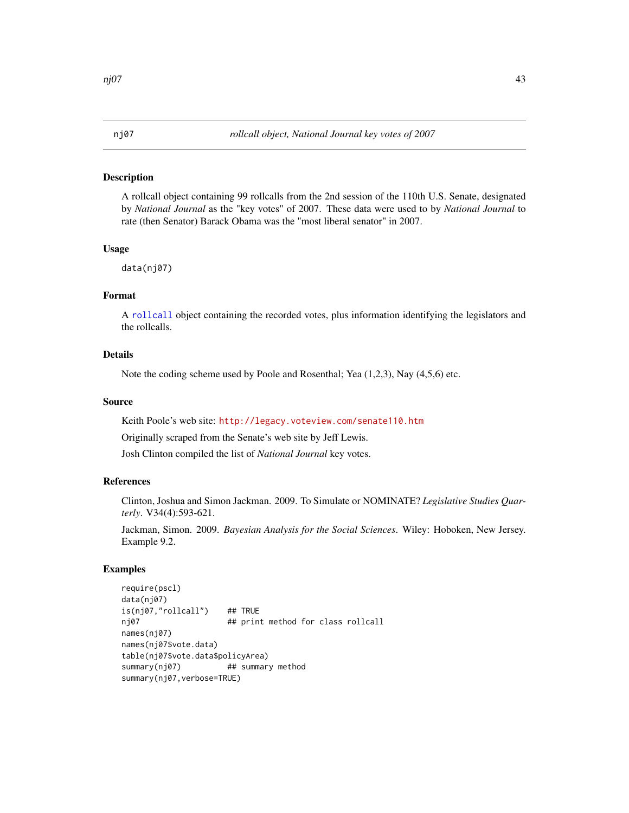A rollcall object containing 99 rollcalls from the 2nd session of the 110th U.S. Senate, designated by *National Journal* as the "key votes" of 2007. These data were used to by *National Journal* to rate (then Senator) Barack Obama was the "most liberal senator" in 2007.

# Usage

data(nj07)

## Format

A [rollcall](#page-71-0) object containing the recorded votes, plus information identifying the legislators and the rollcalls.

# Details

Note the coding scheme used by Poole and Rosenthal; Yea (1,2,3), Nay (4,5,6) etc.

## Source

Keith Poole's web site: <http://legacy.voteview.com/senate110.htm>

Originally scraped from the Senate's web site by Jeff Lewis.

Josh Clinton compiled the list of *National Journal* key votes.

## References

Clinton, Joshua and Simon Jackman. 2009. To Simulate or NOMINATE? *Legislative Studies Quarterly*. V34(4):593-621.

Jackman, Simon. 2009. *Bayesian Analysis for the Social Sciences*. Wiley: Hoboken, New Jersey. Example 9.2.

```
require(pscl)
data(nj07)
is(nj07,"rollcall") ## TRUE
nj07 ## print method for class rollcall
names(nj07)
names(nj07$vote.data)
table(nj07$vote.data$policyArea)
summary(nj07) ## summary method
summary(nj07,verbose=TRUE)
```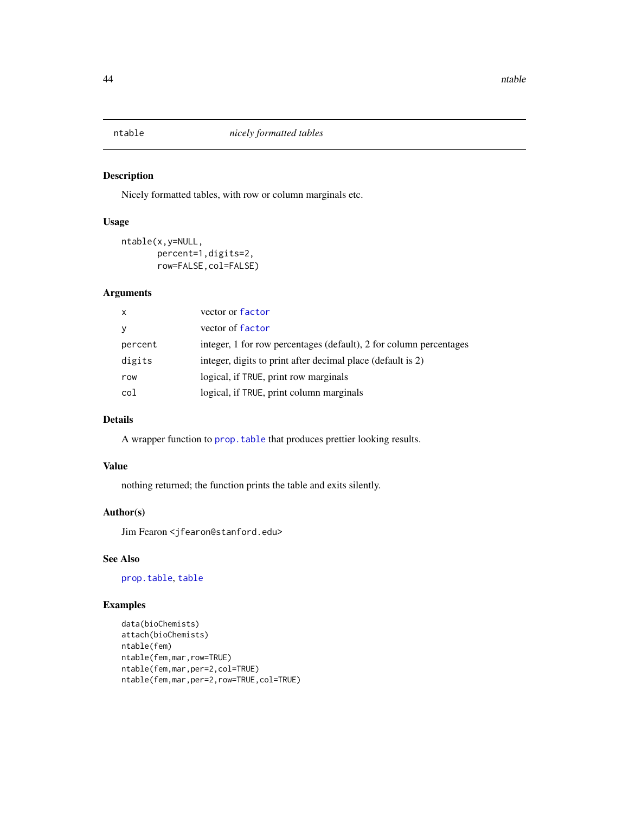Nicely formatted tables, with row or column marginals etc.

#### Usage

```
ntable(x,y=NULL,
       percent=1,digits=2,
       row=FALSE,col=FALSE)
```
# Arguments

| $\mathsf{x}$ | vector or factor                                                   |
|--------------|--------------------------------------------------------------------|
| У            | vector of factor                                                   |
| percent      | integer, 1 for row percentages (default), 2 for column percentages |
| digits       | integer, digits to print after decimal place (default is 2)        |
| row          | logical, if TRUE, print row marginals                              |
| col          | logical, if TRUE, print column marginals                           |

# Details

A wrapper function to prop. table that produces prettier looking results.

#### Value

nothing returned; the function prints the table and exits silently.

## Author(s)

Jim Fearon <jfearon@stanford.edu>

# See Also

[prop.table](#page-0-0), [table](#page-0-0)

```
data(bioChemists)
attach(bioChemists)
ntable(fem)
ntable(fem,mar,row=TRUE)
ntable(fem,mar,per=2,col=TRUE)
ntable(fem,mar,per=2,row=TRUE,col=TRUE)
```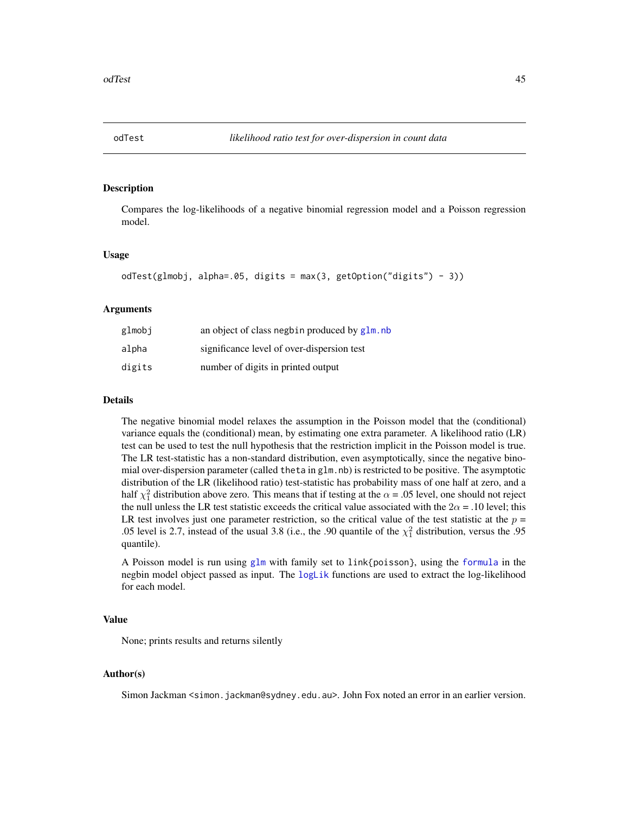Compares the log-likelihoods of a negative binomial regression model and a Poisson regression model.

#### Usage

```
odTest(glmobj, alpha=.05, digits = max(3, getOption("digits") - 3))
```
## Arguments

| glmobj | an object of class negbin produced by glm. nb |
|--------|-----------------------------------------------|
| alpha  | significance level of over-dispersion test    |
| digits | number of digits in printed output            |

## Details

The negative binomial model relaxes the assumption in the Poisson model that the (conditional) variance equals the (conditional) mean, by estimating one extra parameter. A likelihood ratio (LR) test can be used to test the null hypothesis that the restriction implicit in the Poisson model is true. The LR test-statistic has a non-standard distribution, even asymptotically, since the negative binomial over-dispersion parameter (called theta in glm.nb) is restricted to be positive. The asymptotic distribution of the LR (likelihood ratio) test-statistic has probability mass of one half at zero, and a half  $\chi_1^2$  distribution above zero. This means that if testing at the  $\alpha$  = .05 level, one should not reject the null unless the LR test statistic exceeds the critical value associated with the  $2\alpha = .10$  level; this LR test involves just one parameter restriction, so the critical value of the test statistic at the  $p =$ .05 level is 2.7, instead of the usual 3.8 (i.e., the .90 quantile of the  $\chi^2$  distribution, versus the .95 quantile).

A Poisson model is run using [glm](#page-0-0) with family set to link{poisson}, using the [formula](#page-0-0) in the negbin model object passed as input. The [logLik](#page-0-0) functions are used to extract the log-likelihood for each model.

#### Value

None; prints results and returns silently

#### Author(s)

Simon Jackman <simon.jackman@sydney.edu.au>. John Fox noted an error in an earlier version.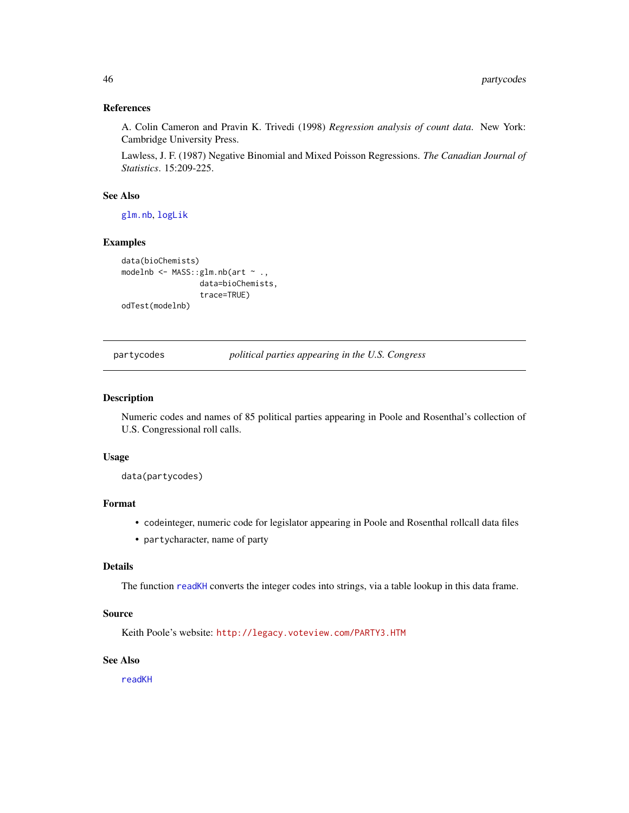## References

A. Colin Cameron and Pravin K. Trivedi (1998) *Regression analysis of count data*. New York: Cambridge University Press.

Lawless, J. F. (1987) Negative Binomial and Mixed Poisson Regressions. *The Canadian Journal of Statistics*. 15:209-225.

## See Also

[glm.nb](#page-0-0), [logLik](#page-0-0)

# Examples

```
data(bioChemists)
modelnb <- MASS::glm.nb(art ~ .,
                 data=bioChemists,
                 trace=TRUE)
odTest(modelnb)
```
partycodes *political parties appearing in the U.S. Congress*

## Description

Numeric codes and names of 85 political parties appearing in Poole and Rosenthal's collection of U.S. Congressional roll calls.

## Usage

data(partycodes)

# Format

- codeinteger, numeric code for legislator appearing in Poole and Rosenthal rollcall data files
- partycharacter, name of party

# Details

The function [readKH](#page-66-0) converts the integer codes into strings, via a table lookup in this data frame.

## Source

Keith Poole's website: <http://legacy.voteview.com/PARTY3.HTM>

## See Also

[readKH](#page-66-0)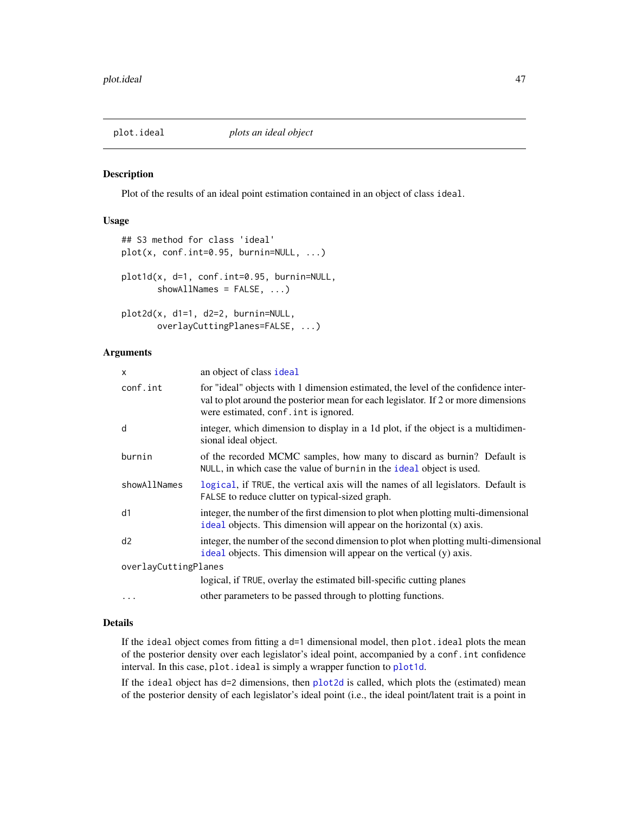<span id="page-46-1"></span><span id="page-46-0"></span>

Plot of the results of an ideal point estimation contained in an object of class ideal.

# Usage

```
## S3 method for class 'ideal'
plot(x, conf.int=0.95, burnin=NULL, ...)
plot1d(x, d=1, conf.int=0.95, burnin=NULL,
       showAllNames = FALSE, ...)
plot2d(x, d1=1, d2=2, burnin=NULL,
      overlayCuttingPlanes=FALSE, ...)
```
#### Arguments

| x                    | an object of class ideal                                                                                                                                                                                          |
|----------------------|-------------------------------------------------------------------------------------------------------------------------------------------------------------------------------------------------------------------|
| conf.int             | for "ideal" objects with 1 dimension estimated, the level of the confidence inter-<br>val to plot around the posterior mean for each legislator. If 2 or more dimensions<br>were estimated, conf. int is ignored. |
| d                    | integer, which dimension to display in a 1d plot, if the object is a multidimen-<br>sional ideal object.                                                                                                          |
| burnin               | of the recorded MCMC samples, how many to discard as burnin? Default is<br>NULL, in which case the value of burnin in the ideal object is used.                                                                   |
| showAllNames         | logical, if TRUE, the vertical axis will the names of all legislators. Default is<br>FALSE to reduce clutter on typical-sized graph.                                                                              |
| d1                   | integer, the number of the first dimension to plot when plotting multi-dimensional<br>ideal objects. This dimension will appear on the horizontal (x) axis.                                                       |
| d2                   | integer, the number of the second dimension to plot when plotting multi-dimensional<br>ideal objects. This dimension will appear on the vertical (y) axis.                                                        |
| overlayCuttingPlanes |                                                                                                                                                                                                                   |
|                      | logical, if TRUE, overlay the estimated bill-specific cutting planes                                                                                                                                              |
| $\cdots$             | other parameters to be passed through to plotting functions.                                                                                                                                                      |

#### Details

If the ideal object comes from fitting a  $d=1$  dimensional model, then plot. ideal plots the mean of the posterior density over each legislator's ideal point, accompanied by a conf.int confidence interval. In this case, plot. ideal is simply a wrapper function to [plot1d](#page-46-1).

If the ideal object has d=2 dimensions, then [plot2d](#page-46-1) is called, which plots the (estimated) mean of the posterior density of each legislator's ideal point (i.e., the ideal point/latent trait is a point in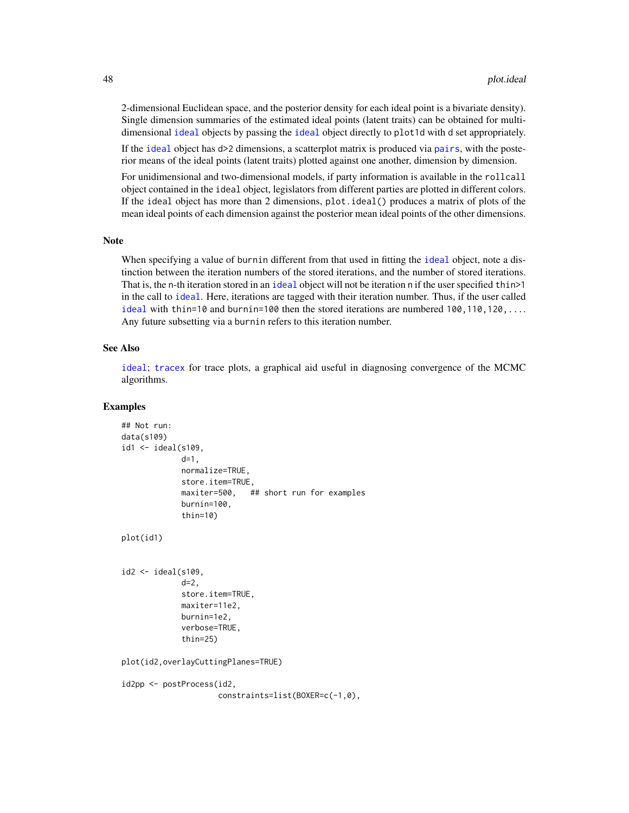2-dimensional Euclidean space, and the posterior density for each ideal point is a bivariate density). Single dimension summaries of the estimated ideal points (latent traits) can be obtained for multidimensional [ideal](#page-31-0) objects by passing the [ideal](#page-31-0) object directly to plot1d with d set appropriately.

If the [ideal](#page-31-0) object has d>2 dimensions, a scatterplot matrix is produced via [pairs](#page-0-0), with the posterior means of the ideal points (latent traits) plotted against one another, dimension by dimension.

For unidimensional and two-dimensional models, if party information is available in the rollcall object contained in the ideal object, legislators from different parties are plotted in different colors. If the ideal object has more than 2 dimensions, plot.ideal() produces a matrix of plots of the mean ideal points of each dimension against the posterior mean ideal points of the other dimensions.

#### Note

When specifying a value of burnin different from that used in fitting the [ideal](#page-31-0) object, note a distinction between the iteration numbers of the stored iterations, and the number of stored iterations. That is, the n-th iteration stored in an [ideal](#page-31-0) object will not be iteration n if the user specified thin>1 in the call to [ideal](#page-31-0). Here, iterations are tagged with their iteration number. Thus, if the user called [ideal](#page-31-0) with thin=10 and burnin=100 then the stored iterations are numbered 100,110,120,... Any future subsetting via a burnin refers to this iteration number.

#### See Also

[ideal](#page-31-0); [tracex](#page-83-0) for trace plots, a graphical aid useful in diagnosing convergence of the MCMC algorithms.

```
## Not run:
data(s109)
id1 <- ideal(s109,
             d=1,
             normalize=TRUE,
             store.item=TRUE,
             maxiter=500, ## short run for examples
             burnin=100,
             thin=10)
plot(id1)
id2 <- ideal(s109,
             d=2,
             store.item=TRUE,
             maxiter=11e2,
             burnin=1e2,
             verbose=TRUE,
             thin=25)
plot(id2,overlayCuttingPlanes=TRUE)
id2pp <- postProcess(id2,
                     constraints=list(BOXER=c(-1,0),
```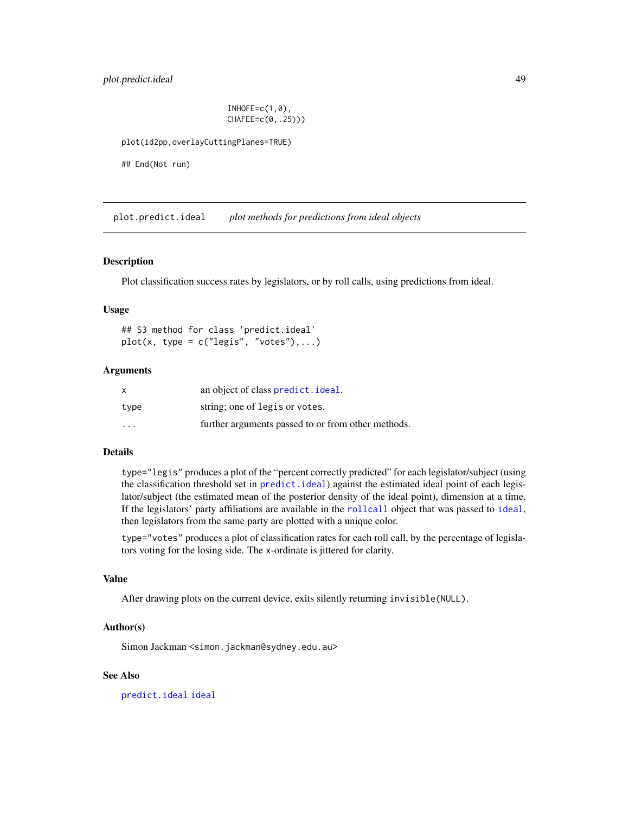# plot.predict.ideal 49

 $INHOFE=c(1,0)$ , CHAFEE=c(0,.25)))

plot(id2pp,overlayCuttingPlanes=TRUE)

## End(Not run)

<span id="page-48-0"></span>plot.predict.ideal *plot methods for predictions from ideal objects*

#### Description

Plot classification success rates by legislators, or by roll calls, using predictions from ideal.

# Usage

## S3 method for class 'predict.ideal'  $plot(x, type = c("legis", "votes"),...)$ 

## Arguments

| x                       | an object of class predict. ideal.                 |
|-------------------------|----------------------------------------------------|
| type                    | string; one of legis or votes.                     |
| $\cdot$ $\cdot$ $\cdot$ | further arguments passed to or from other methods. |

## Details

type="legis" produces a plot of the "percent correctly predicted" for each legislator/subject (using the classification threshold set in [predict.ideal](#page-57-0)) against the estimated ideal point of each legislator/subject (the estimated mean of the posterior density of the ideal point), dimension at a time. If the legislators' party affiliations are available in the [rollcall](#page-71-0) object that was passed to [ideal](#page-31-0), then legislators from the same party are plotted with a unique color.

type="votes" produces a plot of classification rates for each roll call, by the percentage of legislators voting for the losing side. The x-ordinate is jittered for clarity.

#### Value

After drawing plots on the current device, exits silently returning invisible(NULL).

#### Author(s)

Simon Jackman < simon.jackman@sydney.edu.au>

## See Also

[predict.ideal](#page-57-0) [ideal](#page-31-0)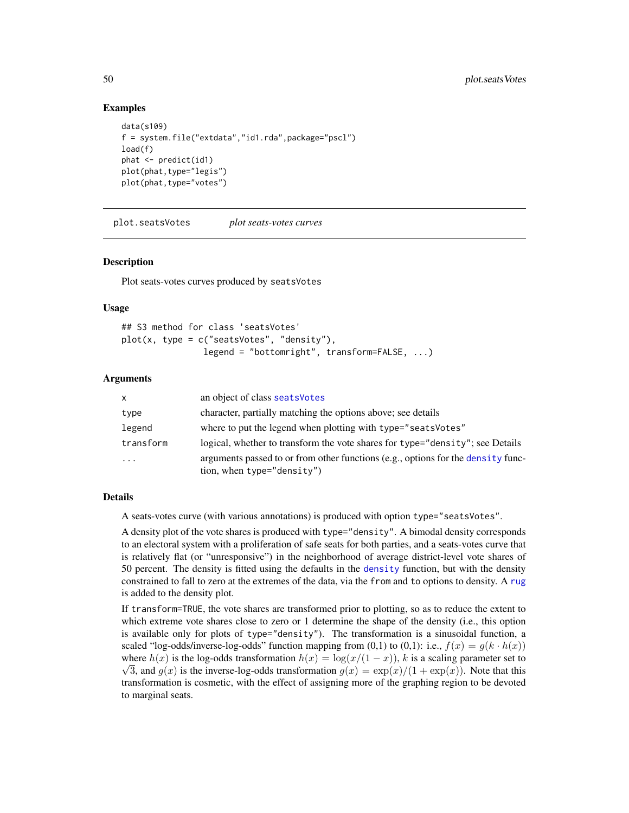## Examples

```
data(s109)
f = system.file("extdata","id1.rda",package="pscl")
load(f)
phat <- predict(id1)
plot(phat,type="legis")
plot(phat,type="votes")
```
plot.seatsVotes *plot seats-votes curves*

#### Description

Plot seats-votes curves produced by seatsVotes

#### Usage

```
## S3 method for class 'seatsVotes'
plot(x, type = c("seatsVotes", "density"),
                legend = "bottomright", transform=FALSE, ...)
```
#### Arguments

| $\mathsf{x}$ | an object of class seats Votes                                                                                 |
|--------------|----------------------------------------------------------------------------------------------------------------|
| type         | character, partially matching the options above; see details                                                   |
| legend       | where to put the legend when plotting with type="seats Votes"                                                  |
| transform    | logical, whether to transform the vote shares for type="density"; see Details                                  |
| $\ddotsc$    | arguments passed to or from other functions (e.g., options for the density func-<br>tion, when type="density") |

# Details

A seats-votes curve (with various annotations) is produced with option type="seatsVotes".

A density plot of the vote shares is produced with type="density". A bimodal density corresponds to an electoral system with a proliferation of safe seats for both parties, and a seats-votes curve that is relatively flat (or "unresponsive") in the neighborhood of average district-level vote shares of 50 percent. The density is fitted using the defaults in the [density](#page-0-0) function, but with the density constrained to fall to zero at the extremes of the data, via the from and to options to density. A [rug](#page-0-0) is added to the density plot.

If transform=TRUE, the vote shares are transformed prior to plotting, so as to reduce the extent to which extreme vote shares close to zero or 1 determine the shape of the density (i.e., this option is available only for plots of type="density"). The transformation is a sinusoidal function, a scaled "log-odds/inverse-log-odds" function mapping from (0,1) to (0,1): i.e.,  $f(x) = g(k \cdot h(x))$ where  $h(x)$  is the log-odds transformation  $h(x) = \log(x/(1-x))$ , k is a scaling parameter set to  $\sqrt{3}$ , and  $g(x)$  is the inverse-log-odds transformation  $g(x) = \exp(x)/(1 + \exp(x))$ . Note that this transformation is cosmetic, with the effect of assigning more of the graphing region to be devoted to marginal seats.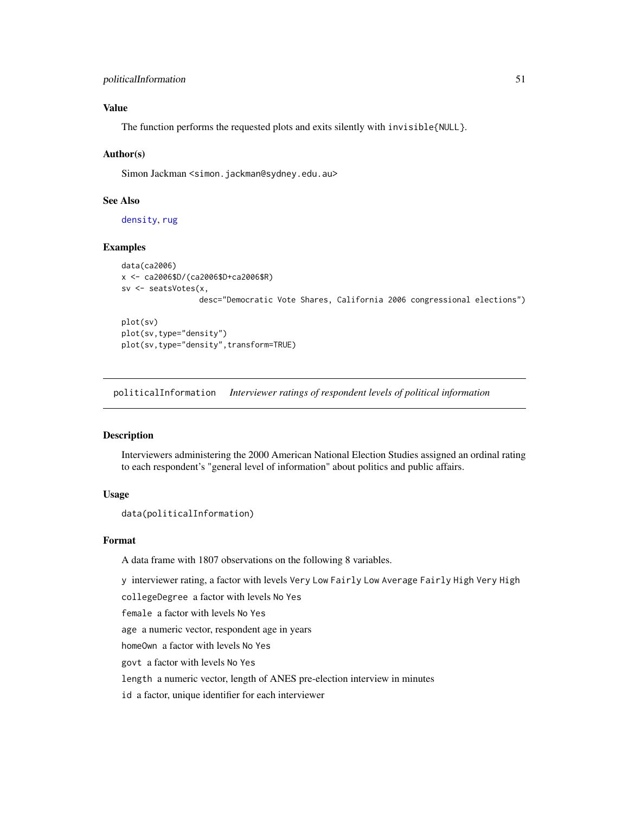# Value

The function performs the requested plots and exits silently with invisible{NULL}.

#### Author(s)

Simon Jackman <simon.jackman@sydney.edu.au>

## See Also

[density](#page-0-0), [rug](#page-0-0)

#### Examples

```
data(ca2006)
x <- ca2006$D/(ca2006$D+ca2006$R)
sv <- seatsVotes(x,
                 desc="Democratic Vote Shares, California 2006 congressional elections")
```
plot(sv) plot(sv,type="density") plot(sv,type="density",transform=TRUE)

politicalInformation *Interviewer ratings of respondent levels of political information*

#### Description

Interviewers administering the 2000 American National Election Studies assigned an ordinal rating to each respondent's "general level of information" about politics and public affairs.

## Usage

```
data(politicalInformation)
```
## Format

A data frame with 1807 observations on the following 8 variables.

y interviewer rating, a factor with levels Very Low Fairly Low Average Fairly High Very High

collegeDegree a factor with levels No Yes

female a factor with levels No Yes

age a numeric vector, respondent age in years

homeOwn a factor with levels No Yes

govt a factor with levels No Yes

length a numeric vector, length of ANES pre-election interview in minutes

id a factor, unique identifier for each interviewer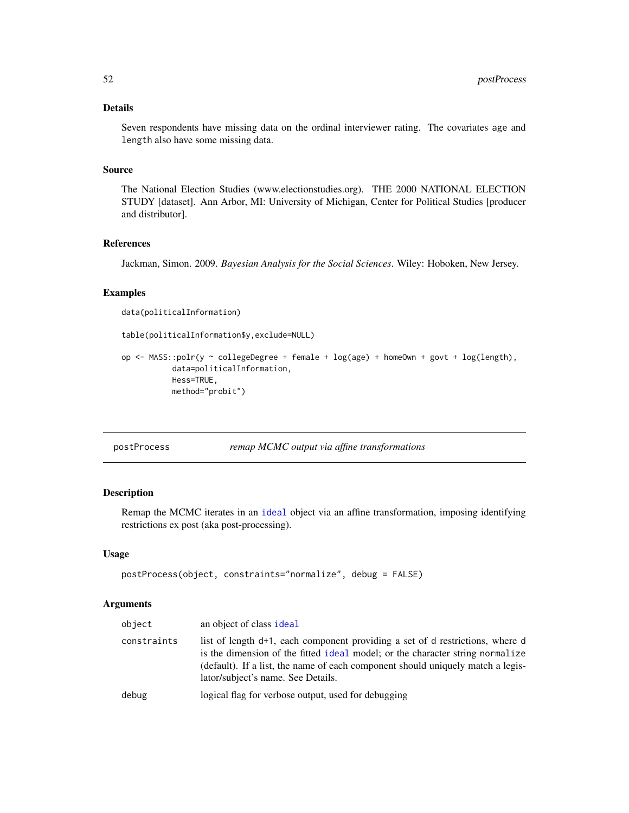# Details

Seven respondents have missing data on the ordinal interviewer rating. The covariates age and length also have some missing data.

## Source

The National Election Studies (www.electionstudies.org). THE 2000 NATIONAL ELECTION STUDY [dataset]. Ann Arbor, MI: University of Michigan, Center for Political Studies [producer and distributor].

#### References

Jackman, Simon. 2009. *Bayesian Analysis for the Social Sciences*. Wiley: Hoboken, New Jersey.

# Examples

data(politicalInformation)

```
table(politicalInformation$y,exclude=NULL)
```

```
op <- MASS::polr(y ~ collegeDegree + female + log(age) + homeOwn + govt + log(length),
           data=politicalInformation,
           Hess=TRUE,
          method="probit")
```
<span id="page-51-0"></span>

| postProcess | remap MCMC output via affine transformations |  |
|-------------|----------------------------------------------|--|
|             |                                              |  |

# Description

Remap the MCMC iterates in an [ideal](#page-31-0) object via an affine transformation, imposing identifying restrictions ex post (aka post-processing).

# Usage

```
postProcess(object, constraints="normalize", debug = FALSE)
```
# Arguments

| object      | an object of class ideal                                                                                                                                                                                                                                                                |
|-------------|-----------------------------------------------------------------------------------------------------------------------------------------------------------------------------------------------------------------------------------------------------------------------------------------|
| constraints | list of length d+1, each component providing a set of d restrictions, where d<br>is the dimension of the fitted ideal model; or the character string normalize<br>(default). If a list, the name of each component should uniquely match a legis-<br>lator/subject's name. See Details. |
| debug       | logical flag for verbose output, used for debugging                                                                                                                                                                                                                                     |
|             |                                                                                                                                                                                                                                                                                         |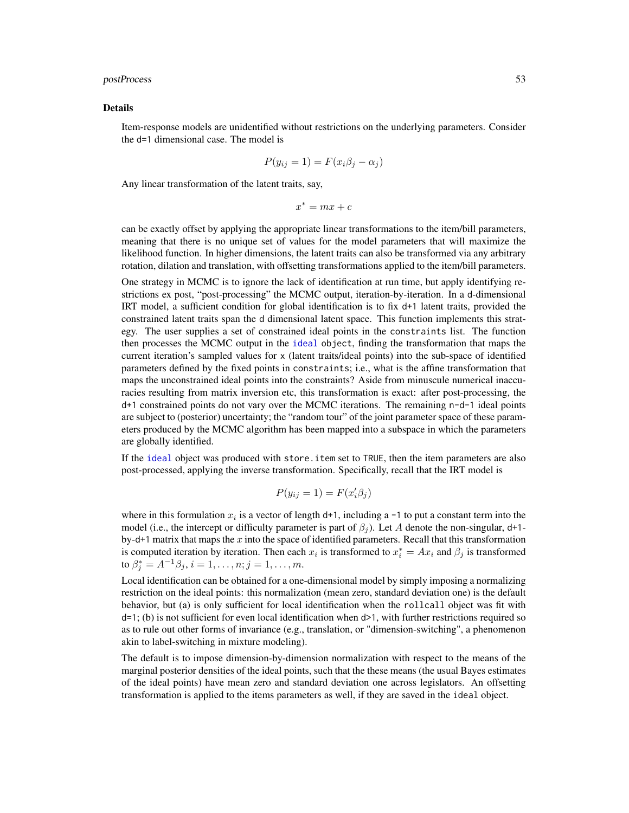## postProcess 53

#### Details

Item-response models are unidentified without restrictions on the underlying parameters. Consider the d=1 dimensional case. The model is

$$
P(y_{ij} = 1) = F(x_i \beta_j - \alpha_j)
$$

Any linear transformation of the latent traits, say,

$$
x^* = mx + c
$$

can be exactly offset by applying the appropriate linear transformations to the item/bill parameters, meaning that there is no unique set of values for the model parameters that will maximize the likelihood function. In higher dimensions, the latent traits can also be transformed via any arbitrary rotation, dilation and translation, with offsetting transformations applied to the item/bill parameters.

One strategy in MCMC is to ignore the lack of identification at run time, but apply identifying restrictions ex post, "post-processing" the MCMC output, iteration-by-iteration. In a d-dimensional IRT model, a sufficient condition for global identification is to fix d+1 latent traits, provided the constrained latent traits span the d dimensional latent space. This function implements this strategy. The user supplies a set of constrained ideal points in the constraints list. The function then processes the MCMC output in the [ideal](#page-31-0) object, finding the transformation that maps the current iteration's sampled values for x (latent traits/ideal points) into the sub-space of identified parameters defined by the fixed points in constraints; i.e., what is the affine transformation that maps the unconstrained ideal points into the constraints? Aside from minuscule numerical inaccuracies resulting from matrix inversion etc, this transformation is exact: after post-processing, the d+1 constrained points do not vary over the MCMC iterations. The remaining n-d-1 ideal points are subject to (posterior) uncertainty; the "random tour" of the joint parameter space of these parameters produced by the MCMC algorithm has been mapped into a subspace in which the parameters are globally identified.

If the [ideal](#page-31-0) object was produced with store.item set to TRUE, then the item parameters are also post-processed, applying the inverse transformation. Specifically, recall that the IRT model is

$$
P(y_{ij} = 1) = F(x_i' \beta_j)
$$

where in this formulation  $x_i$  is a vector of length d+1, including a -1 to put a constant term into the model (i.e., the intercept or difficulty parameter is part of  $\beta_i$ ). Let A denote the non-singular, d+1by-d+1 matrix that maps the  $x$  into the space of identified parameters. Recall that this transformation is computed iteration by iteration. Then each  $x_i$  is transformed to  $x_i^* = Ax_i$  and  $\beta_j$  is transformed to  $\beta_j^* = A^{-1}\beta_j, i = 1, \dots, n; j = 1, \dots, m$ .

Local identification can be obtained for a one-dimensional model by simply imposing a normalizing restriction on the ideal points: this normalization (mean zero, standard deviation one) is the default behavior, but (a) is only sufficient for local identification when the rollcall object was fit with  $d=1$ ; (b) is not sufficient for even local identification when  $d>1$ , with further restrictions required so as to rule out other forms of invariance (e.g., translation, or "dimension-switching", a phenomenon akin to label-switching in mixture modeling).

The default is to impose dimension-by-dimension normalization with respect to the means of the marginal posterior densities of the ideal points, such that the these means (the usual Bayes estimates of the ideal points) have mean zero and standard deviation one across legislators. An offsetting transformation is applied to the items parameters as well, if they are saved in the ideal object.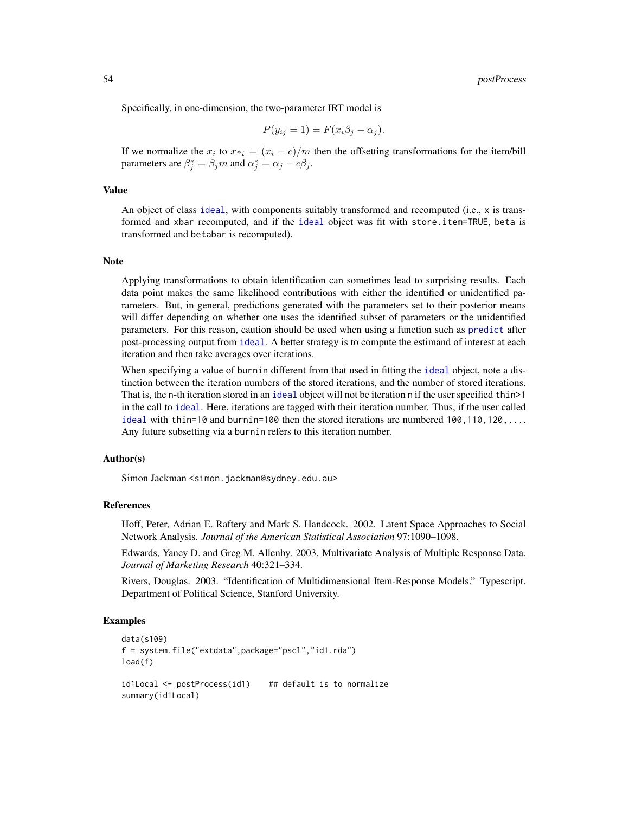Specifically, in one-dimension, the two-parameter IRT model is

$$
P(y_{ij} = 1) = F(x_i \beta_j - \alpha_j).
$$

If we normalize the  $x_i$  to  $x*_i = (x_i - c)/m$  then the offsetting transformations for the item/bill parameters are  $\beta_j^* = \beta_j m$  and  $\alpha_j^* = \alpha_j - c\beta_j$ .

#### Value

An object of class [ideal](#page-31-0), with components suitably transformed and recomputed (i.e., x is transformed and xbar recomputed, and if the [ideal](#page-31-0) object was fit with store.item=TRUE, beta is transformed and betabar is recomputed).

## **Note**

Applying transformations to obtain identification can sometimes lead to surprising results. Each data point makes the same likelihood contributions with either the identified or unidentified parameters. But, in general, predictions generated with the parameters set to their posterior means will differ depending on whether one uses the identified subset of parameters or the unidentified parameters. For this reason, caution should be used when using a function such as [predict](#page-0-0) after post-processing output from [ideal](#page-31-0). A better strategy is to compute the estimand of interest at each iteration and then take averages over iterations.

When specifying a value of burnin different from that used in fitting the [ideal](#page-31-0) object, note a distinction between the iteration numbers of the stored iterations, and the number of stored iterations. That is, the n-th iteration stored in an [ideal](#page-31-0) object will not be iteration n if the user specified thin >1 in the call to [ideal](#page-31-0). Here, iterations are tagged with their iteration number. Thus, if the user called [ideal](#page-31-0) with thin=10 and burnin=100 then the stored iterations are numbered 100,110,120,.... Any future subsetting via a burnin refers to this iteration number.

## Author(s)

Simon Jackman < simon.jackman@sydney.edu.au>

#### References

Hoff, Peter, Adrian E. Raftery and Mark S. Handcock. 2002. Latent Space Approaches to Social Network Analysis. *Journal of the American Statistical Association* 97:1090–1098.

Edwards, Yancy D. and Greg M. Allenby. 2003. Multivariate Analysis of Multiple Response Data. *Journal of Marketing Research* 40:321–334.

Rivers, Douglas. 2003. "Identification of Multidimensional Item-Response Models." Typescript. Department of Political Science, Stanford University.

```
data(s109)
f = system.file("extdata",package="pscl","id1.rda")
load(f)
id1Local <- postProcess(id1) ## default is to normalize
summary(id1Local)
```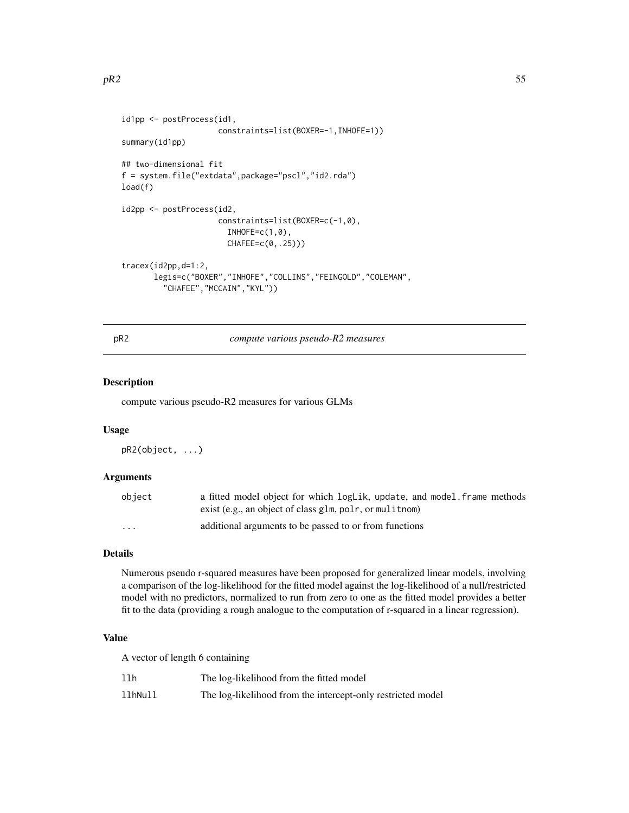```
id1pp <- postProcess(id1,
                     constraints=list(BOXER=-1,INHOFE=1))
summary(id1pp)
## two-dimensional fit
f = system.file("extdata",package="pscl","id2.rda")
load(f)
id2pp <- postProcess(id2,
                     constraints=list(BOXER=c(-1,0),
                       INHOFE=c(1,0),CHAFEE=c(0,.25)))
tracex(id2pp,d=1:2,
       legis=c("BOXER","INHOFE","COLLINS","FEINGOLD","COLEMAN",
         "CHAFEE","MCCAIN","KYL"))
```
pR2 *compute various pseudo-R2 measures*

## Description

compute various pseudo-R2 measures for various GLMs

#### Usage

pR2(object, ...)

## Arguments

| object   | a fitted model object for which logLik, update, and model frame methods |
|----------|-------------------------------------------------------------------------|
|          | exist (e.g., an object of class glm, polr, or mulition)                 |
| $\cdots$ | additional arguments to be passed to or from functions                  |

# Details

Numerous pseudo r-squared measures have been proposed for generalized linear models, involving a comparison of the log-likelihood for the fitted model against the log-likelihood of a null/restricted model with no predictors, normalized to run from zero to one as the fitted model provides a better fit to the data (providing a rough analogue to the computation of r-squared in a linear regression).

# Value

A vector of length 6 containing

| llh     | The log-likelihood from the fitted model                    |
|---------|-------------------------------------------------------------|
| llhNull | The log-likelihood from the intercept-only restricted model |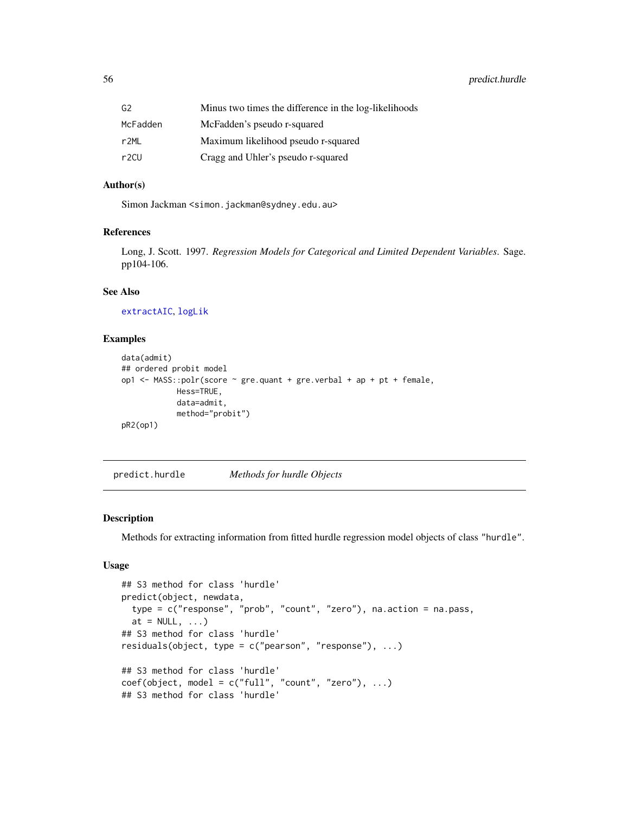56 predict.hurdle

| G2       | Minus two times the difference in the log-likelihoods |
|----------|-------------------------------------------------------|
| McFadden | McFadden's pseudo r-squared                           |
| r2ML     | Maximum likelihood pseudo r-squared                   |
| r2CU     | Cragg and Uhler's pseudo r-squared                    |

# Author(s)

Simon Jackman <simon.jackman@sydney.edu.au>

## References

Long, J. Scott. 1997. *Regression Models for Categorical and Limited Dependent Variables*. Sage. pp104-106.

# See Also

[extractAIC](#page-0-0), [logLik](#page-0-0)

#### Examples

```
data(admit)
## ordered probit model
op1 <- MASS::polr(score \sim gre.quant + gre.verbal + ap + pt + female,
            Hess=TRUE,
            data=admit,
            method="probit")
pR2(op1)
```
predict.hurdle *Methods for hurdle Objects*

## Description

Methods for extracting information from fitted hurdle regression model objects of class "hurdle".

# Usage

```
## S3 method for class 'hurdle'
predict(object, newdata,
  type = c("response", "prob", "count", "zero"), na.action = na.pass,
  at = NULL, ...## S3 method for class 'hurdle'
residuals(object, type = c("pearson", "response"), ...)
## S3 method for class 'hurdle'
\text{coef}(\text{object}, \text{ model} = \text{c("full", "count", "zero"), ...})## S3 method for class 'hurdle'
```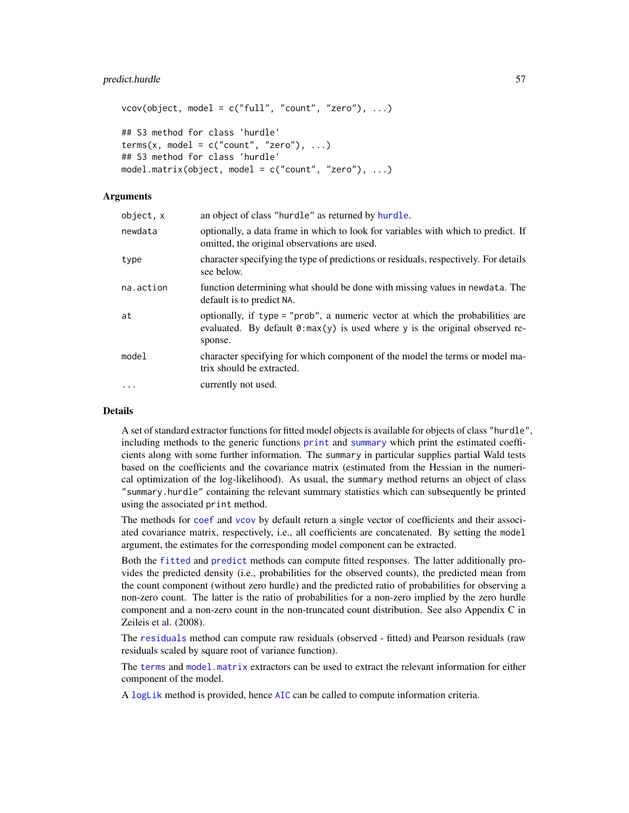```
vcov(object, model = c("full", "count", "zero"), ...)## S3 method for class 'hurdle'
terms(x, model = c("count", "zero"), ...)## S3 method for class 'hurdle'
model.matrix(object, model = c("count", "zero"), ...)
```
# Arguments

| object, x | an object of class "hurdle" as returned by hurdle.                                                                                                                               |
|-----------|----------------------------------------------------------------------------------------------------------------------------------------------------------------------------------|
| newdata   | optionally, a data frame in which to look for variables with which to predict. If<br>omitted, the original observations are used.                                                |
| type      | character specifying the type of predictions or residuals, respectively. For details<br>see below.                                                                               |
| na.action | function determining what should be done with missing values in newdata. The<br>default is to predict NA.                                                                        |
| at        | optionally, if type = "prob", a numeric vector at which the probabilities are<br>evaluated. By default $\theta$ : max(y) is used where y is the original observed re-<br>sponse. |
| model     | character specifying for which component of the model the terms or model ma-<br>trix should be extracted.                                                                        |
| $\cdots$  | currently not used.                                                                                                                                                              |
|           |                                                                                                                                                                                  |

# Details

A set of standard extractor functions for fitted model objects is available for objects of class "hurdle", including methods to the generic functions [print](#page-0-0) and [summary](#page-0-0) which print the estimated coefficients along with some further information. The summary in particular supplies partial Wald tests based on the coefficients and the covariance matrix (estimated from the Hessian in the numerical optimization of the log-likelihood). As usual, the summary method returns an object of class "summary.hurdle" containing the relevant summary statistics which can subsequently be printed using the associated print method.

The methods for [coef](#page-0-0) and [vcov](#page-0-0) by default return a single vector of coefficients and their associated covariance matrix, respectively, i.e., all coefficients are concatenated. By setting the model argument, the estimates for the corresponding model component can be extracted.

Both the [fitted](#page-0-0) and [predict](#page-0-0) methods can compute fitted responses. The latter additionally provides the predicted density (i.e., probabilities for the observed counts), the predicted mean from the count component (without zero hurdle) and the predicted ratio of probabilities for observing a non-zero count. The latter is the ratio of probabilities for a non-zero implied by the zero hurdle component and a non-zero count in the non-truncated count distribution. See also Appendix C in Zeileis et al. (2008).

The [residuals](#page-0-0) method can compute raw residuals (observed - fitted) and Pearson residuals (raw residuals scaled by square root of variance function).

The [terms](#page-0-0) and [model.matrix](#page-0-0) extractors can be used to extract the relevant information for either component of the model.

A [logLik](#page-0-0) method is provided, hence [AIC](#page-0-0) can be called to compute information criteria.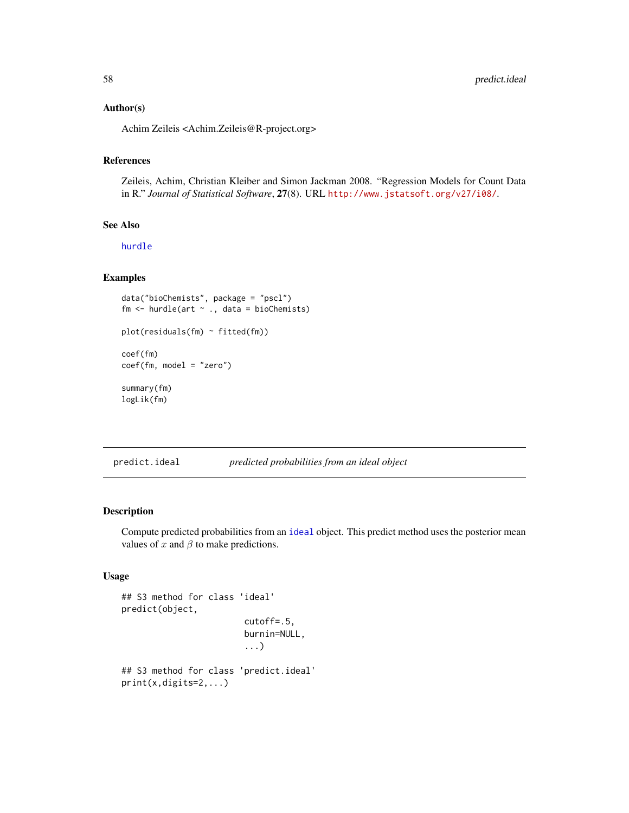## Author(s)

Achim Zeileis <Achim.Zeileis@R-project.org>

# References

Zeileis, Achim, Christian Kleiber and Simon Jackman 2008. "Regression Models for Count Data in R." *Journal of Statistical Software*, 27(8). URL <http://www.jstatsoft.org/v27/i08/>.

# See Also

[hurdle](#page-25-0)

# Examples

```
data("bioChemists", package = "pscl")
fm <- hurdle(art ~ ., data = bioChemists)
plot(residuals(fm) ~ fitted(fm))
coef(fm)
coef(fm, model = "zero")
summary(fm)
logLik(fm)
```
<span id="page-57-0"></span>predict.ideal *predicted probabilities from an ideal object*

## Description

Compute predicted probabilities from an [ideal](#page-31-0) object. This predict method uses the posterior mean values of x and  $\beta$  to make predictions.

## Usage

```
## S3 method for class 'ideal'
predict(object,
                        cutoff=.5,
                        burnin=NULL,
                        ...)
## S3 method for class 'predict.ideal'
print(x,digits=2,...)
```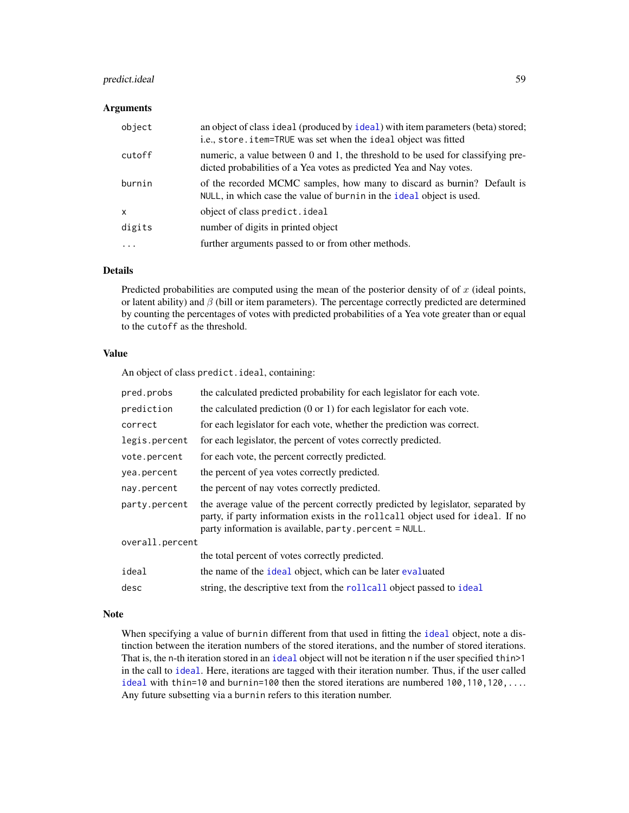# predict.ideal 59

#### Arguments

| object    | an object of class ideal (produced by ideal) with item parameters (beta) stored;<br>i.e., store.item=TRUE was set when the ideal object was fitted     |
|-----------|--------------------------------------------------------------------------------------------------------------------------------------------------------|
| cutoff    | numeric, a value between 0 and 1, the threshold to be used for classifying pre-<br>dicted probabilities of a Yea votes as predicted Yea and Nay votes. |
| burnin    | of the recorded MCMC samples, how many to discard as burnin? Default is<br>NULL, in which case the value of burnin in the ideal object is used.        |
| X         | object of class predict.ideal                                                                                                                          |
| digits    | number of digits in printed object                                                                                                                     |
| $\ddotsc$ | further arguments passed to or from other methods.                                                                                                     |
|           |                                                                                                                                                        |

# Details

Predicted probabilities are computed using the mean of the posterior density of of  $x$  (ideal points, or latent ability) and  $\beta$  (bill or item parameters). The percentage correctly predicted are determined by counting the percentages of votes with predicted probabilities of a Yea vote greater than or equal to the cutoff as the threshold.

## Value

An object of class predict.ideal, containing:

| pred.probs      | the calculated predicted probability for each legislator for each vote.                                                                                                                                                      |
|-----------------|------------------------------------------------------------------------------------------------------------------------------------------------------------------------------------------------------------------------------|
| prediction      | the calculated prediction $(0 \text{ or } 1)$ for each legislator for each vote.                                                                                                                                             |
| correct         | for each legislator for each vote, whether the prediction was correct.                                                                                                                                                       |
| legis.percent   | for each legislator, the percent of votes correctly predicted.                                                                                                                                                               |
| vote.percent    | for each vote, the percent correctly predicted.                                                                                                                                                                              |
| yea.percent     | the percent of yea votes correctly predicted.                                                                                                                                                                                |
| nay.percent     | the percent of nay votes correctly predicted.                                                                                                                                                                                |
| party.percent   | the average value of the percent correctly predicted by legislator, separated by<br>party, if party information exists in the rollcall object used for ideal. If no<br>party information is available, party percent = NULL. |
| overall.percent |                                                                                                                                                                                                                              |
|                 | the total percent of votes correctly predicted.                                                                                                                                                                              |
| ideal           | the name of the ideal object, which can be later evaluated                                                                                                                                                                   |
| desc            | string, the descriptive text from the rollcall object passed to ideal                                                                                                                                                        |

## Note

When specifying a value of burnin different from that used in fitting the [ideal](#page-31-0) object, note a distinction between the iteration numbers of the stored iterations, and the number of stored iterations. That is, the n-th iteration stored in an [ideal](#page-31-0) object will not be iteration n if the user specified thin>1 in the call to [ideal](#page-31-0). Here, iterations are tagged with their iteration number. Thus, if the user called [ideal](#page-31-0) with thin=10 and burnin=100 then the stored iterations are numbered  $100, 110, 120, \ldots$ . Any future subsetting via a burnin refers to this iteration number.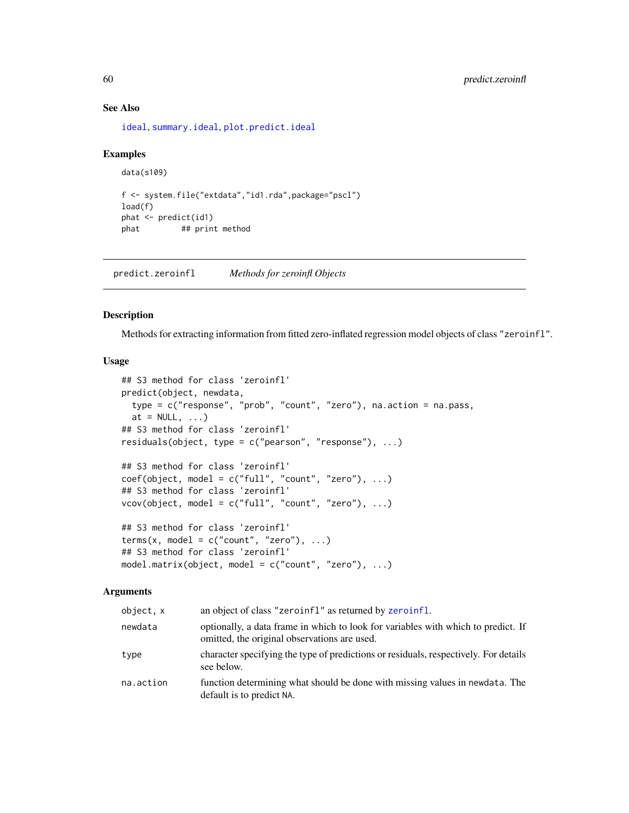#### See Also

[ideal](#page-31-0), [summary.ideal](#page-79-0), [plot.predict.ideal](#page-48-0)

#### Examples

```
data(s109)
f <- system.file("extdata","id1.rda",package="pscl")
load(f)
phat <- predict(id1)
phat ## print method
```
predict.zeroinfl *Methods for zeroinfl Objects*

# <span id="page-59-0"></span>Description

Methods for extracting information from fitted zero-inflated regression model objects of class "zeroinfl".

# Usage

```
## S3 method for class 'zeroinfl'
predict(object, newdata,
  type = c("response", "prob", "count", "zero"), na.action = na.pass,
  at = NULL, ...## S3 method for class 'zeroinfl'
residuals(object, type = c("pearson", "response"), ...)
## S3 method for class 'zeroinfl'
coef(object, model = c("full", "count", "zero"), ...)## S3 method for class 'zeroinfl'
vcov(object, model = c("full", "count", "zero"), ...)## S3 method for class 'zeroinfl'
terms(x, model = c("count", "zero"), ...)## S3 method for class 'zeroinfl'
model.matrix(object, model = c("count", "zero"), ...)
```
# Arguments

| object, x | an object of class "zeroinfl" as returned by zeroinfl.                                                                            |
|-----------|-----------------------------------------------------------------------------------------------------------------------------------|
| newdata   | optionally, a data frame in which to look for variables with which to predict. If<br>omitted, the original observations are used. |
| type      | character specifying the type of predictions or residuals, respectively. For details<br>see below.                                |
| na.action | function determining what should be done with missing values in newdata. The<br>default is to predict NA.                         |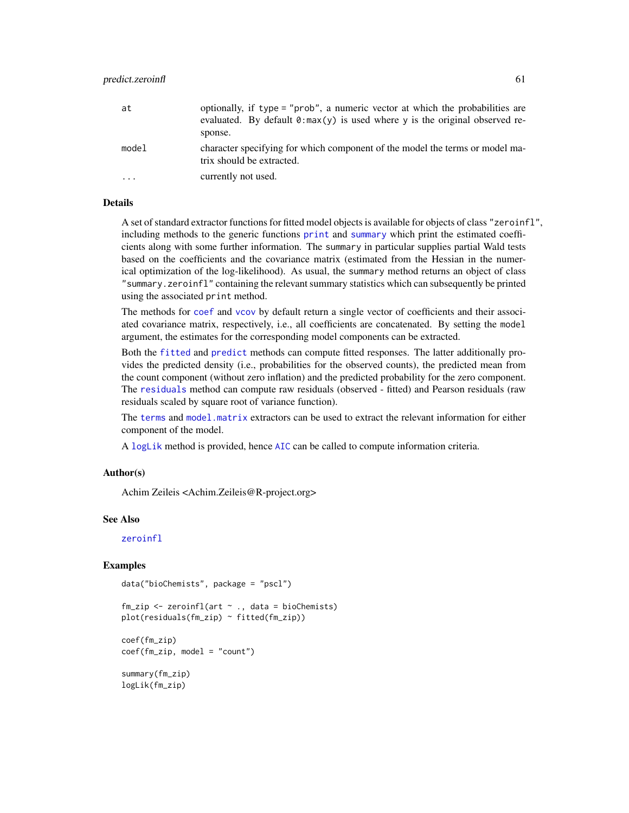| at    | optionally, if type = "prob", a numeric vector at which the probabilities are<br>evaluated. By default $\theta$ : max(y) is used where y is the original observed re-<br>sponse. |
|-------|----------------------------------------------------------------------------------------------------------------------------------------------------------------------------------|
| model | character specifying for which component of the model the terms or model ma-<br>trix should be extracted.                                                                        |
| .     | currently not used.                                                                                                                                                              |

# Details

A set of standard extractor functions for fitted model objects is available for objects of class "zeroinfl", including methods to the generic functions [print](#page-0-0) and [summary](#page-0-0) which print the estimated coefficients along with some further information. The summary in particular supplies partial Wald tests based on the coefficients and the covariance matrix (estimated from the Hessian in the numerical optimization of the log-likelihood). As usual, the summary method returns an object of class "summary.zeroinfl" containing the relevant summary statistics which can subsequently be printed using the associated print method.

The methods for [coef](#page-0-0) and [vcov](#page-0-0) by default return a single vector of coefficients and their associated covariance matrix, respectively, i.e., all coefficients are concatenated. By setting the model argument, the estimates for the corresponding model components can be extracted.

Both the [fitted](#page-0-0) and [predict](#page-0-0) methods can compute fitted responses. The latter additionally provides the predicted density (i.e., probabilities for the observed counts), the predicted mean from the count component (without zero inflation) and the predicted probability for the zero component. The [residuals](#page-0-0) method can compute raw residuals (observed - fitted) and Pearson residuals (raw residuals scaled by square root of variance function).

The [terms](#page-0-0) and [model.matrix](#page-0-0) extractors can be used to extract the relevant information for either component of the model.

A [logLik](#page-0-0) method is provided, hence [AIC](#page-0-0) can be called to compute information criteria.

## Author(s)

Achim Zeileis <Achim.Zeileis@R-project.org>

#### See Also

[zeroinfl](#page-91-0)

```
data("bioChemists", package = "pscl")
```

```
fm\_zip \leq zeroinfl(art \sim ., data = bioChemists)plot(residuals(fm_zip) ~ fitted(fm_zip))
```

```
coef(fm_zip)
coef(fm_zip, model = "count")
```

```
summary(fm_zip)
logLik(fm_zip)
```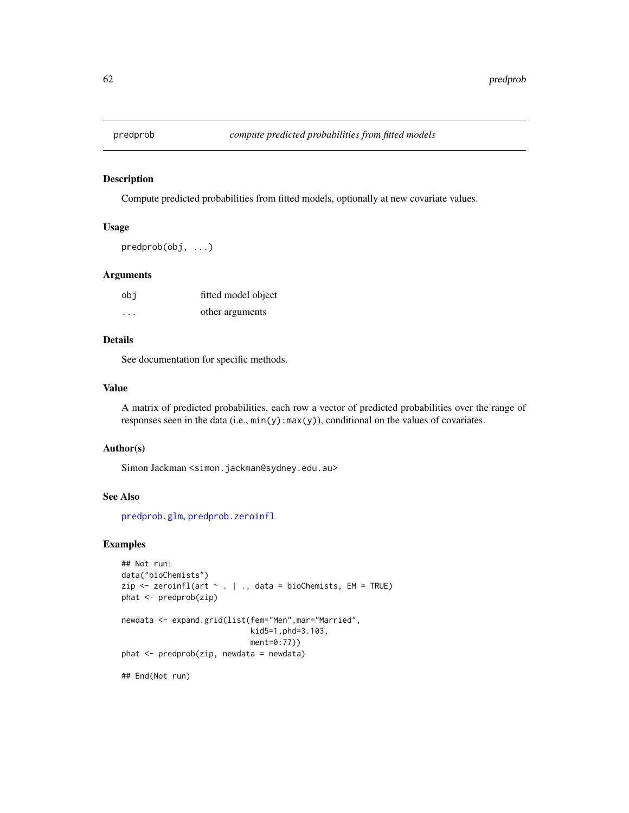<span id="page-61-0"></span>

Compute predicted probabilities from fitted models, optionally at new covariate values.

#### Usage

predprob(obj, ...)

#### Arguments

| obi     | fitted model object |
|---------|---------------------|
| $\cdot$ | other arguments     |

# Details

See documentation for specific methods.

# Value

A matrix of predicted probabilities, each row a vector of predicted probabilities over the range of responses seen in the data (i.e., min(y):max(y)), conditional on the values of covariates.

#### Author(s)

Simon Jackman <simon.jackman@sydney.edu.au>

## See Also

[predprob.glm](#page-62-0), [predprob.zeroinfl](#page-59-0)

```
## Not run:
data("bioChemists")
zip <- zeroinfl(art ~ . | ., data = bioChemists, EM = TRUE)
phat <- predprob(zip)
newdata <- expand.grid(list(fem="Men",mar="Married",
                            kid5=1,phd=3.103,
                            ment=0:77))
phat <- predprob(zip, newdata = newdata)
## End(Not run)
```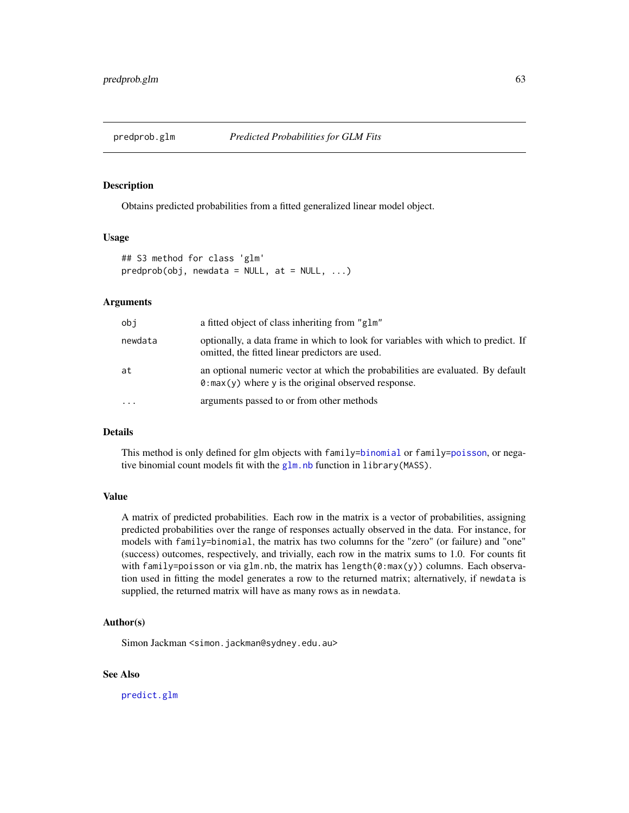<span id="page-62-0"></span>

Obtains predicted probabilities from a fitted generalized linear model object.

#### Usage

```
## S3 method for class 'glm'
predprob(obj, newdata = NULL, at = NULL, ...)
```
#### Arguments

| obj       | a fitted object of class inheriting from "glm"                                                                                                  |
|-----------|-------------------------------------------------------------------------------------------------------------------------------------------------|
| newdata   | optionally, a data frame in which to look for variables with which to predict. If<br>omitted, the fitted linear predictors are used.            |
| at        | an optional numeric vector at which the probabilities are evaluated. By default<br>$\theta$ : max(y) where y is the original observed response. |
| $\ddotsc$ | arguments passed to or from other methods                                                                                                       |

## Details

This method is only defined for glm objects with family[=binomial](#page-0-0) or family[=poisson](#page-0-0), or negative binomial count models fit with the  $g \ln n$  h function in library (MASS).

## Value

A matrix of predicted probabilities. Each row in the matrix is a vector of probabilities, assigning predicted probabilities over the range of responses actually observed in the data. For instance, for models with family=binomial, the matrix has two columns for the "zero" (or failure) and "one" (success) outcomes, respectively, and trivially, each row in the matrix sums to 1.0. For counts fit with family=poisson or via glm.nb, the matrix has length( $0:max(y)$ ) columns. Each observation used in fitting the model generates a row to the returned matrix; alternatively, if newdata is supplied, the returned matrix will have as many rows as in newdata.

#### Author(s)

Simon Jackman <simon.jackman@sydney.edu.au>

#### See Also

[predict.glm](#page-0-0)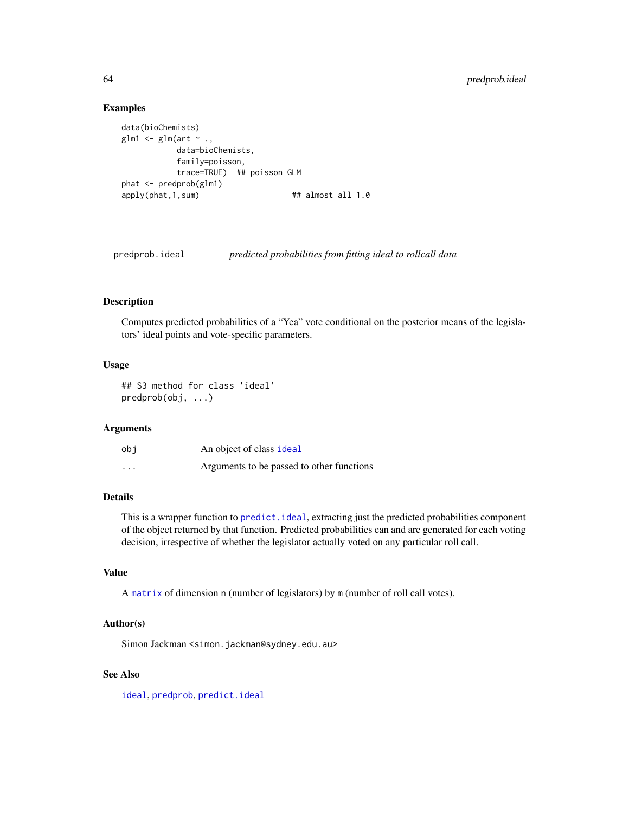## Examples

```
data(bioChemists)
glm1 <- glm(\text{art} \sim .,data=bioChemists,
           family=poisson,
           trace=TRUE) ## poisson GLM
phat <- predprob(glm1)
apply(phat, 1, sum) ## almost all 1.0
```
predprob.ideal *predicted probabilities from fitting ideal to rollcall data*

#### Description

Computes predicted probabilities of a "Yea" vote conditional on the posterior means of the legislators' ideal points and vote-specific parameters.

## Usage

## S3 method for class 'ideal' predprob(obj, ...)

# Arguments

| obi      | An object of class ideal                  |
|----------|-------------------------------------------|
| $\cdots$ | Arguments to be passed to other functions |

# Details

This is a wrapper function to [predict.ideal](#page-57-0), extracting just the predicted probabilities component of the object returned by that function. Predicted probabilities can and are generated for each voting decision, irrespective of whether the legislator actually voted on any particular roll call.

## Value

A [matrix](#page-0-0) of dimension n (number of legislators) by m (number of roll call votes).

## Author(s)

Simon Jackman <simon.jackman@sydney.edu.au>

#### See Also

[ideal](#page-31-0), [predprob](#page-61-0), [predict.ideal](#page-57-0)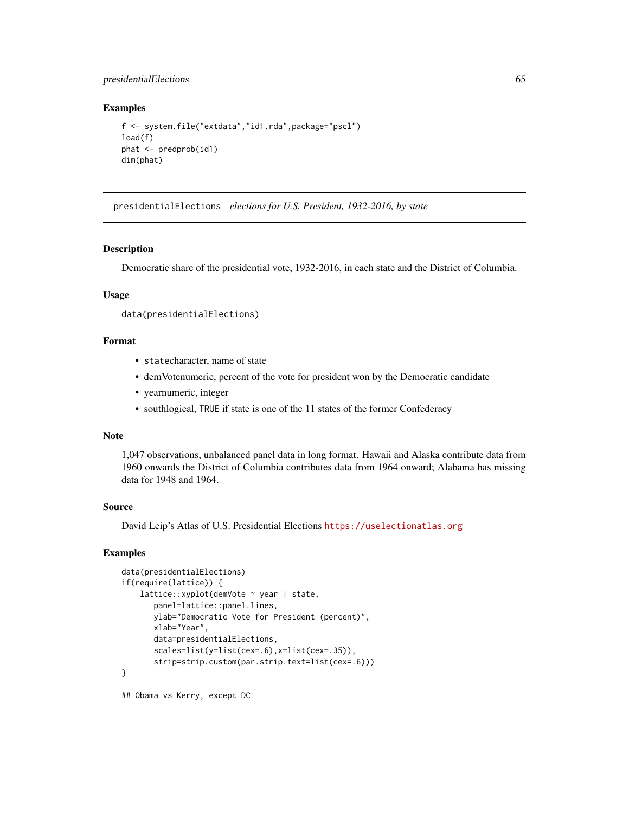# presidentialElections 65

#### Examples

```
f <- system.file("extdata","id1.rda",package="pscl")
load(f)
phat <- predprob(id1)
dim(phat)
```
presidentialElections *elections for U.S. President, 1932-2016, by state*

## Description

Democratic share of the presidential vote, 1932-2016, in each state and the District of Columbia.

#### Usage

```
data(presidentialElections)
```
#### Format

- statecharacter, name of state
- demVotenumeric, percent of the vote for president won by the Democratic candidate
- yearnumeric, integer
- southlogical, TRUE if state is one of the 11 states of the former Confederacy

#### Note

1,047 observations, unbalanced panel data in long format. Hawaii and Alaska contribute data from 1960 onwards the District of Columbia contributes data from 1964 onward; Alabama has missing data for 1948 and 1964.

# Source

David Leip's Atlas of U.S. Presidential Elections <https://uselectionatlas.org>

# Examples

```
data(presidentialElections)
if(require(lattice)) {
    lattice::xyplot(demVote ~ year | state,
      panel=lattice::panel.lines,
      ylab="Democratic Vote for President (percent)",
      xlab="Year",
      data=presidentialElections,
      scales=list(y=list(cex=.6),x=list(cex=.35)),
      strip=strip.custom(par.strip.text=list(cex=.6)))
}
```
## Obama vs Kerry, except DC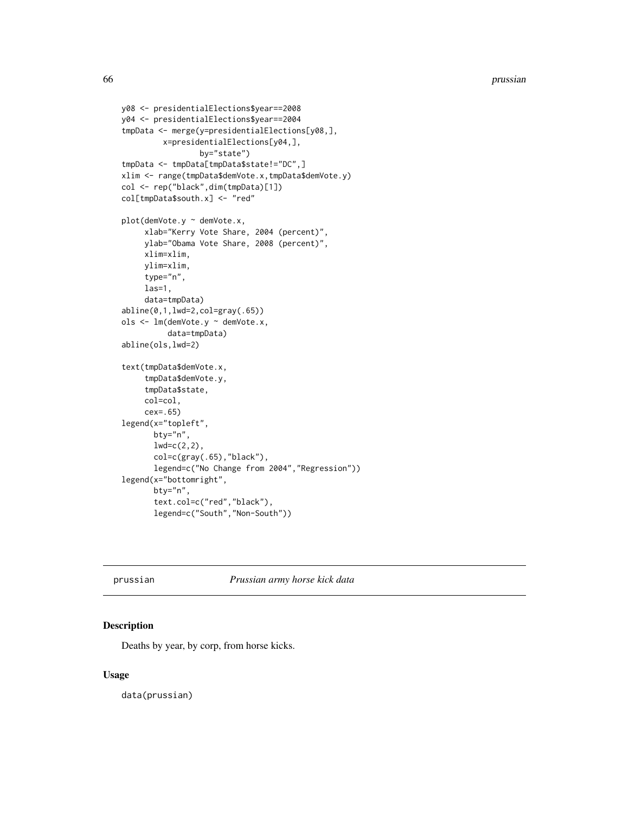```
y08 <- presidentialElections$year==2008
y04 <- presidentialElections$year==2004
tmpData <- merge(y=presidentialElections[y08,],
         x=presidentialElections[y04,],
                 by="state")
tmpData <- tmpData[tmpData$state!="DC",]
xlim <- range(tmpData$demVote.x,tmpData$demVote.y)
col <- rep("black",dim(tmpData)[1])
col[tmpData$south.x] <- "red"
plot(demVote.y ~ demVote.x,
     xlab="Kerry Vote Share, 2004 (percent)",
     ylab="Obama Vote Share, 2008 (percent)",
     xlim=xlim,
     ylim=xlim,
     type="n",
     las=1,
     data=tmpData)
abline(0,1,lwd=2,col=gray(.65))
ols <- lm(demVote.y ~ demVote.x,
          data=tmpData)
abline(ols,lwd=2)
text(tmpData$demVote.x,
     tmpData$demVote.y,
     tmpData$state,
     col=col,
     cex=.65)
legend(x="topleft",
      bty="n",
       lwd=c(2,2),
       col=c(gray(.65),"black"),
       legend=c("No Change from 2004","Regression"))
legend(x="bottomright",
       bty="n",
       text.col=c("red","black"),
       legend=c("South","Non-South"))
```
prussian *Prussian army horse kick data*

## Description

Deaths by year, by corp, from horse kicks.

#### Usage

data(prussian)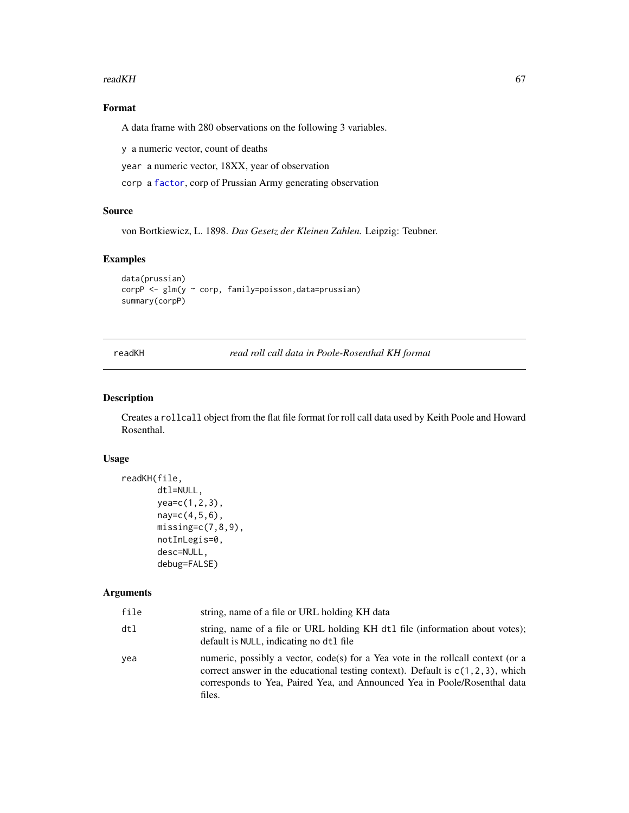#### readKH 67

# Format

A data frame with 280 observations on the following 3 variables.

y a numeric vector, count of deaths

year a numeric vector, 18XX, year of observation

corp a [factor](#page-0-0), corp of Prussian Army generating observation

## Source

von Bortkiewicz, L. 1898. *Das Gesetz der Kleinen Zahlen.* Leipzig: Teubner.

# Examples

```
data(prussian)
corpP <- glm(y ~ corp, family=poisson,data=prussian)
summary(corpP)
```
<span id="page-66-0"></span>readKH *read roll call data in Poole-Rosenthal KH format*

# Description

Creates a rollcall object from the flat file format for roll call data used by Keith Poole and Howard Rosenthal.

# Usage

```
readKH(file,
       dtl=NULL,
       yea=c(1,2,3),
       nay=c(4,5,6),
       missing=c(7,8,9),
       notInLegis=0,
       desc=NULL,
       debug=FALSE)
```
# Arguments

| file | string, name of a file or URL holding KH data                                                                                                                                                                                                                  |
|------|----------------------------------------------------------------------------------------------------------------------------------------------------------------------------------------------------------------------------------------------------------------|
| dtl  | string, name of a file or URL holding KH dtl file (information about votes);<br>default is NULL, indicating no dt1 file                                                                                                                                        |
| vea  | numeric, possibly a vector, code(s) for a Yea vote in the rollcall context (or a<br>correct answer in the educational testing context). Default is $c(1, 2, 3)$ , which<br>corresponds to Yea, Paired Yea, and Announced Yea in Poole/Rosenthal data<br>files. |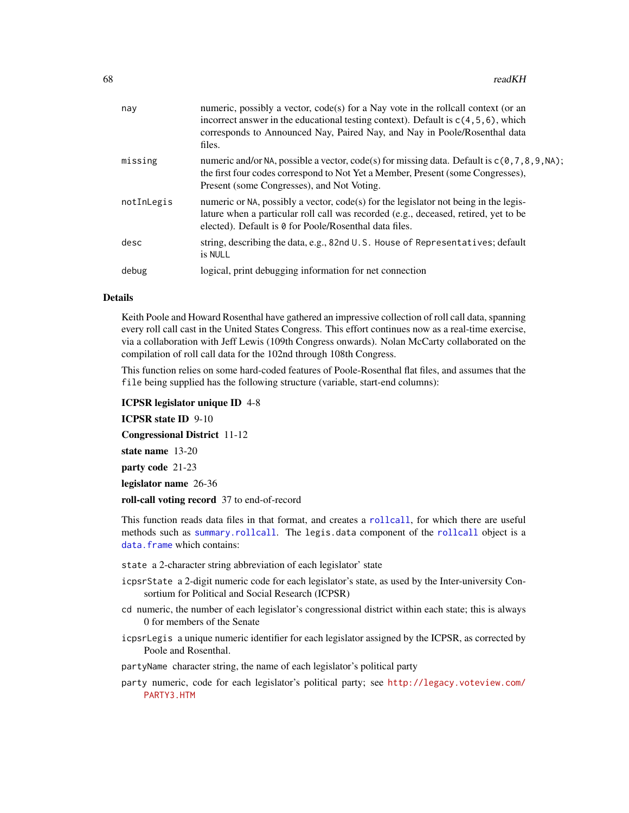| nay        | numeric, possibly a vector, code(s) for a Nay vote in the rollcall context (or an<br>incorrect answer in the educational testing context). Default is $c(4, 5, 6)$ , which<br>corresponds to Announced Nay, Paired Nay, and Nay in Poole/Rosenthal data<br>files. |
|------------|-------------------------------------------------------------------------------------------------------------------------------------------------------------------------------------------------------------------------------------------------------------------|
| missing    | numeric and/or NA, possible a vector, code(s) for missing data. Default is $c(0, 7, 8, 9, NA)$ ;<br>the first four codes correspond to Not Yet a Member, Present (some Congresses),<br>Present (some Congresses), and Not Voting.                                 |
| notInLegis | numeric or NA, possibly a vector, $code(s)$ for the legislator not being in the legis-<br>lature when a particular roll call was recorded (e.g., deceased, retired, yet to be<br>elected). Default is 0 for Poole/Rosenthal data files.                           |
| desc       | string, describing the data, e.g., 82nd U.S. House of Representatives; default<br>is NULL                                                                                                                                                                         |
| debug      | logical, print debugging information for net connection                                                                                                                                                                                                           |
|            |                                                                                                                                                                                                                                                                   |

#### Details

Keith Poole and Howard Rosenthal have gathered an impressive collection of roll call data, spanning every roll call cast in the United States Congress. This effort continues now as a real-time exercise, via a collaboration with Jeff Lewis (109th Congress onwards). Nolan McCarty collaborated on the compilation of roll call data for the 102nd through 108th Congress.

This function relies on some hard-coded features of Poole-Rosenthal flat files, and assumes that the file being supplied has the following structure (variable, start-end columns):

ICPSR legislator unique ID 4-8

ICPSR state ID 9-10

Congressional District 11-12

state name 13-20

party code 21-23

legislator name 26-36

roll-call voting record 37 to end-of-record

This function reads data files in that format, and creates a [rollcall](#page-71-0), for which there are useful methods such as [summary.rollcall](#page-81-0). The legis.data component of the [rollcall](#page-71-0) object is a [data.frame](#page-0-0) which contains:

state a 2-character string abbreviation of each legislator' state

- icpsrState a 2-digit numeric code for each legislator's state, as used by the Inter-university Consortium for Political and Social Research (ICPSR)
- cd numeric, the number of each legislator's congressional district within each state; this is always 0 for members of the Senate
- icpsrLegis a unique numeric identifier for each legislator assigned by the ICPSR, as corrected by Poole and Rosenthal.

partyName character string, the name of each legislator's political party

party numeric, code for each legislator's political party; see [http://legacy.voteview.com/](http://legacy.voteview.com/PARTY3.HTM) [PARTY3.HTM](http://legacy.voteview.com/PARTY3.HTM)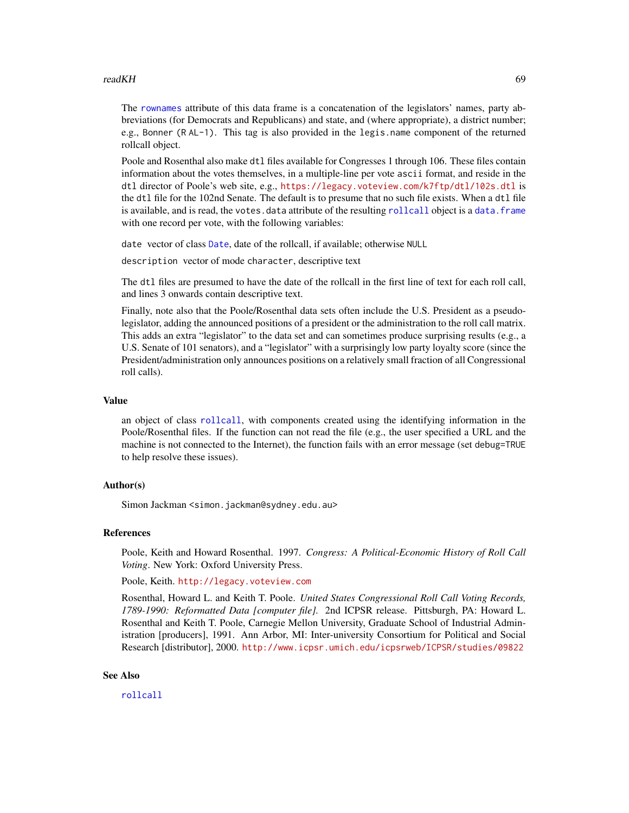#### readKH 69

The [rownames](#page-0-0) attribute of this data frame is a concatenation of the legislators' names, party abbreviations (for Democrats and Republicans) and state, and (where appropriate), a district number; e.g., Bonner (R AL-1). This tag is also provided in the legis.name component of the returned rollcall object.

Poole and Rosenthal also make dtl files available for Congresses 1 through 106. These files contain information about the votes themselves, in a multiple-line per vote ascii format, and reside in the dtl director of Poole's web site, e.g., <https://legacy.voteview.com/k7ftp/dtl/102s.dtl> is the dtl file for the 102nd Senate. The default is to presume that no such file exists. When a dtl file is available, and is read, the votes.data attribute of the resulting [rollcall](#page-71-0) object is a [data.frame](#page-0-0) with one record per vote, with the following variables:

date vector of class [Date](#page-0-0), date of the rollcall, if available; otherwise NULL

description vector of mode character, descriptive text

The dtl files are presumed to have the date of the rollcall in the first line of text for each roll call, and lines 3 onwards contain descriptive text.

Finally, note also that the Poole/Rosenthal data sets often include the U.S. President as a pseudolegislator, adding the announced positions of a president or the administration to the roll call matrix. This adds an extra "legislator" to the data set and can sometimes produce surprising results (e.g., a U.S. Senate of 101 senators), and a "legislator" with a surprisingly low party loyalty score (since the President/administration only announces positions on a relatively small fraction of all Congressional roll calls).

#### Value

an object of class [rollcall](#page-71-0), with components created using the identifying information in the Poole/Rosenthal files. If the function can not read the file (e.g., the user specified a URL and the machine is not connected to the Internet), the function fails with an error message (set debug=TRUE to help resolve these issues).

#### Author(s)

Simon Jackman <simon.jackman@sydney.edu.au>

#### References

Poole, Keith and Howard Rosenthal. 1997. *Congress: A Political-Economic History of Roll Call Voting*. New York: Oxford University Press.

Poole, Keith. <http://legacy.voteview.com>

Rosenthal, Howard L. and Keith T. Poole. *United States Congressional Roll Call Voting Records, 1789-1990: Reformatted Data [computer file].* 2nd ICPSR release. Pittsburgh, PA: Howard L. Rosenthal and Keith T. Poole, Carnegie Mellon University, Graduate School of Industrial Administration [producers], 1991. Ann Arbor, MI: Inter-university Consortium for Political and Social Research [distributor], 2000. <http://www.icpsr.umich.edu/icpsrweb/ICPSR/studies/09822>

#### See Also

[rollcall](#page-71-0)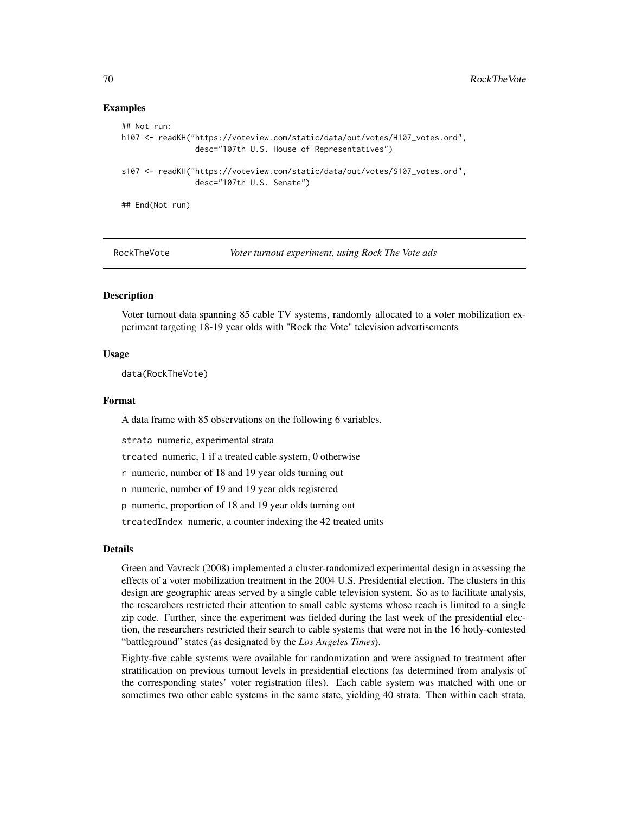## Examples

```
## Not run:
h107 <- readKH("https://voteview.com/static/data/out/votes/H107_votes.ord",
                desc="107th U.S. House of Representatives")
s107 <- readKH("https://voteview.com/static/data/out/votes/S107_votes.ord",
                desc="107th U.S. Senate")
## End(Not run)
```
RockTheVote *Voter turnout experiment, using Rock The Vote ads*

## Description

Voter turnout data spanning 85 cable TV systems, randomly allocated to a voter mobilization experiment targeting 18-19 year olds with "Rock the Vote" television advertisements

#### Usage

data(RockTheVote)

#### Format

A data frame with 85 observations on the following 6 variables.

strata numeric, experimental strata

treated numeric, 1 if a treated cable system, 0 otherwise

r numeric, number of 18 and 19 year olds turning out

n numeric, number of 19 and 19 year olds registered

p numeric, proportion of 18 and 19 year olds turning out

treatedIndex numeric, a counter indexing the 42 treated units

# Details

Green and Vavreck (2008) implemented a cluster-randomized experimental design in assessing the effects of a voter mobilization treatment in the 2004 U.S. Presidential election. The clusters in this design are geographic areas served by a single cable television system. So as to facilitate analysis, the researchers restricted their attention to small cable systems whose reach is limited to a single zip code. Further, since the experiment was fielded during the last week of the presidential election, the researchers restricted their search to cable systems that were not in the 16 hotly-contested "battleground" states (as designated by the *Los Angeles Times*).

Eighty-five cable systems were available for randomization and were assigned to treatment after stratification on previous turnout levels in presidential elections (as determined from analysis of the corresponding states' voter registration files). Each cable system was matched with one or sometimes two other cable systems in the same state, yielding 40 strata. Then within each strata,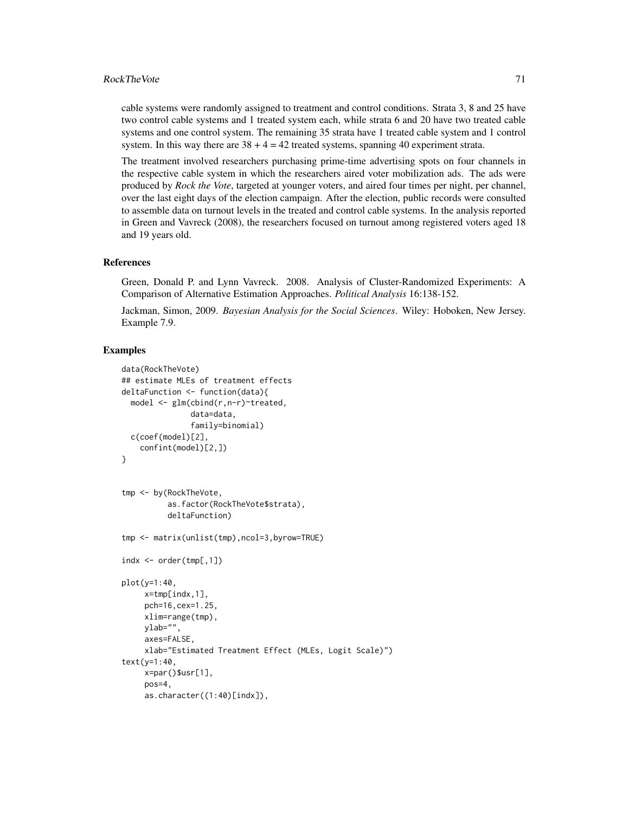cable systems were randomly assigned to treatment and control conditions. Strata 3, 8 and 25 have two control cable systems and 1 treated system each, while strata 6 and 20 have two treated cable systems and one control system. The remaining 35 strata have 1 treated cable system and 1 control system. In this way there are  $38 + 4 = 42$  treated systems, spanning 40 experiment strata.

The treatment involved researchers purchasing prime-time advertising spots on four channels in the respective cable system in which the researchers aired voter mobilization ads. The ads were produced by *Rock the Vote*, targeted at younger voters, and aired four times per night, per channel, over the last eight days of the election campaign. After the election, public records were consulted to assemble data on turnout levels in the treated and control cable systems. In the analysis reported in Green and Vavreck (2008), the researchers focused on turnout among registered voters aged 18 and 19 years old.

#### References

Green, Donald P. and Lynn Vavreck. 2008. Analysis of Cluster-Randomized Experiments: A Comparison of Alternative Estimation Approaches. *Political Analysis* 16:138-152.

Jackman, Simon, 2009. *Bayesian Analysis for the Social Sciences*. Wiley: Hoboken, New Jersey. Example 7.9.

```
data(RockTheVote)
## estimate MLEs of treatment effects
deltaFunction <- function(data){
 model <- glm(cbind(r,n-r)~treated,
               data=data,
               family=binomial)
 c(coef(model)[2],
    confint(model)[2,])
}
tmp <- by(RockTheVote,
          as.factor(RockTheVote$strata),
          deltaFunction)
tmp <- matrix(unlist(tmp),ncol=3,byrow=TRUE)
indx < -</math> order(tmp[, 1])plot(y=1:40,
    x=tmp[indx,1],
     pch=16,cex=1.25,
     xlim=range(tmp),
     ylab="",
     axes=FALSE,
     xlab="Estimated Treatment Effect (MLEs, Logit Scale)")
text(y=1:40,
    x=par()$usr[1],
     pos=4,
     as.character((1:40)[indx]),
```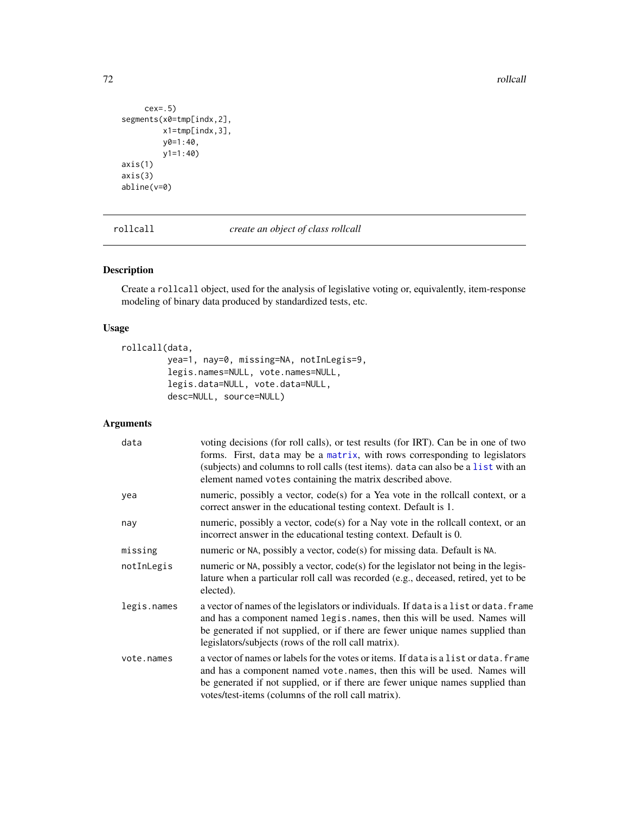72 rollcall and the contract of the contract of the contract of the contract of the contract of the contract of the contract of the contract of the contract of the contract of the contract of the contract of the contract o

```
cex=.5)
segments(x0=tmp[indx,2],
         x1=tmp[indx,3],
         y0=1:40,
         y1=1:40)
axis(1)
axis(3)
abline(v=0)
```
<span id="page-71-0"></span>rollcall *create an object of class rollcall*

# Description

Create a rollcall object, used for the analysis of legislative voting or, equivalently, item-response modeling of binary data produced by standardized tests, etc.

# Usage

```
rollcall(data,
        yea=1, nay=0, missing=NA, notInLegis=9,
        legis.names=NULL, vote.names=NULL,
         legis.data=NULL, vote.data=NULL,
         desc=NULL, source=NULL)
```
# Arguments

| data        | voting decisions (for roll calls), or test results (for IRT). Can be in one of two<br>forms. First, data may be a matrix, with rows corresponding to legislators<br>(subjects) and columns to roll calls (test items). data can also be a list with an<br>element named votes containing the matrix described above. |
|-------------|----------------------------------------------------------------------------------------------------------------------------------------------------------------------------------------------------------------------------------------------------------------------------------------------------------------------|
| yea         | numeric, possibly a vector, code(s) for a Yea vote in the rollcall context, or a<br>correct answer in the educational testing context. Default is 1.                                                                                                                                                                 |
| nay         | numeric, possibly a vector, code(s) for a Nay vote in the rollcall context, or an<br>incorrect answer in the educational testing context. Default is 0.                                                                                                                                                              |
| missing     | numeric or NA, possibly a vector, code(s) for missing data. Default is NA.                                                                                                                                                                                                                                           |
| notInLegis  | numeric or NA, possibly a vector, code(s) for the legislator not being in the legis-<br>lature when a particular roll call was recorded (e.g., deceased, retired, yet to be<br>elected).                                                                                                                             |
| legis.names | a vector of names of the legislators or individuals. If data is a list or data. frame<br>and has a component named legis.names, then this will be used. Names will<br>be generated if not supplied, or if there are fewer unique names supplied than<br>legislators/subjects (rows of the roll call matrix).         |
| vote.names  | a vector of names or labels for the votes or items. If data is a list or data. frame<br>and has a component named vote. names, then this will be used. Names will<br>be generated if not supplied, or if there are fewer unique names supplied than<br>votes/test-items (columns of the roll call matrix).           |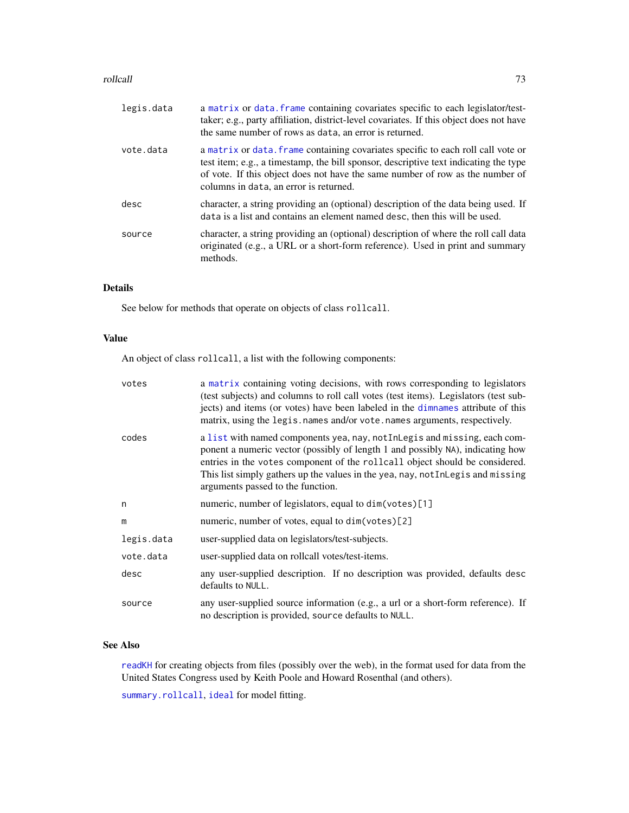# <span id="page-72-0"></span>rollcall and the control of the control of the control of the control of the control of the control of the control of the control of the control of the control of the control of the control of the control of the control of

| legis.data | a matrix or data. frame containing covariates specific to each legislator/test-<br>taker; e.g., party affiliation, district-level covariates. If this object does not have<br>the same number of rows as data, an error is returned.                                                                |
|------------|-----------------------------------------------------------------------------------------------------------------------------------------------------------------------------------------------------------------------------------------------------------------------------------------------------|
| vote.data  | a matrix or data. frame containing covariates specific to each roll call vote or<br>test item; e.g., a timestamp, the bill sponsor, descriptive text indicating the type<br>of vote. If this object does not have the same number of row as the number of<br>columns in data, an error is returned. |
| desc       | character, a string providing an (optional) description of the data being used. If<br>data is a list and contains an element named desc, then this will be used.                                                                                                                                    |
| source     | character, a string providing an (optional) description of where the roll call data<br>originated (e.g., a URL or a short-form reference). Used in print and summary<br>methods.                                                                                                                    |
|            |                                                                                                                                                                                                                                                                                                     |

# Details

See below for methods that operate on objects of class rollcall.

# Value

An object of class rollcall, a list with the following components:

| votes      | a matrix containing voting decisions, with rows corresponding to legislators<br>(test subjects) and columns to roll call votes (test items). Legislators (test sub-<br>jects) and items (or votes) have been labeled in the dimnames attribute of this<br>matrix, using the legis. names and/or vote. names arguments, respectively.                               |
|------------|--------------------------------------------------------------------------------------------------------------------------------------------------------------------------------------------------------------------------------------------------------------------------------------------------------------------------------------------------------------------|
| codes      | a list with named components yea, nay, not InLegis and missing, each com-<br>ponent a numeric vector (possibly of length 1 and possibly NA), indicating how<br>entries in the votes component of the rollcall object should be considered.<br>This list simply gathers up the values in the yea, nay, not Inlegis and missing<br>arguments passed to the function. |
| n          | numeric, number of legislators, equal to dim(votes)[1]                                                                                                                                                                                                                                                                                                             |
| m          | numeric, number of votes, equal to dim(votes)[2]                                                                                                                                                                                                                                                                                                                   |
| legis.data | user-supplied data on legislators/test-subjects.                                                                                                                                                                                                                                                                                                                   |
| vote.data  | user-supplied data on rollcall votes/test-items.                                                                                                                                                                                                                                                                                                                   |
| desc       | any user-supplied description. If no description was provided, defaults desc<br>defaults to NULL.                                                                                                                                                                                                                                                                  |
| source     | any user-supplied source information (e.g., a url or a short-form reference). If<br>no description is provided, source defaults to NULL.                                                                                                                                                                                                                           |

# See Also

[readKH](#page-66-0) for creating objects from files (possibly over the web), in the format used for data from the United States Congress used by Keith Poole and Howard Rosenthal (and others).

[summary.rollcall](#page-81-0), [ideal](#page-31-0) for model fitting.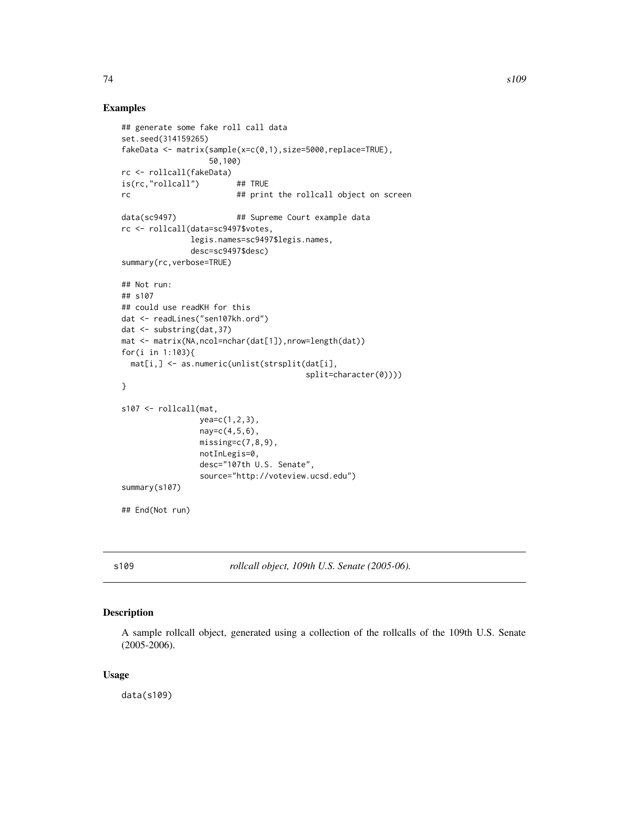# <span id="page-73-0"></span>Examples

```
## generate some fake roll call data
set.seed(314159265)
fakeData <- matrix(sample(x=c(0,1),size=5000,replace=TRUE),
                  50,100)
rc <- rollcall(fakeData)
is(rc,"rollcall") ## TRUE
rc ## print the rollcall object on screen
data(sc9497) \# Supreme Court example data
rc <- rollcall(data=sc9497$votes,
              legis.names=sc9497$legis.names,
              desc=sc9497$desc)
summary(rc,verbose=TRUE)
## Not run:
## s107
## could use readKH for this
dat <- readLines("sen107kh.ord")
dat <- substring(dat,37)
mat <- matrix(NA,ncol=nchar(dat[1]),nrow=length(dat))
for(i in 1:103){
 mat[i,] <- as.numeric(unlist(strsplit(dat[i],
                                      split=character(0))))
}
s107 <- rollcall(mat,
                yea=c(1,2,3),
                nay=c(4,5,6),
                missing=c(7,8,9),
                notInLegis=0,
                desc="107th U.S. Senate",
                source="http://voteview.ucsd.edu")
summary(s107)
## End(Not run)
```
s109 *rollcall object, 109th U.S. Senate (2005-06).*

# Description

A sample rollcall object, generated using a collection of the rollcalls of the 109th U.S. Senate (2005-2006).

# Usage

data(s109)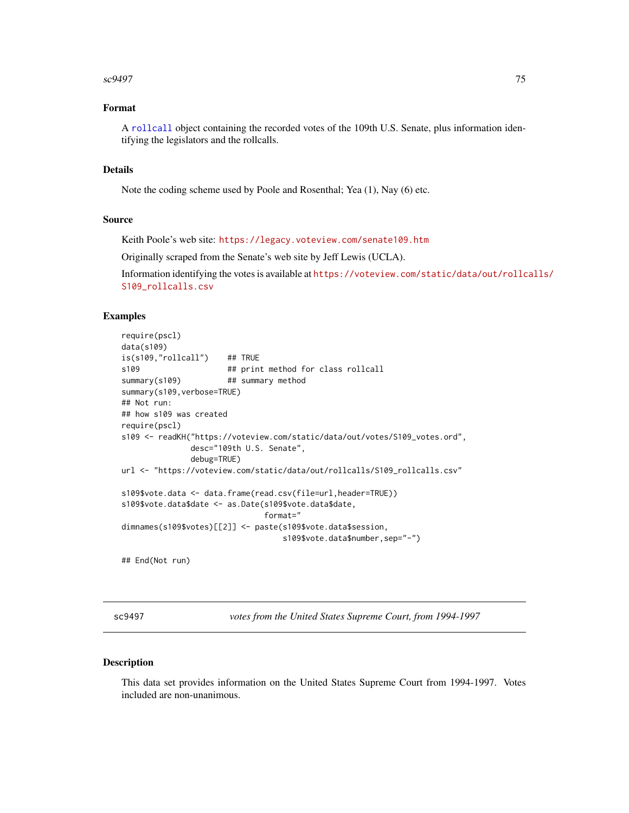# <span id="page-74-0"></span> $\frac{\text{sc9497}}{ }$

# Format

A [rollcall](#page-71-0) object containing the recorded votes of the 109th U.S. Senate, plus information identifying the legislators and the rollcalls.

# Details

Note the coding scheme used by Poole and Rosenthal; Yea (1), Nay (6) etc.

# Source

Keith Poole's web site: <https://legacy.voteview.com/senate109.htm>

Originally scraped from the Senate's web site by Jeff Lewis (UCLA).

Information identifying the votes is available at [https://voteview.com/static/data/out/rollc](https://voteview.com/static/data/out/rollcalls/S109_rollcalls.csv)alls/ [S109\\_rollcalls.csv](https://voteview.com/static/data/out/rollcalls/S109_rollcalls.csv)

# Examples

```
require(pscl)
data(s109)
is(s109,"rollcall") ## TRUE
s109 ## print method for class rollcall
summary(s109) ## summary method
summary(s109,verbose=TRUE)
## Not run:
## how s109 was created
require(pscl)
s109 <- readKH("https://voteview.com/static/data/out/votes/S109_votes.ord",
              desc="109th U.S. Senate",
              debug=TRUE)
url <- "https://voteview.com/static/data/out/rollcalls/S109_rollcalls.csv"
s109$vote.data <- data.frame(read.csv(file=url,header=TRUE))
s109$vote.data$date <- as.Date(s109$vote.data$date,
                              format="
dimnames(s109$votes)[[2]] <- paste(s109$vote.data$session,
                                 s109$vote.data$number,sep="-")
## End(Not run)
```
sc9497 *votes from the United States Supreme Court, from 1994-1997*

#### Description

This data set provides information on the United States Supreme Court from 1994-1997. Votes included are non-unanimous.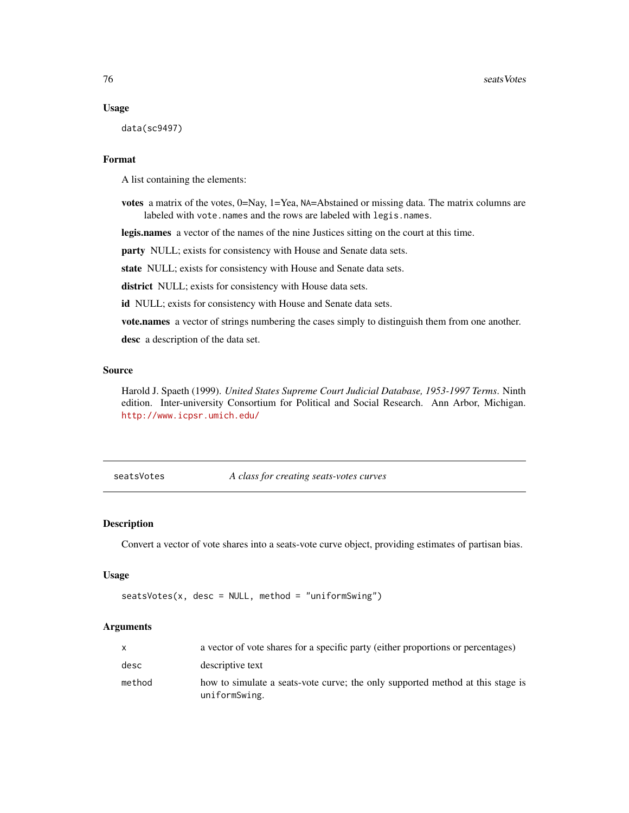#### Usage

data(sc9497)

# Format

A list containing the elements:

votes a matrix of the votes, 0=Nay, 1=Yea, NA=Abstained or missing data. The matrix columns are labeled with vote.names and the rows are labeled with legis.names.

legis.names a vector of the names of the nine Justices sitting on the court at this time.

party NULL; exists for consistency with House and Senate data sets.

state NULL; exists for consistency with House and Senate data sets.

district NULL; exists for consistency with House data sets.

id NULL; exists for consistency with House and Senate data sets.

vote.names a vector of strings numbering the cases simply to distinguish them from one another.

desc a description of the data set.

# Source

Harold J. Spaeth (1999). *United States Supreme Court Judicial Database, 1953-1997 Terms*. Ninth edition. Inter-university Consortium for Political and Social Research. Ann Arbor, Michigan. <http://www.icpsr.umich.edu/>

seatsVotes *A class for creating seats-votes curves*

# Description

Convert a vector of vote shares into a seats-vote curve object, providing estimates of partisan bias.

# Usage

 $seatsVotes(x, desc = NULL, method = "uniformSwing")$ 

# Arguments

| X      | a vector of vote shares for a specific party (either proportions or percentages)                |
|--------|-------------------------------------------------------------------------------------------------|
| desc   | descriptive text                                                                                |
| method | how to simulate a seats-vote curve; the only supported method at this stage is<br>uniformSwing. |

<span id="page-75-0"></span>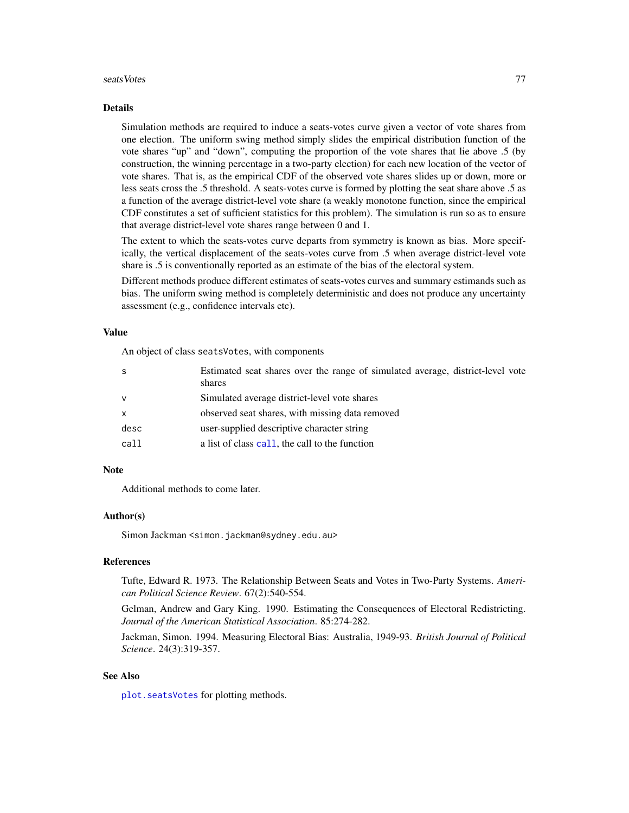#### <span id="page-76-0"></span>seatsVotes 77

#### Details

Simulation methods are required to induce a seats-votes curve given a vector of vote shares from one election. The uniform swing method simply slides the empirical distribution function of the vote shares "up" and "down", computing the proportion of the vote shares that lie above .5 (by construction, the winning percentage in a two-party election) for each new location of the vector of vote shares. That is, as the empirical CDF of the observed vote shares slides up or down, more or less seats cross the .5 threshold. A seats-votes curve is formed by plotting the seat share above .5 as a function of the average district-level vote share (a weakly monotone function, since the empirical CDF constitutes a set of sufficient statistics for this problem). The simulation is run so as to ensure that average district-level vote shares range between 0 and 1.

The extent to which the seats-votes curve departs from symmetry is known as bias. More specifically, the vertical displacement of the seats-votes curve from .5 when average district-level vote share is .5 is conventionally reported as an estimate of the bias of the electoral system.

Different methods produce different estimates of seats-votes curves and summary estimands such as bias. The uniform swing method is completely deterministic and does not produce any uncertainty assessment (e.g., confidence intervals etc).

# Value

An object of class seatsVotes, with components

| -S           | Estimated seat shares over the range of simulated average, district-level vote |
|--------------|--------------------------------------------------------------------------------|
|              | shares                                                                         |
| $\mathbf v$  | Simulated average district-level vote shares                                   |
| $\mathsf{x}$ | observed seat shares, with missing data removed                                |
| desc         | user-supplied descriptive character string                                     |
| call         | a list of class call, the call to the function                                 |

# **Note**

Additional methods to come later.

# Author(s)

Simon Jackman <simon.jackman@sydney.edu.au>

# References

Tufte, Edward R. 1973. The Relationship Between Seats and Votes in Two-Party Systems. *American Political Science Review*. 67(2):540-554.

Gelman, Andrew and Gary King. 1990. Estimating the Consequences of Electoral Redistricting. *Journal of the American Statistical Association*. 85:274-282.

Jackman, Simon. 1994. Measuring Electoral Bias: Australia, 1949-93. *British Journal of Political Science*. 24(3):319-357.

# See Also

[plot.seatsVotes](#page-49-0) for plotting methods.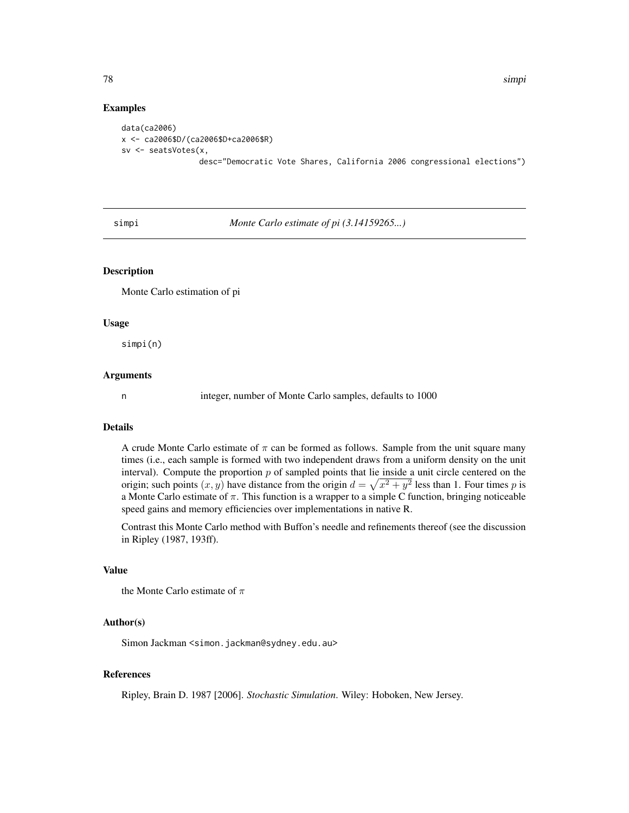78 simpi

# Examples

data(ca2006) x <- ca2006\$D/(ca2006\$D+ca2006\$R) sv <- seatsVotes(x, desc="Democratic Vote Shares, California 2006 congressional elections")

simpi *Monte Carlo estimate of pi (3.14159265...)*

# Description

Monte Carlo estimation of pi

#### Usage

simpi(n)

#### Arguments

n integer, number of Monte Carlo samples, defaults to 1000

# Details

A crude Monte Carlo estimate of  $\pi$  can be formed as follows. Sample from the unit square many times (i.e., each sample is formed with two independent draws from a uniform density on the unit interval). Compute the proportion  $p$  of sampled points that lie inside a unit circle centered on the origin; such points  $(x, y)$  have distance from the origin  $d = \sqrt{x^2 + y^2}$  less than 1. Four times p is a Monte Carlo estimate of  $\pi$ . This function is a wrapper to a simple C function, bringing noticeable speed gains and memory efficiencies over implementations in native R.

Contrast this Monte Carlo method with Buffon's needle and refinements thereof (see the discussion in Ripley (1987, 193ff).

# Value

```
the Monte Carlo estimate of \pi
```
# Author(s)

Simon Jackman <simon.jackman@sydney.edu.au>

# References

Ripley, Brain D. 1987 [2006]. *Stochastic Simulation*. Wiley: Hoboken, New Jersey.

<span id="page-77-0"></span>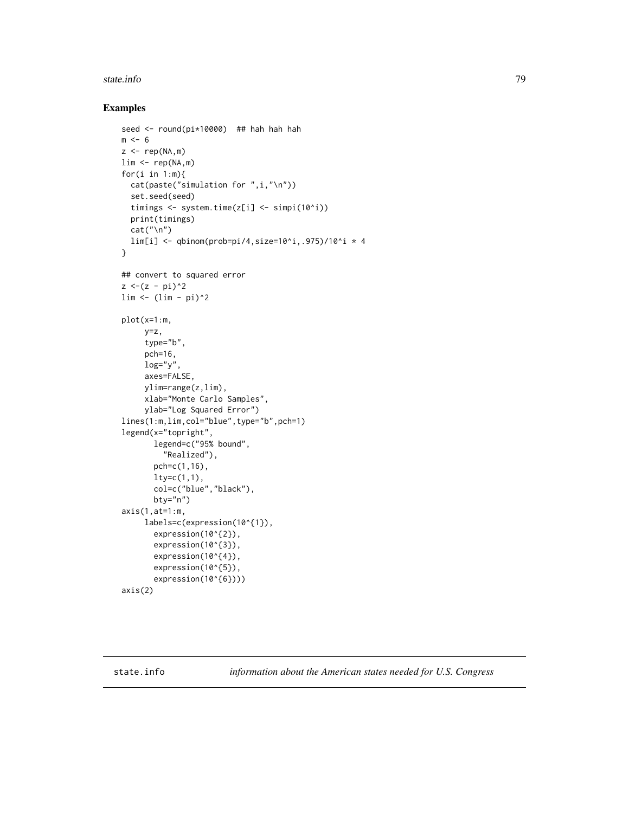#### <span id="page-78-0"></span>state.info 79

# Examples

```
seed <- round(pi*10000) ## hah hah hah
m < - 6z \leq -\text{rep}(NA,m)lim <- rep(NA,m)
for(i in 1:m){
  cat(paste("simulation for ",i,"\n"))
  set.seed(seed)
  timings <- system.time(z[i] <- simpi(10^i))
  print(timings)
  cat("\n'\)lim[i] \leftarrow qbinom(prob=pi/4,size=10^i,.975)/10^i * 4
}
## convert to squared error
z < -(z - pi)^2\lim <- (\lim -pi)^2plot(x=1:m,
     y=z,
     type="b",
     pch=16,
     log="y",
     axes=FALSE,
     ylim=range(z,lim),
     xlab="Monte Carlo Samples",
     ylab="Log Squared Error")
lines(1:m,lim,col="blue",type="b",pch=1)
legend(x="topright",
       legend=c("95% bound",
         "Realized"),
       pch=c(1,16),
       lty=c(1,1),col=c("blue","black"),
       bty="n")
axis(1,at=1:m,
     labels=c(expression(10^{1}),
       expression(10^{2}),
       expression(10^{3}),
       expression(10^{4}),
       expression(10^{5}),
       expression(10^{6})))
axis(2)
```
state.info *information about the American states needed for U.S. Congress*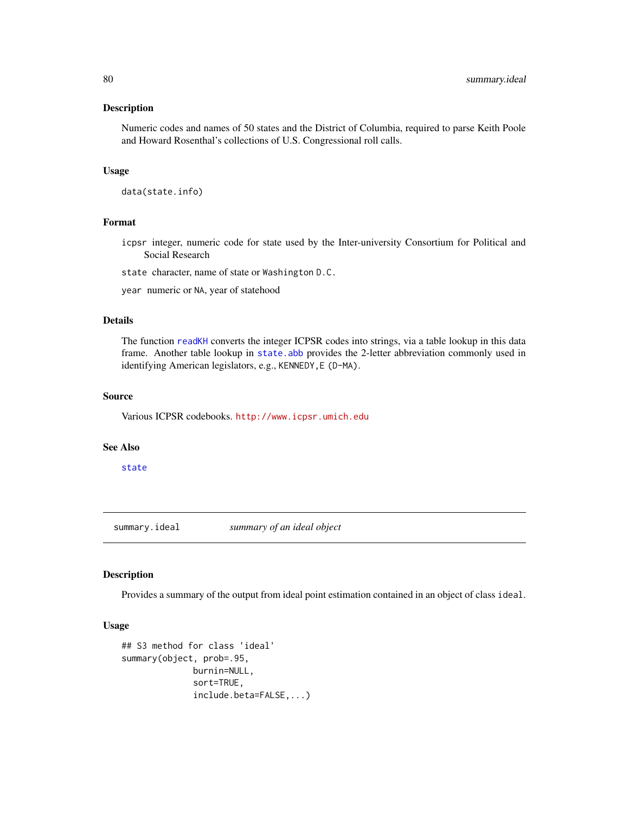#### <span id="page-79-0"></span>Description

Numeric codes and names of 50 states and the District of Columbia, required to parse Keith Poole and Howard Rosenthal's collections of U.S. Congressional roll calls.

# Usage

data(state.info)

#### Format

icpsr integer, numeric code for state used by the Inter-university Consortium for Political and Social Research

state character, name of state or Washington D.C.

year numeric or NA, year of statehood

# Details

The function [readKH](#page-66-0) converts the integer ICPSR codes into strings, via a table lookup in this data frame. Another table lookup in [state.abb](#page-0-0) provides the 2-letter abbreviation commonly used in identifying American legislators, e.g., KENNEDY,E (D-MA).

# Source

Various ICPSR codebooks. <http://www.icpsr.umich.edu>

#### See Also

[state](#page-0-0)

summary.ideal *summary of an ideal object*

# Description

Provides a summary of the output from ideal point estimation contained in an object of class ideal.

# Usage

```
## S3 method for class 'ideal'
summary(object, prob=.95,
              burnin=NULL,
              sort=TRUE,
              include.beta=FALSE,...)
```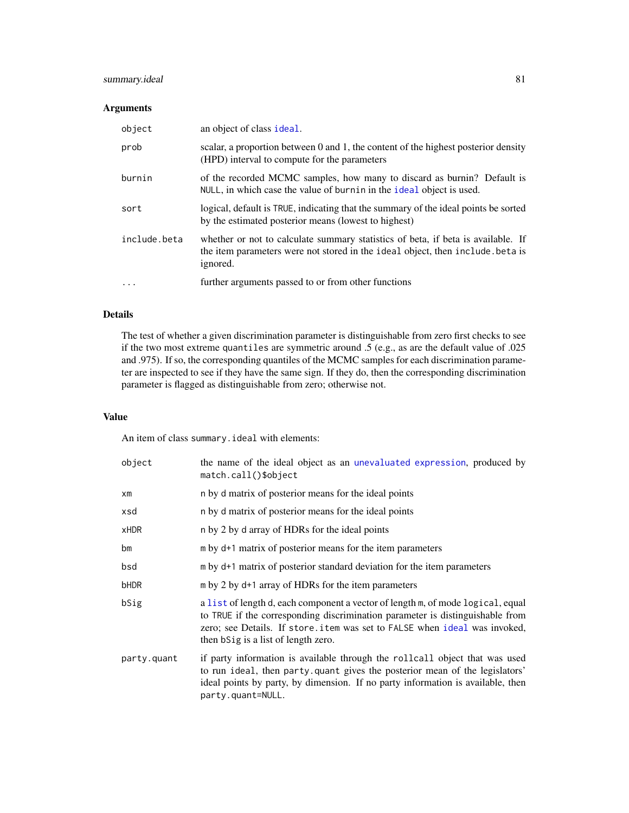# <span id="page-80-0"></span>summary.ideal 81

# Arguments

| object       | an object of class ideal.                                                                                                                                                     |  |
|--------------|-------------------------------------------------------------------------------------------------------------------------------------------------------------------------------|--|
| prob         | scalar, a proportion between 0 and 1, the content of the highest posterior density<br>(HPD) interval to compute for the parameters                                            |  |
| burnin       | of the recorded MCMC samples, how many to discard as burnin? Default is<br>NULL, in which case the value of burnin in the ideal object is used.                               |  |
| sort         | logical, default is TRUE, indicating that the summary of the ideal points be sorted<br>by the estimated posterior means (lowest to highest)                                   |  |
| include.beta | whether or not to calculate summary statistics of beta, if beta is available. If<br>the item parameters were not stored in the ideal object, then include beta is<br>ignored. |  |
| $\cdots$     | further arguments passed to or from other functions                                                                                                                           |  |

# Details

The test of whether a given discrimination parameter is distinguishable from zero first checks to see if the two most extreme quantiles are symmetric around .5 (e.g., as are the default value of .025 and .975). If so, the corresponding quantiles of the MCMC samples for each discrimination parameter are inspected to see if they have the same sign. If they do, then the corresponding discrimination parameter is flagged as distinguishable from zero; otherwise not.

# Value

An item of class summary.ideal with elements:

| object      | the name of the ideal object as an unevaluated expression, produced by<br>match.call()\$object                                                                                                                                                                                       |
|-------------|--------------------------------------------------------------------------------------------------------------------------------------------------------------------------------------------------------------------------------------------------------------------------------------|
| $x$ m       | n by d matrix of posterior means for the ideal points                                                                                                                                                                                                                                |
| xsd         | n by d matrix of posterior means for the ideal points                                                                                                                                                                                                                                |
| <b>xHDR</b> | n by 2 by d array of HDRs for the ideal points                                                                                                                                                                                                                                       |
| bm          | m by d+1 matrix of posterior means for the item parameters                                                                                                                                                                                                                           |
| bsd         | m by d+1 matrix of posterior standard deviation for the item parameters                                                                                                                                                                                                              |
| bHDR        | m by 2 by d+1 array of HDRs for the item parameters                                                                                                                                                                                                                                  |
| bSig        | a list of length d, each component a vector of length m, of mode logical, equal<br>to TRUE if the corresponding discrimination parameter is distinguishable from<br>zero; see Details. If store item was set to FALSE when ideal was invoked,<br>then bSig is a list of length zero. |
| party.quant | if party information is available through the rollcall object that was used<br>to run ideal, then party quant gives the posterior mean of the legislators'<br>ideal points by party, by dimension. If no party information is available, then<br>party.quant=NULL.                   |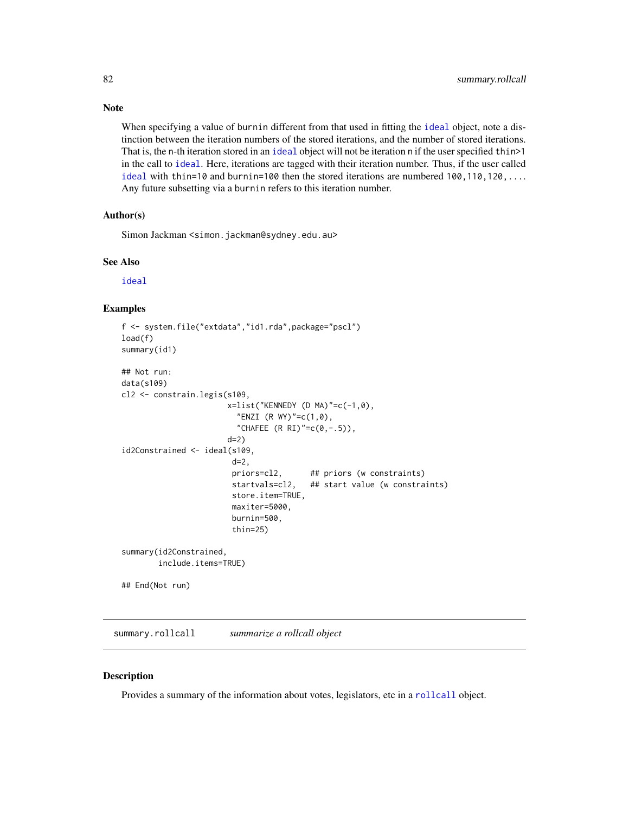When specifying a value of burnin different from that used in fitting the [ideal](#page-31-0) object, note a distinction between the iteration numbers of the stored iterations, and the number of stored iterations. That is, the n-th iteration stored in an [ideal](#page-31-0) object will not be iteration n if the user specified thin>1 in the call to [ideal](#page-31-0). Here, iterations are tagged with their iteration number. Thus, if the user called [ideal](#page-31-0) with thin=10 and burnin=100 then the stored iterations are numbered 100,110,120,... Any future subsetting via a burnin refers to this iteration number.

# Author(s)

Simon Jackman <simon.jackman@sydney.edu.au>

#### See Also

[ideal](#page-31-0)

#### Examples

```
f <- system.file("extdata","id1.rda",package="pscl")
load(f)
summary(id1)
## Not run:
data(s109)
cl2 <- constrain.legis(s109,
                       x=list("KENNEDY (D MA)"=c(-1,0),
                         "ENZI (R WY)"=c(1, 0),
                         "CHAFEE (R \, RI)"=c(0, -.5)),
                       d=2)
id2Constrained <- ideal(s109,
                        d=2,
                        priors=cl2, ## priors (w constraints)
                        startvals=cl2, ## start value (w constraints)
                        store.item=TRUE,
                        maxiter=5000,
                        burnin=500,
                        thin=25)
summary(id2Constrained,
        include.items=TRUE)
## End(Not run)
```
<span id="page-81-0"></span>summary.rollcall *summarize a rollcall object*

# Description

Provides a summary of the information about votes, legislators, etc in a [rollcall](#page-71-0) object.

# <span id="page-81-1"></span>Note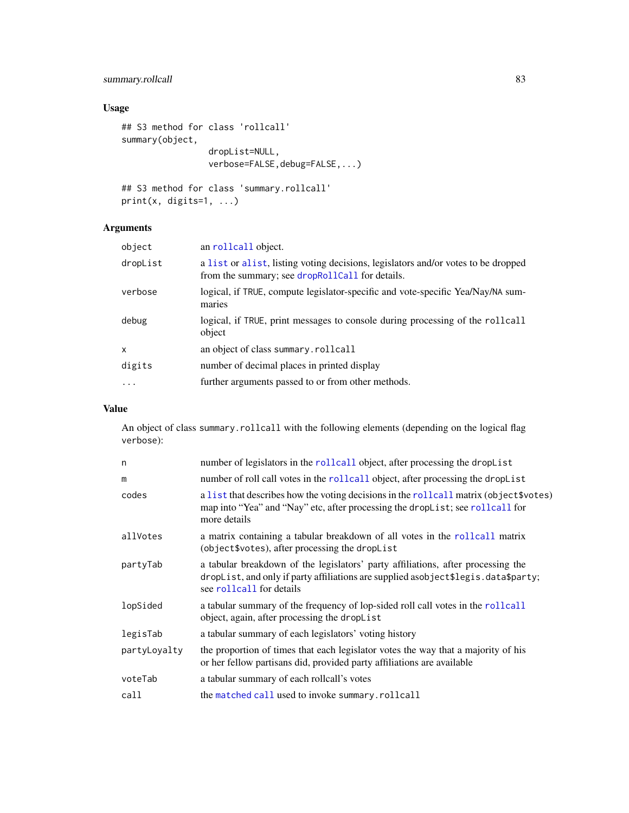# <span id="page-82-0"></span>summary.rollcall 83

# Usage

```
## S3 method for class 'rollcall'
summary(object,
                 dropList=NULL,
                 verbose=FALSE, debug=FALSE, ...)
```

```
## S3 method for class 'summary.rollcall'
print(x, digits=1, ...)
```
# Arguments

| object   | an rollcall object.                                                                                                                  |
|----------|--------------------------------------------------------------------------------------------------------------------------------------|
| dropList | a list or alist, listing voting decisions, legislators and/or votes to be dropped<br>from the summary; see dropRollCall for details. |
| verbose  | logical, if TRUE, compute legislator-specific and vote-specific Yea/Nay/NA sum-<br>maries                                            |
| debug    | logical, if TRUE, print messages to console during processing of the rollcall<br>object                                              |
| x        | an object of class summary.rollcall                                                                                                  |
| digits   | number of decimal places in printed display                                                                                          |
| $\cdot$  | further arguments passed to or from other methods.                                                                                   |
|          |                                                                                                                                      |

# Value

An object of class summary.rollcall with the following elements (depending on the logical flag verbose):

| n            | number of legislators in the rollcall object, after processing the dropList                                                                                                                        |  |
|--------------|----------------------------------------------------------------------------------------------------------------------------------------------------------------------------------------------------|--|
| m            | number of roll call votes in the rollcall object, after processing the dropList                                                                                                                    |  |
| codes        | a list that describes how the voting decisions in the rollcall matrix (object \$votes)<br>map into "Yea" and "Nay" etc, after processing the drop List; see rollcall for<br>more details           |  |
| allVotes     | a matrix containing a tabular breakdown of all votes in the rollcall matrix<br>(object\$votes), after processing the dropList                                                                      |  |
| partyTab     | a tabular breakdown of the legislators' party affiliations, after processing the<br>dropList, and only if party affiliations are supplied asobject\$legis.data\$party;<br>see rollcall for details |  |
| lopSided     | a tabular summary of the frequency of lop-sided roll call votes in the rollcall<br>object, again, after processing the droplist                                                                    |  |
| legisTab     | a tabular summary of each legislators' voting history                                                                                                                                              |  |
| partyLoyalty | the proportion of times that each legislator votes the way that a majority of his<br>or her fellow partisans did, provided party affiliations are available                                        |  |
| voteTab      | a tabular summary of each rollcall's votes                                                                                                                                                         |  |
| call         | the matched call used to invoke summary.rollcall                                                                                                                                                   |  |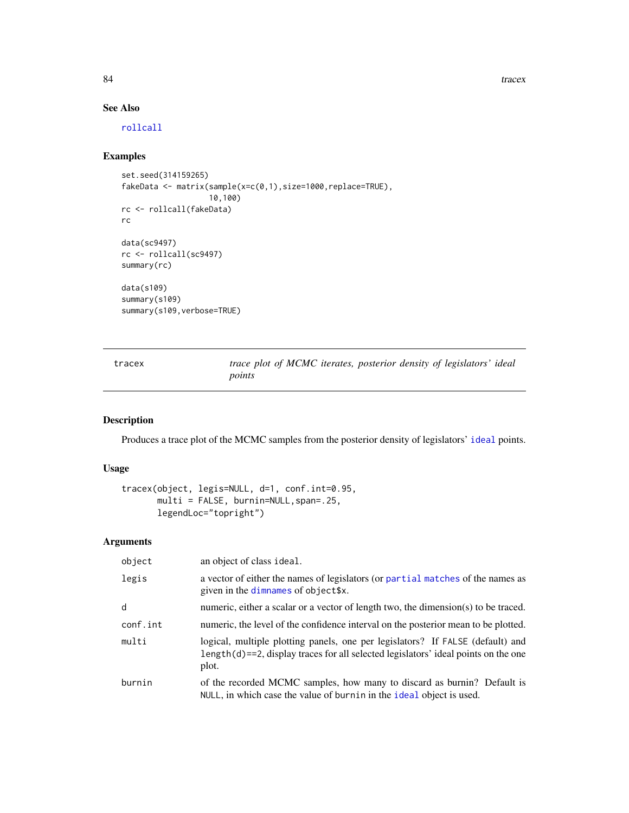84 tracex and the contract of the contract of the contract of the contract of the contract of the contract of the contract of the contract of the contract of the contract of the contract of the contract of the contract of

# See Also

[rollcall](#page-71-0)

# Examples

```
set.seed(314159265)
fakeData <- matrix(sample(x=c(0,1),size=1000,replace=TRUE),
                   10,100)
rc <- rollcall(fakeData)
rc
data(sc9497)
rc <- rollcall(sc9497)
summary(rc)
data(s109)
summary(s109)
summary(s109,verbose=TRUE)
```
tracex *trace plot of MCMC iterates, posterior density of legislators' ideal points*

# Description

Produces a trace plot of the MCMC samples from the posterior density of legislators' [ideal](#page-31-0) points.

# Usage

```
tracex(object, legis=NULL, d=1, conf.int=0.95,
      multi = FALSE, burnin=NULL,span=.25,
      legendLoc="topright")
```
# Arguments

| object   | an object of class ideal.                                                                                                                                                         |
|----------|-----------------------------------------------------------------------------------------------------------------------------------------------------------------------------------|
| legis    | a vector of either the names of legislators (or partial matches of the names as<br>given in the dimnames of object\$x.                                                            |
| d        | numeric, either a scalar or a vector of length two, the dimension(s) to be traced.                                                                                                |
| conf.int | numeric, the level of the confidence interval on the posterior mean to be plotted.                                                                                                |
| multi    | logical, multiple plotting panels, one per legislators? If FALSE (default) and<br>$length(d) = 2$ , display traces for all selected legislators' ideal points on the one<br>plot. |
| burnin   | of the recorded MCMC samples, how many to discard as burnin? Default is<br>NULL, in which case the value of burnin in the ideal object is used.                                   |

<span id="page-83-0"></span>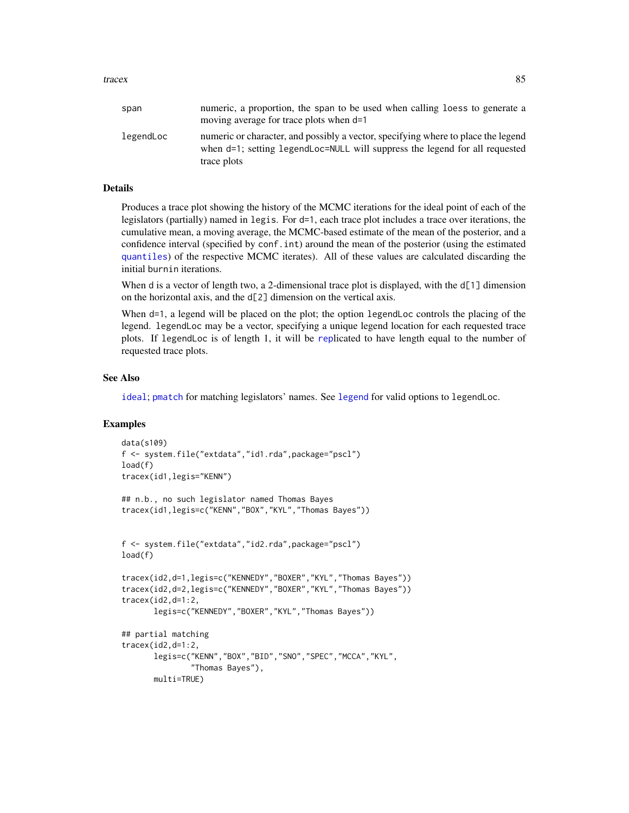<span id="page-84-0"></span>tracex 85

| span      | numeric, a proportion, the span to be used when calling loess to generate a<br>moving average for trace plots when d=1                                                          |
|-----------|---------------------------------------------------------------------------------------------------------------------------------------------------------------------------------|
| legendLoc | numeric or character, and possibly a vector, specifying where to place the legend<br>when d=1; setting legendLoc=NULL will suppress the legend for all requested<br>trace plots |

# Details

Produces a trace plot showing the history of the MCMC iterations for the ideal point of each of the legislators (partially) named in legis. For d=1, each trace plot includes a trace over iterations, the cumulative mean, a moving average, the MCMC-based estimate of the mean of the posterior, and a confidence interval (specified by conf.int) around the mean of the posterior (using the estimated [quantiles](#page-0-0)) of the respective MCMC iterates). All of these values are calculated discarding the initial burnin iterations.

When d is a vector of length two, a 2-dimensional trace plot is displayed, with the d[1] dimension on the horizontal axis, and the d[2] dimension on the vertical axis.

When d=1, a legend will be placed on the plot; the option legendLoc controls the placing of the legend. legendLoc may be a vector, specifying a unique legend location for each requested trace plots. If legendLoc is of length 1, it will be [rep](#page-0-0)licated to have length equal to the number of requested trace plots.

# See Also

[ideal](#page-31-0); [pmatch](#page-0-0) for matching legislators' names. See [legend](#page-0-0) for valid options to legendLoc.

#### Examples

```
data(s109)
f <- system.file("extdata","id1.rda",package="pscl")
load(f)
tracex(id1,legis="KENN")
## n.b., no such legislator named Thomas Bayes
tracex(id1,legis=c("KENN","BOX","KYL","Thomas Bayes"))
f <- system.file("extdata","id2.rda",package="pscl")
load(f)
tracex(id2,d=1,legis=c("KENNEDY","BOXER","KYL","Thomas Bayes"))
tracex(id2,d=2,legis=c("KENNEDY","BOXER","KYL","Thomas Bayes"))
tracex(id2,d=1:2,
      legis=c("KENNEDY","BOXER","KYL","Thomas Bayes"))
## partial matching
tracex(id2,d=1:2,
      legis=c("KENN","BOX","BID","SNO","SPEC","MCCA","KYL",
               "Thomas Bayes"),
      multi=TRUE)
```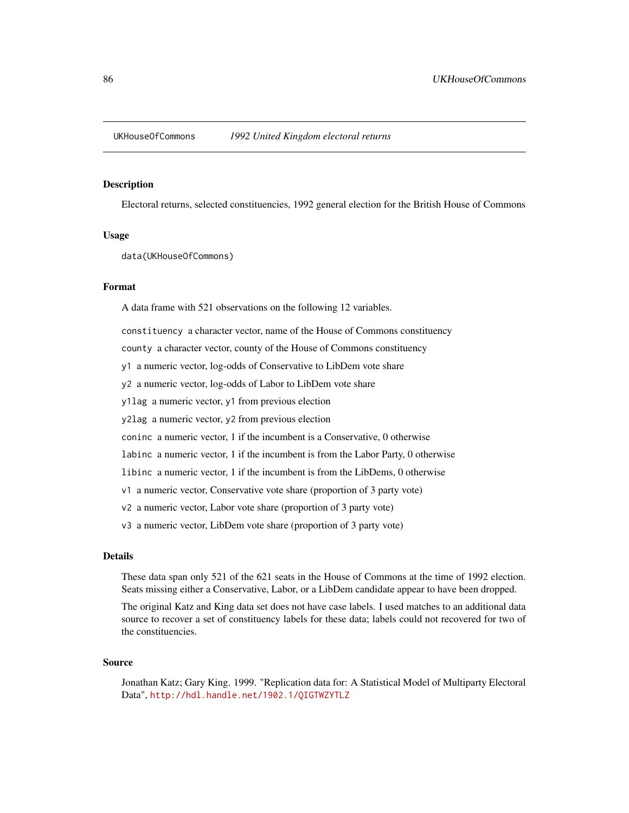# <span id="page-85-0"></span>Description

Electoral returns, selected constituencies, 1992 general election for the British House of Commons

# Usage

data(UKHouseOfCommons)

#### Format

A data frame with 521 observations on the following 12 variables.

constituency a character vector, name of the House of Commons constituency

county a character vector, county of the House of Commons constituency

y1 a numeric vector, log-odds of Conservative to LibDem vote share

y2 a numeric vector, log-odds of Labor to LibDem vote share

y1lag a numeric vector, y1 from previous election

y2lag a numeric vector, y2 from previous election

coninc a numeric vector, 1 if the incumbent is a Conservative, 0 otherwise

labinc a numeric vector, 1 if the incumbent is from the Labor Party, 0 otherwise

libinc a numeric vector, 1 if the incumbent is from the LibDems, 0 otherwise

v1 a numeric vector, Conservative vote share (proportion of 3 party vote)

v2 a numeric vector, Labor vote share (proportion of 3 party vote)

v3 a numeric vector, LibDem vote share (proportion of 3 party vote)

# Details

These data span only 521 of the 621 seats in the House of Commons at the time of 1992 election. Seats missing either a Conservative, Labor, or a LibDem candidate appear to have been dropped.

The original Katz and King data set does not have case labels. I used matches to an additional data source to recover a set of constituency labels for these data; labels could not recovered for two of the constituencies.

#### Source

Jonathan Katz; Gary King. 1999. "Replication data for: A Statistical Model of Multiparty Electoral Data", <http://hdl.handle.net/1902.1/QIGTWZYTLZ>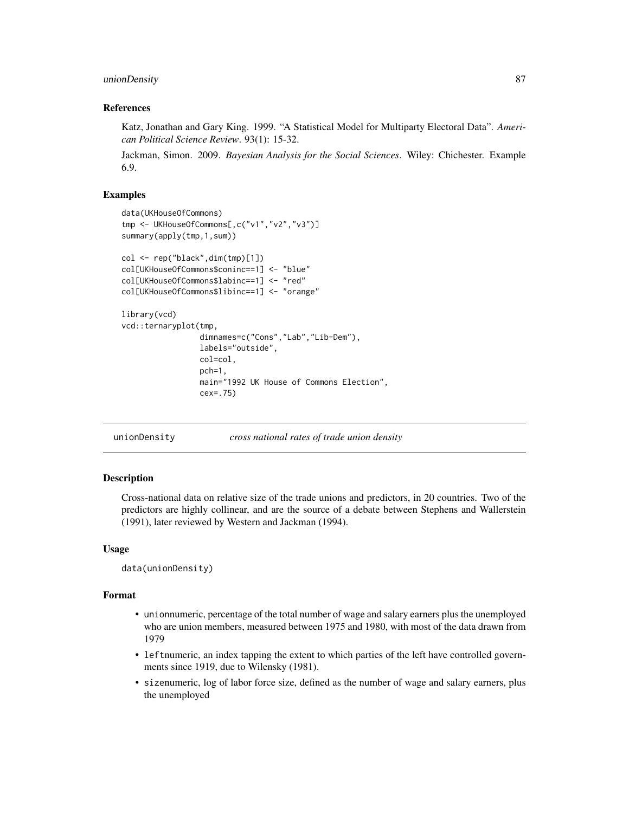# <span id="page-86-0"></span>unionDensity 87

# References

Katz, Jonathan and Gary King. 1999. "A Statistical Model for Multiparty Electoral Data". *American Political Science Review*. 93(1): 15-32.

Jackman, Simon. 2009. *Bayesian Analysis for the Social Sciences*. Wiley: Chichester. Example 6.9.

# Examples

```
data(UKHouseOfCommons)
tmp <- UKHouseOfCommons[,c("v1","v2","v3")]
summary(apply(tmp,1,sum))
col <- rep("black",dim(tmp)[1])
col[UKHouseOfCommons$coninc==1] <- "blue"
col[UKHouseOfCommons$labinc==1] <- "red"
col[UKHouseOfCommons$libinc==1] <- "orange"
library(vcd)
vcd::ternaryplot(tmp,
                 dimnames=c("Cons","Lab","Lib-Dem"),
                 labels="outside",
                 col=col,
                 pch=1,
                 main="1992 UK House of Commons Election",
                 cex=.75)
```
unionDensity *cross national rates of trade union density*

# Description

Cross-national data on relative size of the trade unions and predictors, in 20 countries. Two of the predictors are highly collinear, and are the source of a debate between Stephens and Wallerstein (1991), later reviewed by Western and Jackman (1994).

# Usage

```
data(unionDensity)
```
# Format

- unionnumeric, percentage of the total number of wage and salary earners plus the unemployed who are union members, measured between 1975 and 1980, with most of the data drawn from 1979
- leftnumeric, an index tapping the extent to which parties of the left have controlled governments since 1919, due to Wilensky (1981).
- sizenumeric, log of labor force size, defined as the number of wage and salary earners, plus the unemployed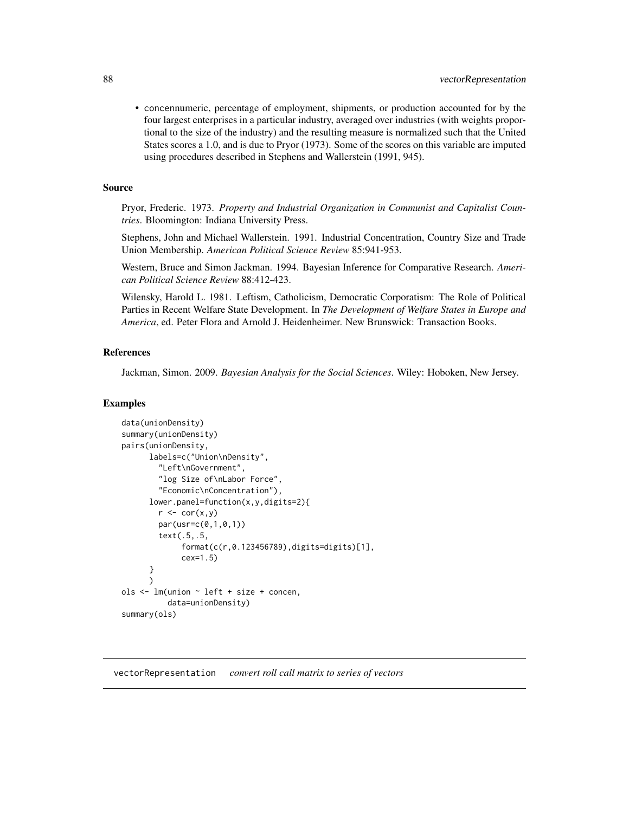<span id="page-87-0"></span>• concennumeric, percentage of employment, shipments, or production accounted for by the four largest enterprises in a particular industry, averaged over industries (with weights proportional to the size of the industry) and the resulting measure is normalized such that the United States scores a 1.0, and is due to Pryor (1973). Some of the scores on this variable are imputed using procedures described in Stephens and Wallerstein (1991, 945).

# Source

Pryor, Frederic. 1973. *Property and Industrial Organization in Communist and Capitalist Countries*. Bloomington: Indiana University Press.

Stephens, John and Michael Wallerstein. 1991. Industrial Concentration, Country Size and Trade Union Membership. *American Political Science Review* 85:941-953.

Western, Bruce and Simon Jackman. 1994. Bayesian Inference for Comparative Research. *American Political Science Review* 88:412-423.

Wilensky, Harold L. 1981. Leftism, Catholicism, Democratic Corporatism: The Role of Political Parties in Recent Welfare State Development. In *The Development of Welfare States in Europe and America*, ed. Peter Flora and Arnold J. Heidenheimer. New Brunswick: Transaction Books.

# References

Jackman, Simon. 2009. *Bayesian Analysis for the Social Sciences*. Wiley: Hoboken, New Jersey.

#### Examples

```
data(unionDensity)
summary(unionDensity)
pairs(unionDensity,
      labels=c("Union\nDensity",
        "Left\nGovernment",
        "log Size of\nLabor Force",
        "Economic\nConcentration"),
      lower.panel=function(x,y,digits=2){
        r \leftarrow cor(x, y)par(usr=c(0,1,0,1))
        text(.5,.5,
             format(c(r,0.123456789),digits=digits)[1],
             cex=1.5)
      }
      )
ols <- lm(union ~ left + size + concen,
          data=unionDensity)
summary(ols)
```
vectorRepresentation *convert roll call matrix to series of vectors*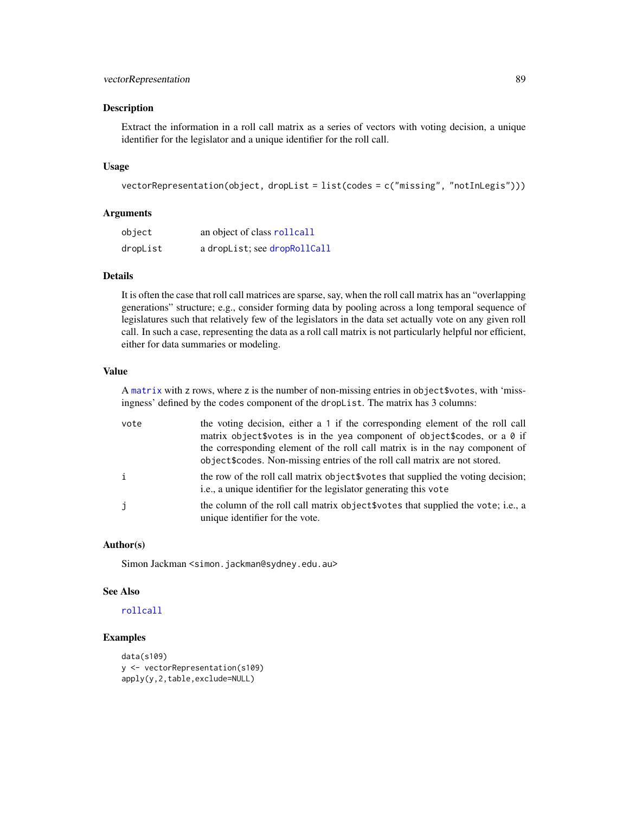# <span id="page-88-0"></span>vectorRepresentation 89

# **Description**

Extract the information in a roll call matrix as a series of vectors with voting decision, a unique identifier for the legislator and a unique identifier for the roll call.

# Usage

```
vectorRepresentation(object, dropList = list(codes = c("missing", "notInLegis")))
```
# Arguments

| object   | an object of class rollcall  |
|----------|------------------------------|
| dropList | a dropList; see dropRollCall |

# Details

It is often the case that roll call matrices are sparse, say, when the roll call matrix has an "overlapping generations" structure; e.g., consider forming data by pooling across a long temporal sequence of legislatures such that relatively few of the legislators in the data set actually vote on any given roll call. In such a case, representing the data as a roll call matrix is not particularly helpful nor efficient, either for data summaries or modeling.

# Value

A [matrix](#page-0-0) with z rows, where z is the number of non-missing entries in object\$votes, with 'missingness' defined by the codes component of the dropList. The matrix has 3 columns:

| vote         | the voting decision, either a 1 if the corresponding element of the roll call<br>matrix object\$votes is in the yea component of object\$codes, or a 0 if<br>the corresponding element of the roll call matrix is in the nay component of<br>object \$codes. Non-missing entries of the roll call matrix are not stored. |
|--------------|--------------------------------------------------------------------------------------------------------------------------------------------------------------------------------------------------------------------------------------------------------------------------------------------------------------------------|
| $\mathbf{i}$ | the row of the roll call matrix object \$votes that supplied the voting decision;<br>i.e., a unique identifier for the legislator generating this vote                                                                                                                                                                   |
| j            | the column of the roll call matrix object words that supplied the vote; i.e., a<br>unique identifier for the vote.                                                                                                                                                                                                       |

# Author(s)

Simon Jackman <simon.jackman@sydney.edu.au>

## See Also

# [rollcall](#page-71-0)

# Examples

```
data(s109)
y <- vectorRepresentation(s109)
apply(y,2,table,exclude=NULL)
```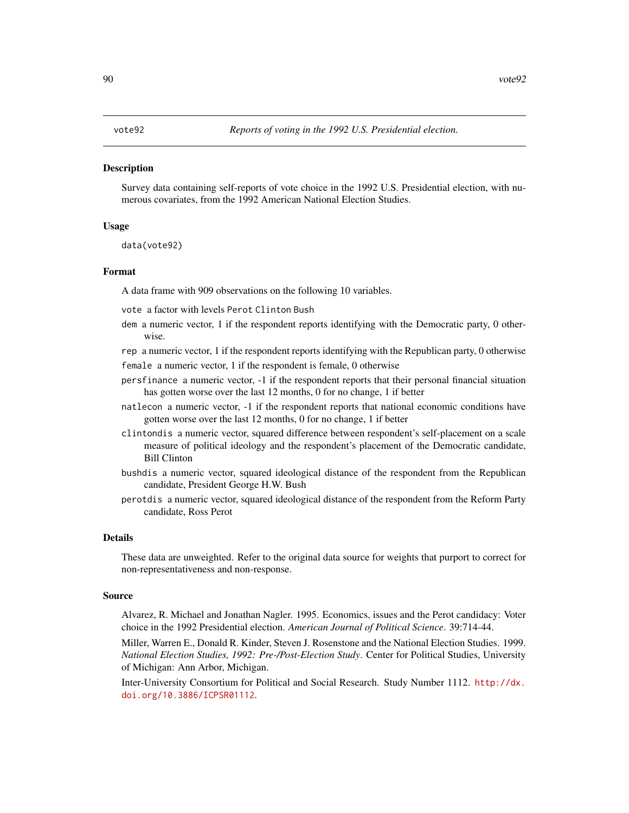# <span id="page-89-0"></span>**Description**

Survey data containing self-reports of vote choice in the 1992 U.S. Presidential election, with numerous covariates, from the 1992 American National Election Studies.

# Usage

data(vote92)

# Format

A data frame with 909 observations on the following 10 variables.

vote a factor with levels Perot Clinton Bush

- dem a numeric vector, 1 if the respondent reports identifying with the Democratic party, 0 otherwise.
- rep a numeric vector, 1 if the respondent reports identifying with the Republican party, 0 otherwise
- female a numeric vector, 1 if the respondent is female, 0 otherwise
- persfinance a numeric vector, -1 if the respondent reports that their personal financial situation has gotten worse over the last 12 months, 0 for no change, 1 if better
- natlecon a numeric vector, -1 if the respondent reports that national economic conditions have gotten worse over the last 12 months, 0 for no change, 1 if better
- clintondis a numeric vector, squared difference between respondent's self-placement on a scale measure of political ideology and the respondent's placement of the Democratic candidate, Bill Clinton
- bushdis a numeric vector, squared ideological distance of the respondent from the Republican candidate, President George H.W. Bush
- perotdis a numeric vector, squared ideological distance of the respondent from the Reform Party candidate, Ross Perot

#### Details

These data are unweighted. Refer to the original data source for weights that purport to correct for non-representativeness and non-response.

#### Source

Alvarez, R. Michael and Jonathan Nagler. 1995. Economics, issues and the Perot candidacy: Voter choice in the 1992 Presidential election. *American Journal of Political Science*. 39:714-44.

Miller, Warren E., Donald R. Kinder, Steven J. Rosenstone and the National Election Studies. 1999. *National Election Studies, 1992: Pre-/Post-Election Study*. Center for Political Studies, University of Michigan: Ann Arbor, Michigan.

Inter-University Consortium for Political and Social Research. Study Number 1112. [http://dx.](http://dx.doi.org/10.3886/ICPSR01112) [doi.org/10.3886/ICPSR01112](http://dx.doi.org/10.3886/ICPSR01112).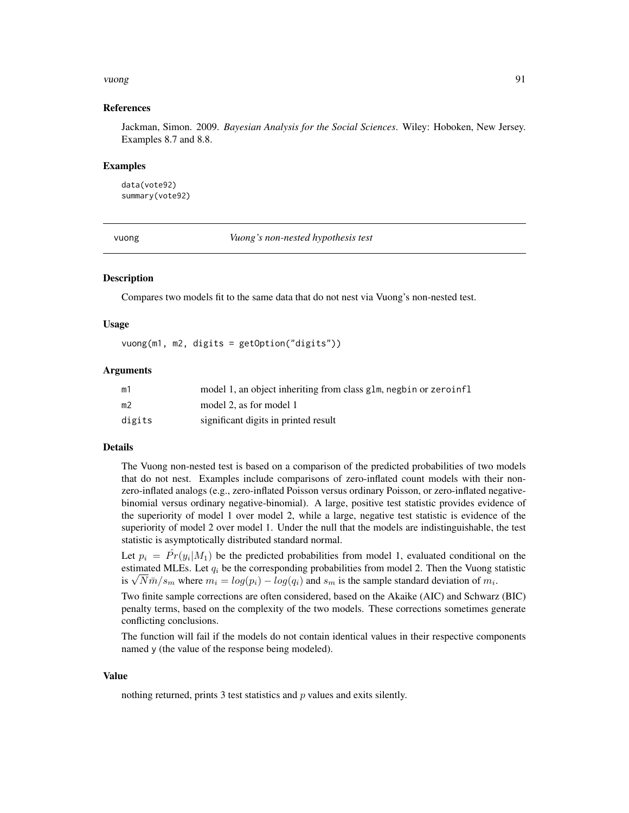#### <span id="page-90-0"></span>vuong 1992 – 1992 – 1993 – 1994 – 1994 – 1994 – 1994 – 1994 – 1994 – 1994 – 1994 – 1994 – 1994 – 1994 – 1994 –

# References

Jackman, Simon. 2009. *Bayesian Analysis for the Social Sciences*. Wiley: Hoboken, New Jersey. Examples 8.7 and 8.8.

#### Examples

data(vote92) summary(vote92)

vuong *Vuong's non-nested hypothesis test*

# **Description**

Compares two models fit to the same data that do not nest via Vuong's non-nested test.

#### Usage

vuong(m1, m2, digits = getOption("digits"))

#### Arguments

| m1             | model 1, an object inheriting from class glm, negbin or zeroinfl |
|----------------|------------------------------------------------------------------|
| m <sub>2</sub> | model 2, as for model 1                                          |
| digits         | significant digits in printed result                             |

# Details

The Vuong non-nested test is based on a comparison of the predicted probabilities of two models that do not nest. Examples include comparisons of zero-inflated count models with their nonzero-inflated analogs (e.g., zero-inflated Poisson versus ordinary Poisson, or zero-inflated negativebinomial versus ordinary negative-binomial). A large, positive test statistic provides evidence of the superiority of model 1 over model 2, while a large, negative test statistic is evidence of the superiority of model 2 over model 1. Under the null that the models are indistinguishable, the test statistic is asymptotically distributed standard normal.

Let  $p_i = \hat{Pr}(y_i|M_1)$  be the predicted probabilities from model 1, evaluated conditional on the estimated MLEs. Let  $q_i$  be the corresponding probabilities from model 2. Then the Vuong statistic estimated MLEs. Let  $q_i$  be the corresponding probabilities from model 2. Then the Vuong s<br>is  $\sqrt{N} \bar{m}/s_m$  where  $m_i = log(p_i) - log(q_i)$  and  $s_m$  is the sample standard deviation of  $m_i$ .

Two finite sample corrections are often considered, based on the Akaike (AIC) and Schwarz (BIC) penalty terms, based on the complexity of the two models. These corrections sometimes generate conflicting conclusions.

The function will fail if the models do not contain identical values in their respective components named y (the value of the response being modeled).

#### Value

nothing returned, prints 3 test statistics and  $p$  values and exits silently.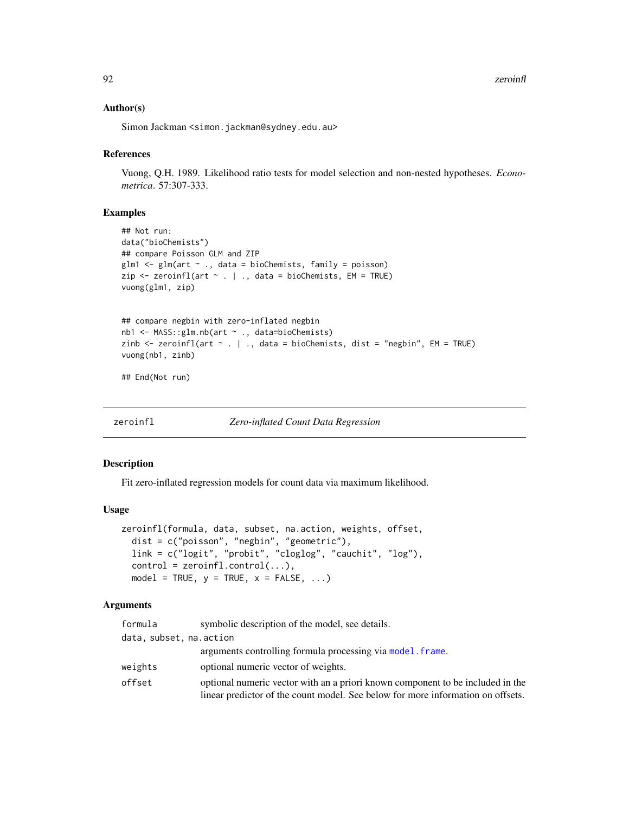92 zeroinfl

# Author(s)

Simon Jackman <simon.jackman@sydney.edu.au>

# References

Vuong, Q.H. 1989. Likelihood ratio tests for model selection and non-nested hypotheses. *Econometrica*. 57:307-333.

#### Examples

```
## Not run:
data("bioChemists")
## compare Poisson GLM and ZIP
glm1 <- glm(art ~ ., data = bioChemists, family = poisson)
zip \leftarrow zeroinfl(art \sim . \mid ., data = bioChemists, EM = TRUE)vuong(glm1, zip)
## compare negbin with zero-inflated negbin
```

```
nb1 <- MASS::glm.nb(art ~ ., data=bioChemists)
zinb \le zeroinfl(art \le . | ., data = bioChemists, dist = "negbin", EM = TRUE)
vuong(nb1, zinb)
```
## End(Not run)

<span id="page-91-0"></span>zeroinfl *Zero-inflated Count Data Regression*

# Description

Fit zero-inflated regression models for count data via maximum likelihood.

#### Usage

```
zeroinfl(formula, data, subset, na.action, weights, offset,
  dist = c("poisson", "negbin", "geometric"),
 link = c("logit", "probit", "cloglog", "cauchit", "log"),
 control = zeroinfl.control(...),model = TRUE, y = TRUE, x = FALSE, ...)
```
# Arguments

| formula                 | symbolic description of the model, see details.                                 |
|-------------------------|---------------------------------------------------------------------------------|
| data, subset, na.action |                                                                                 |
|                         | arguments controlling formula processing via model. frame.                      |
| weights                 | optional numeric vector of weights.                                             |
| offset                  | optional numeric vector with an a priori known component to be included in the  |
|                         | linear predictor of the count model. See below for more information on offsets. |

<span id="page-91-1"></span>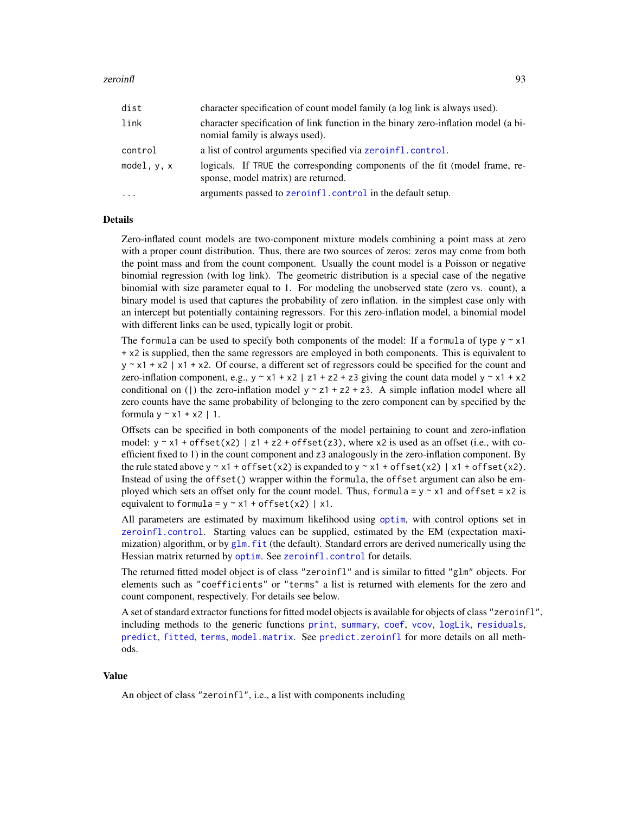#### <span id="page-92-0"></span>zeroinfl<sup>93</sup> 93

| dist      | character specification of count model family (a log link is always used).                                           |
|-----------|----------------------------------------------------------------------------------------------------------------------|
| link      | character specification of link function in the binary zero-inflation model (a bi-<br>nomial family is always used). |
| control   | a list of control arguments specified via zeroinfl.control.                                                          |
| model.v.x | logicals. If TRUE the corresponding components of the fit (model frame, re-<br>sponse, model matrix) are returned.   |
| $\cdots$  | arguments passed to zeroinfl.control in the default setup.                                                           |

# Details

Zero-inflated count models are two-component mixture models combining a point mass at zero with a proper count distribution. Thus, there are two sources of zeros: zeros may come from both the point mass and from the count component. Usually the count model is a Poisson or negative binomial regression (with log link). The geometric distribution is a special case of the negative binomial with size parameter equal to 1. For modeling the unobserved state (zero vs. count), a binary model is used that captures the probability of zero inflation. in the simplest case only with an intercept but potentially containing regressors. For this zero-inflation model, a binomial model with different links can be used, typically logit or probit.

The formula can be used to specify both components of the model: If a formula of type  $y \sim x1$ + x2 is supplied, then the same regressors are employed in both components. This is equivalent to  $y \sim x1 + x2$  | x1 + x2. Of course, a different set of regressors could be specified for the count and zero-inflation component, e.g.,  $y \sim x1 + x2$  | z1 + z2 + z3 giving the count data model  $y \sim x1 + x2$ conditional on () the zero-inflation model  $y \sim z1 + z2 + z3$ . A simple inflation model where all zero counts have the same probability of belonging to the zero component can by specified by the formula  $y \sim x1 + x2$  | 1.

Offsets can be specified in both components of the model pertaining to count and zero-inflation model:  $y \sim x1 + \text{offset}(x2) | z1 + z2 + \text{offset}(z3)$ , where x2 is used as an offset (i.e., with coefficient fixed to 1) in the count component and z3 analogously in the zero-inflation component. By the rule stated above  $y \sim x1 + \text{offset}(x2)$  is expanded to  $y \sim x1 + \text{offset}(x2)$  | x1 + offset(x2). Instead of using the offset() wrapper within the formula, the offset argument can also be employed which sets an offset only for the count model. Thus, formula =  $y \sim x1$  and offset =  $x2$  is equivalent to formula =  $y \sim x1 + \text{offset}(x2)$  | x1.

All parameters are estimated by maximum likelihood using [optim](#page-0-0), with control options set in [zeroinfl.control](#page-94-0). Starting values can be supplied, estimated by the EM (expectation maximization) algorithm, or by  $g\ln f$  f it (the default). Standard errors are derived numerically using the Hessian matrix returned by [optim](#page-0-0). See [zeroinfl.control](#page-94-0) for details.

The returned fitted model object is of class "zeroinfl" and is similar to fitted "glm" objects. For elements such as "coefficients" or "terms" a list is returned with elements for the zero and count component, respectively. For details see below.

A set of standard extractor functions for fitted model objects is available for objects of class "zeroinfl", including methods to the generic functions [print](#page-0-0), [summary](#page-0-0), [coef](#page-0-0), [vcov](#page-0-0), [logLik](#page-0-0), [residuals](#page-0-0), [predict](#page-0-0), [fitted](#page-0-0), [terms](#page-0-0), [model.matrix](#page-0-0). See [predict.zeroinfl](#page-59-0) for more details on all methods.

#### Value

An object of class "zeroinfl", i.e., a list with components including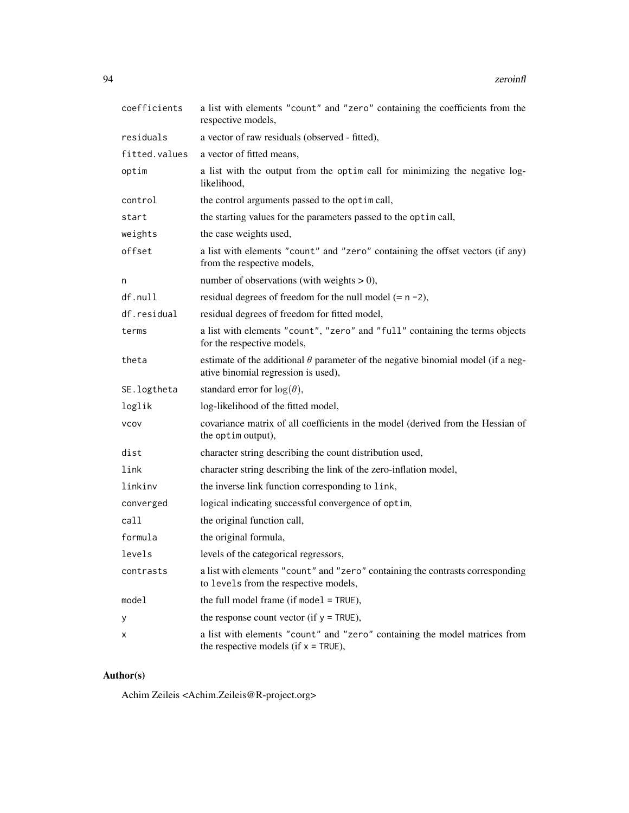| coefficients  | a list with elements "count" and "zero" containing the coefficients from the<br>respective models,                             |
|---------------|--------------------------------------------------------------------------------------------------------------------------------|
| residuals     | a vector of raw residuals (observed - fitted),                                                                                 |
| fitted.values | a vector of fitted means,                                                                                                      |
| optim         | a list with the output from the optim call for minimizing the negative log-<br>likelihood,                                     |
| control       | the control arguments passed to the optim call,                                                                                |
| start         | the starting values for the parameters passed to the optim call,                                                               |
| weights       | the case weights used,                                                                                                         |
| offset        | a list with elements "count" and "zero" containing the offset vectors (if any)<br>from the respective models,                  |
| n             | number of observations (with weights $> 0$ ),                                                                                  |
| df.null       | residual degrees of freedom for the null model $(= n - 2)$ ,                                                                   |
| df.residual   | residual degrees of freedom for fitted model,                                                                                  |
| terms         | a list with elements "count", "zero" and "full" containing the terms objects<br>for the respective models,                     |
| theta         | estimate of the additional $\theta$ parameter of the negative binomial model (if a neg-<br>ative binomial regression is used), |
| SE.logtheta   | standard error for $log(\theta)$ ,                                                                                             |
| loglik        | log-likelihood of the fitted model,                                                                                            |
| <b>VCOV</b>   | covariance matrix of all coefficients in the model (derived from the Hessian of<br>the optim output),                          |
| dist          | character string describing the count distribution used,                                                                       |
| link          | character string describing the link of the zero-inflation model,                                                              |
| linkinv       | the inverse link function corresponding to link,                                                                               |
| converged     | logical indicating successful convergence of optim,                                                                            |
| call          | the original function call,                                                                                                    |
| formula       | the original formula,                                                                                                          |
| levels        | levels of the categorical regressors,                                                                                          |
| contrasts     | a list with elements "count" and "zero" containing the contrasts corresponding<br>to levels from the respective models,        |
| model         | the full model frame (if model $=$ TRUE),                                                                                      |
| у             | the response count vector (if $y = TRUE$ ),                                                                                    |
| х             | a list with elements "count" and "zero" containing the model matrices from<br>the respective models (if $x = TRUE$ ),          |

# Author(s)

Achim Zeileis <Achim.Zeileis@R-project.org>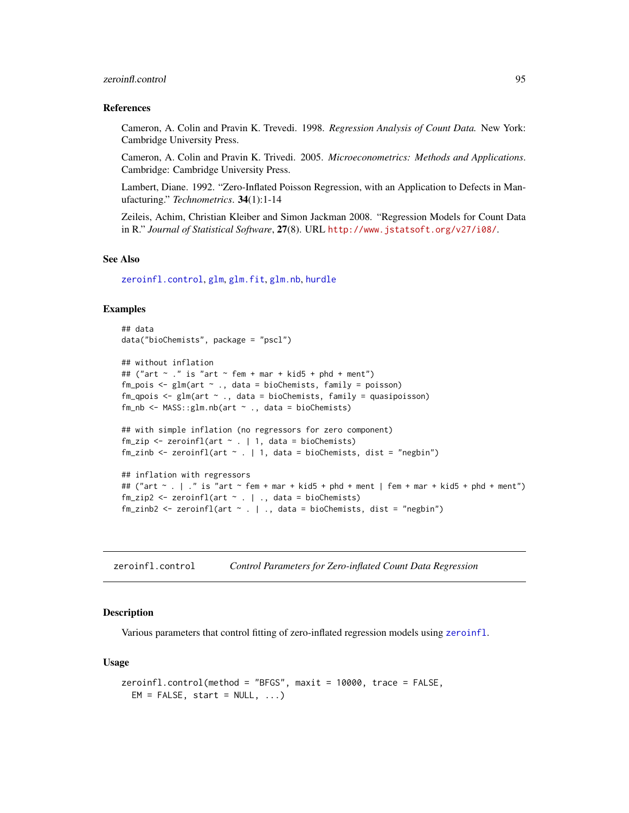# <span id="page-94-1"></span>zeroinfl.control 95

#### References

Cameron, A. Colin and Pravin K. Trevedi. 1998. *Regression Analysis of Count Data.* New York: Cambridge University Press.

Cameron, A. Colin and Pravin K. Trivedi. 2005. *Microeconometrics: Methods and Applications*. Cambridge: Cambridge University Press.

Lambert, Diane. 1992. "Zero-Inflated Poisson Regression, with an Application to Defects in Manufacturing." *Technometrics*. 34(1):1-14

Zeileis, Achim, Christian Kleiber and Simon Jackman 2008. "Regression Models for Count Data in R." *Journal of Statistical Software*, 27(8). URL <http://www.jstatsoft.org/v27/i08/>.

# See Also

[zeroinfl.control](#page-94-0), [glm](#page-0-0), [glm.fit](#page-0-0), [glm.nb](#page-0-0), [hurdle](#page-25-0)

# Examples

```
## data
data("bioChemists", package = "pscl")
## without inflation
## ("art \sim ." is "art \sim fem + mar + kid5 + phd + ment")
fm\_pois \leq glm(art \sim ., data = bioChemists, family = poisson)
fm_qpois \leq glm(art \sim ., data = bioChemists, family = quasipoisson)
fm_nb \leq MASS::glm.nb(art \sim ., data = bioChemists)## with simple inflation (no regressors for zero component)
fm\_zip \leq zeroinfl(art \sim . \mid 1, data = bioChemists)fm_zinb \le zeroinfl(art \le . | 1, data = bioChemists, dist = "negbin")
## inflation with regressors
## ("art ~ . | ." is "art ~ fem + mar + kid5 + phd + ment | fem + mar + kid5 + phd + ment")
fm\_zip2 \leq zeroinfl(art \sim . \mid ., data = bioChemists)fm\_zinh2 \leq zeroinfl(art \sim . \mid ., data = bioChemists, dist = "negbin")
```
<span id="page-94-0"></span>zeroinfl.control *Control Parameters for Zero-inflated Count Data Regression*

# **Description**

Various parameters that control fitting of zero-inflated regression models using [zeroinfl](#page-91-0).

#### Usage

```
zeroinfl.control(method = "BFGS", maxit = 10000, trace = FALSE,
 EM = FALSE, start = NULL, ...)
```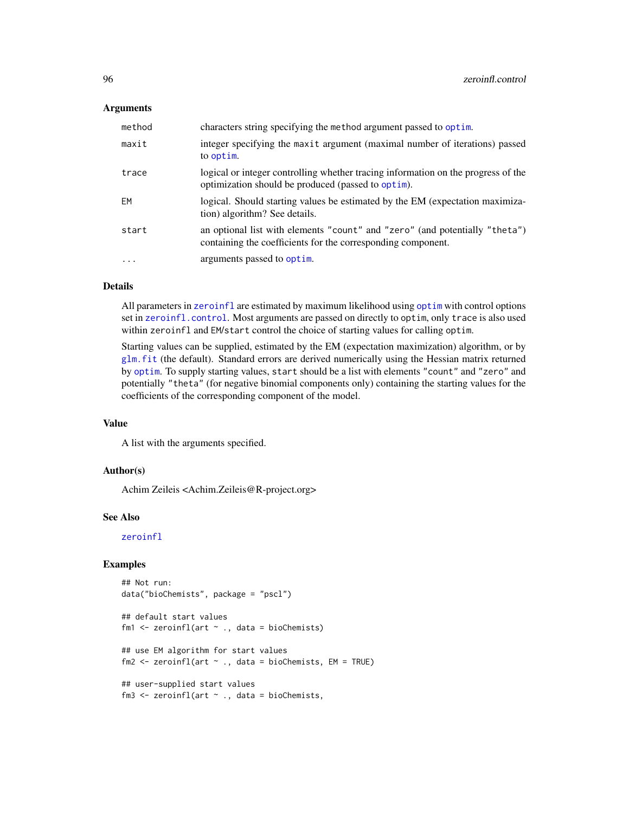# <span id="page-95-0"></span>Arguments

| method    | characters string specifying the method argument passed to optim.                                                                           |
|-----------|---------------------------------------------------------------------------------------------------------------------------------------------|
| maxit     | integer specifying the maxit argument (maximal number of iterations) passed<br>to optim.                                                    |
| trace     | logical or integer controlling whether tracing information on the progress of the<br>optimization should be produced (passed to optim).     |
| EM        | logical. Should starting values be estimated by the EM (expectation maximiza-<br>tion) algorithm? See details.                              |
| start     | an optional list with elements "count" and "zero" (and potentially "theta")<br>containing the coefficients for the corresponding component. |
| $\ddotsc$ | arguments passed to optim.                                                                                                                  |

# Details

All parameters in [zeroinfl](#page-91-0) are estimated by maximum likelihood using [optim](#page-0-0) with control options set in [zeroinfl.control](#page-94-0). Most arguments are passed on directly to optim, only trace is also used within zeroinfl and EM/start control the choice of starting values for calling optim.

Starting values can be supplied, estimated by the EM (expectation maximization) algorithm, or by [glm.fit](#page-0-0) (the default). Standard errors are derived numerically using the Hessian matrix returned by [optim](#page-0-0). To supply starting values, start should be a list with elements "count" and "zero" and potentially "theta" (for negative binomial components only) containing the starting values for the coefficients of the corresponding component of the model.

# Value

A list with the arguments specified.

# Author(s)

Achim Zeileis <Achim.Zeileis@R-project.org>

# See Also

[zeroinfl](#page-91-0)

# Examples

```
## Not run:
data("bioChemists", package = "pscl")
## default start values
fm1 \le zeroinfl(art \le ., data = bioChemists)
## use EM algorithm for start values
fm2 \le zeroinfl(art \sim ., data = bioChemists, EM = TRUE)
## user-supplied start values
fm3 \le zeroinfl(art \sim ., data = bioChemists,
```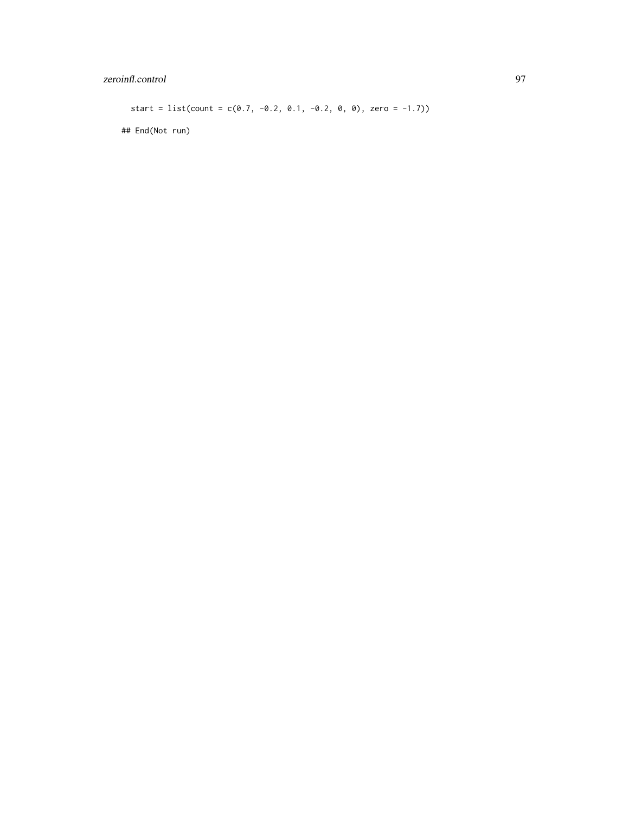# zeroinfl.control 97

start = list(count =  $c(0.7, -0.2, 0.1, -0.2, 0, 0)$ , zero = -1.7))

## End(Not run)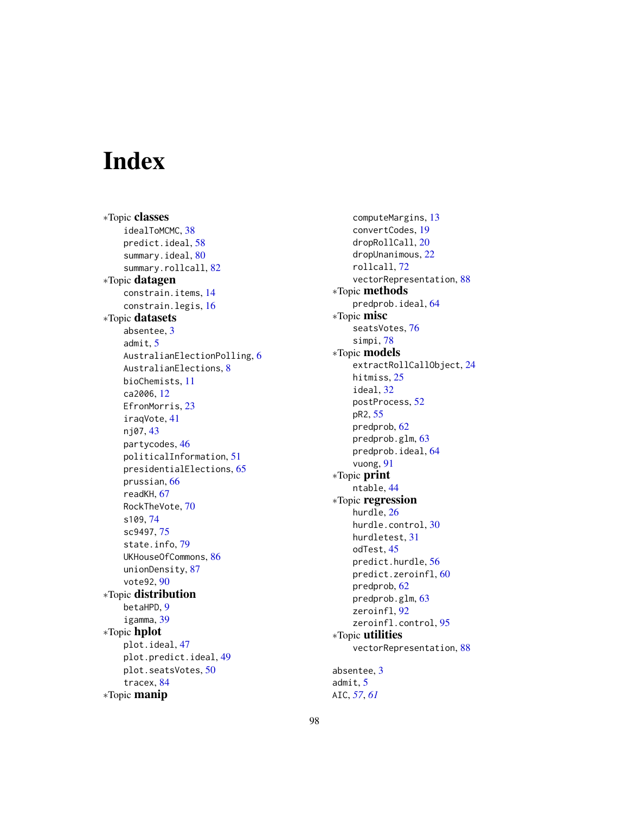# **Index**

∗Topic classes idealToMCMC, [38](#page-37-0) predict.ideal, [58](#page-57-0) summary.ideal, [80](#page-79-0) summary.rollcall, [82](#page-81-1) ∗Topic datagen constrain.items, [14](#page-13-0) constrain.legis, [16](#page-15-0) ∗Topic datasets absentee, [3](#page-2-0) admit, [5](#page-4-0) AustralianElectionPolling, [6](#page-5-0) AustralianElections, [8](#page-7-0) bioChemists, [11](#page-10-0) ca2006, [12](#page-11-0) EfronMorris, [23](#page-22-0) iraqVote, [41](#page-40-0) nj07, [43](#page-42-0) partycodes, [46](#page-45-0) politicalInformation, [51](#page-50-0) presidentialElections, [65](#page-64-0) prussian, [66](#page-65-0) readKH, [67](#page-66-1) RockTheVote, [70](#page-69-0) s109, [74](#page-73-0) sc9497, [75](#page-74-0) state.info, [79](#page-78-0) UKHouseOfCommons, [86](#page-85-0) unionDensity, [87](#page-86-0) vote92, [90](#page-89-0) ∗Topic distribution betaHPD, [9](#page-8-0) igamma, [39](#page-38-0) ∗Topic hplot plot.ideal, [47](#page-46-0) plot.predict.ideal, [49](#page-48-0) plot.seatsVotes, [50](#page-49-1) tracex, [84](#page-83-0) ∗Topic manip

computeMargins, [13](#page-12-0) convertCodes, [19](#page-18-0) dropRollCall, [20](#page-19-1) dropUnanimous, [22](#page-21-0) rollcall, [72](#page-71-1) vectorRepresentation, [88](#page-87-0) ∗Topic methods predprob.ideal, [64](#page-63-0) ∗Topic misc seatsVotes, [76](#page-75-0) simpi, [78](#page-77-0) ∗Topic models extractRollCallObject, [24](#page-23-0) hitmiss, [25](#page-24-0) ideal, [32](#page-31-1) postProcess, [52](#page-51-0) pR2, [55](#page-54-0) predprob, [62](#page-61-0) predprob.glm, [63](#page-62-0) predprob.ideal, [64](#page-63-0) vuong, [91](#page-90-0) ∗Topic print ntable, [44](#page-43-0) ∗Topic regression hurdle, [26](#page-25-1) hurdle.control, [30](#page-29-0) hurdletest, [31](#page-30-0) odTest, [45](#page-44-0) predict.hurdle, [56](#page-55-0) predict.zeroinfl, [60](#page-59-1) predprob, [62](#page-61-0) predprob.glm, [63](#page-62-0) zeroinfl, [92](#page-91-1) zeroinfl.control, [95](#page-94-1) ∗Topic utilities vectorRepresentation, [88](#page-87-0) absentee, [3](#page-2-0) admit, [5](#page-4-0) AIC, *[57](#page-56-0)*, *[61](#page-60-0)*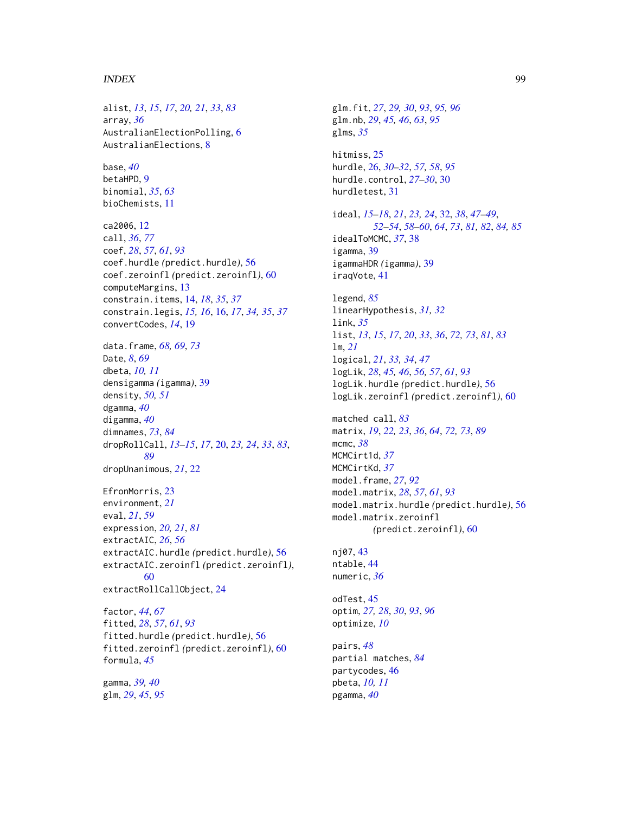# INDEX 99

alist, *[13](#page-12-0)*, *[15](#page-14-0)*, *[17](#page-16-0)*, *[20,](#page-19-1) [21](#page-20-0)*, *[33](#page-32-0)*, *[83](#page-82-0)* array, *[36](#page-35-0)* AustralianElectionPolling, [6](#page-5-0) AustralianElections, [8](#page-7-0) base, *[40](#page-39-0)* betaHPD, [9](#page-8-0) binomial, *[35](#page-34-0)*, *[63](#page-62-0)* bioChemists, [11](#page-10-0) ca2006, [12](#page-11-0) call, *[36](#page-35-0)*, *[77](#page-76-0)* coef, *[28](#page-27-0)*, *[57](#page-56-0)*, *[61](#page-60-0)*, *[93](#page-92-0)* coef.hurdle *(*predict.hurdle*)*, [56](#page-55-0) coef.zeroinfl *(*predict.zeroinfl*)*, [60](#page-59-1) computeMargins, [13](#page-12-0) constrain.items, [14,](#page-13-0) *[18](#page-17-0)*, *[35](#page-34-0)*, *[37](#page-36-0)* constrain.legis, *[15,](#page-14-0) [16](#page-15-0)*, [16,](#page-15-0) *[17](#page-16-0)*, *[34,](#page-33-0) [35](#page-34-0)*, *[37](#page-36-0)* convertCodes, *[14](#page-13-0)*, [19](#page-18-0) data.frame, *[68,](#page-67-0) [69](#page-68-0)*, *[73](#page-72-0)* Date, *[8](#page-7-0)*, *[69](#page-68-0)* dbeta, *[10,](#page-9-0) [11](#page-10-0)* densigamma *(*igamma*)*, [39](#page-38-0) density, *[50,](#page-49-1) [51](#page-50-0)* dgamma, *[40](#page-39-0)* digamma, *[40](#page-39-0)* dimnames, *[73](#page-72-0)*, *[84](#page-83-0)* dropRollCall, *[13](#page-12-0)[–15](#page-14-0)*, *[17](#page-16-0)*, [20,](#page-19-1) *[23,](#page-22-0) [24](#page-23-0)*, *[33](#page-32-0)*, *[83](#page-82-0)*, *[89](#page-88-0)* dropUnanimous, *[21](#page-20-0)*, [22](#page-21-0) EfronMorris, [23](#page-22-0) environment, *[21](#page-20-0)* eval, *[21](#page-20-0)*, *[59](#page-58-0)* expression, *[20,](#page-19-1) [21](#page-20-0)*, *[81](#page-80-0)* extractAIC, *[26](#page-25-1)*, *[56](#page-55-0)* extractAIC.hurdle *(*predict.hurdle*)*, [56](#page-55-0) extractAIC.zeroinfl *(*predict.zeroinfl*)*, [60](#page-59-1) extractRollCallObject, [24](#page-23-0) factor, *[44](#page-43-0)*, *[67](#page-66-1)* fitted, *[28](#page-27-0)*, *[57](#page-56-0)*, *[61](#page-60-0)*, *[93](#page-92-0)* fitted.hurdle *(*predict.hurdle*)*, [56](#page-55-0) fitted.zeroinfl *(*predict.zeroinfl*)*, [60](#page-59-1) formula, *[45](#page-44-0)* gamma, *[39,](#page-38-0) [40](#page-39-0)* glm, *[29](#page-28-0)*, *[45](#page-44-0)*, *[95](#page-94-1)*

glm.fit, *[27](#page-26-0)*, *[29,](#page-28-0) [30](#page-29-0)*, *[93](#page-92-0)*, *[95,](#page-94-1) [96](#page-95-0)* glm.nb, *[29](#page-28-0)*, *[45,](#page-44-0) [46](#page-45-0)*, *[63](#page-62-0)*, *[95](#page-94-1)* glms, *[35](#page-34-0)* hitmiss, [25](#page-24-0) hurdle, [26,](#page-25-1) *[30](#page-29-0)[–32](#page-31-1)*, *[57,](#page-56-0) [58](#page-57-0)*, *[95](#page-94-1)* hurdle.control, *[27](#page-26-0)[–30](#page-29-0)*, [30](#page-29-0) hurdletest, [31](#page-30-0) ideal, *[15](#page-14-0)[–18](#page-17-0)*, *[21](#page-20-0)*, *[23,](#page-22-0) [24](#page-23-0)*, [32,](#page-31-1) *[38](#page-37-0)*, *[47](#page-46-0)[–49](#page-48-0)*, *[52](#page-51-0)[–54](#page-53-0)*, *[58](#page-57-0)[–60](#page-59-1)*, *[64](#page-63-0)*, *[73](#page-72-0)*, *[81,](#page-80-0) [82](#page-81-1)*, *[84,](#page-83-0) [85](#page-84-0)* idealToMCMC, *[37](#page-36-0)*, [38](#page-37-0) igamma, [39](#page-38-0) igammaHDR *(*igamma*)*, [39](#page-38-0) iraqVote, [41](#page-40-0) legend, *[85](#page-84-0)* linearHypothesis, *[31,](#page-30-0) [32](#page-31-1)* link, *[35](#page-34-0)* list, *[13](#page-12-0)*, *[15](#page-14-0)*, *[17](#page-16-0)*, *[20](#page-19-1)*, *[33](#page-32-0)*, *[36](#page-35-0)*, *[72,](#page-71-1) [73](#page-72-0)*, *[81](#page-80-0)*, *[83](#page-82-0)* lm, *[21](#page-20-0)* logical, *[21](#page-20-0)*, *[33,](#page-32-0) [34](#page-33-0)*, *[47](#page-46-0)* logLik, *[28](#page-27-0)*, *[45,](#page-44-0) [46](#page-45-0)*, *[56,](#page-55-0) [57](#page-56-0)*, *[61](#page-60-0)*, *[93](#page-92-0)* logLik.hurdle *(*predict.hurdle*)*, [56](#page-55-0) logLik.zeroinfl *(*predict.zeroinfl*)*, [60](#page-59-1) matched call, *[83](#page-82-0)* matrix, *[19](#page-18-0)*, *[22,](#page-21-0) [23](#page-22-0)*, *[36](#page-35-0)*, *[64](#page-63-0)*, *[72,](#page-71-1) [73](#page-72-0)*, *[89](#page-88-0)* mcmc, *[38](#page-37-0)* MCMCirt1d, *[37](#page-36-0)* MCMCirtKd, *[37](#page-36-0)* model.frame, *[27](#page-26-0)*, *[92](#page-91-1)* model.matrix, *[28](#page-27-0)*, *[57](#page-56-0)*, *[61](#page-60-0)*, *[93](#page-92-0)* model.matrix.hurdle *(*predict.hurdle*)*, [56](#page-55-0) model.matrix.zeroinfl *(*predict.zeroinfl*)*, [60](#page-59-1) nj07, [43](#page-42-0) ntable, [44](#page-43-0) numeric, *[36](#page-35-0)* odTest, [45](#page-44-0) optim, *[27,](#page-26-0) [28](#page-27-0)*, *[30](#page-29-0)*, *[93](#page-92-0)*, *[96](#page-95-0)* optimize, *[10](#page-9-0)* pairs, *[48](#page-47-0)* partial matches, *[84](#page-83-0)* partycodes, [46](#page-45-0) pbeta, *[10,](#page-9-0) [11](#page-10-0)* pgamma, *[40](#page-39-0)*